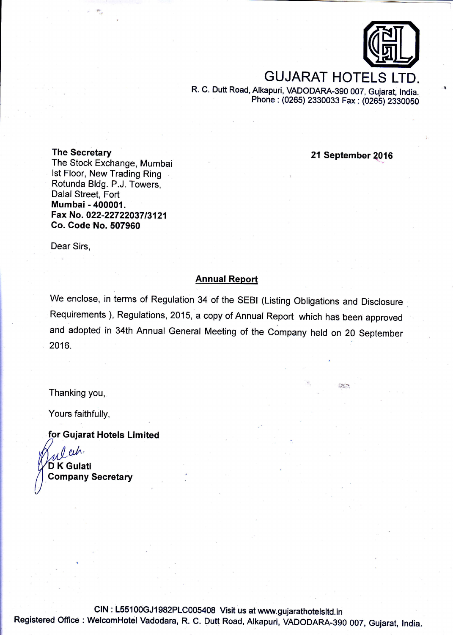

# **GUJARAT HOTEL**

R. C. Dutt Road, Alkapuri, VADODARA-39O 007, Gujarat, India,. phone : (0265) 2330039 Fax: (0265) 23g00EO

The Secretary **1016** The Secretary **1016** The Secretary **1016** The Secretary **1016** 

The Stock Exchange, Mumbai lst Floor, New Trading Ring Rotunda Bldg. P.J. Towers, Dalal Street, Fort Mumbai - 400001. Fax No. 022-22722037/3121 Go. Code No.507960

Dear Sirs,

#### Annual Report

We enclose, in terms of Regulation 34 of the SEBI (Listing Obligations and Disclosure Requirements ), Regulations, 2015, a copy of Annual Report which has been approved and adopted in 34th Annual General Meeting of the Company held on 20 September 2016.

Thanking you,

Yours faithfully,

for Gujarat Hotels Limited

 $\ell \nu$ D K Gulati Company Secretary

clN : L55100GJ1982PLc005408 Visit us at www.gujarathotetsltd.in Registered office : welcomHotel vadodara, R. c. Dutt Road, Alkapuri, vADoDARA-3go 007, Gujarat, lndia.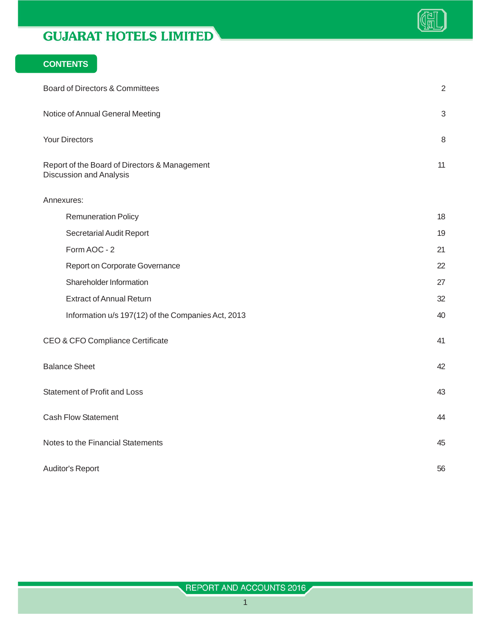

## **CONTENTS**

| Board of Directors & Committees                                                 | $\overline{2}$ |
|---------------------------------------------------------------------------------|----------------|
| Notice of Annual General Meeting                                                | $\mathbf{3}$   |
| <b>Your Directors</b>                                                           | 8              |
| Report of the Board of Directors & Management<br><b>Discussion and Analysis</b> | 11             |
| Annexures:                                                                      |                |
| <b>Remuneration Policy</b>                                                      | 18             |
| Secretarial Audit Report                                                        | 19             |
| Form AOC - 2                                                                    | 21             |
| Report on Corporate Governance                                                  | 22             |
| Shareholder Information                                                         | 27             |
| <b>Extract of Annual Return</b>                                                 | 32             |
| Information u/s 197(12) of the Companies Act, 2013                              | 40             |
| CEO & CFO Compliance Certificate                                                | 41             |
| <b>Balance Sheet</b>                                                            | 42             |
| <b>Statement of Profit and Loss</b>                                             | 43             |
| <b>Cash Flow Statement</b>                                                      | 44             |
| Notes to the Financial Statements                                               | 45             |
| Auditor's Report                                                                | 56             |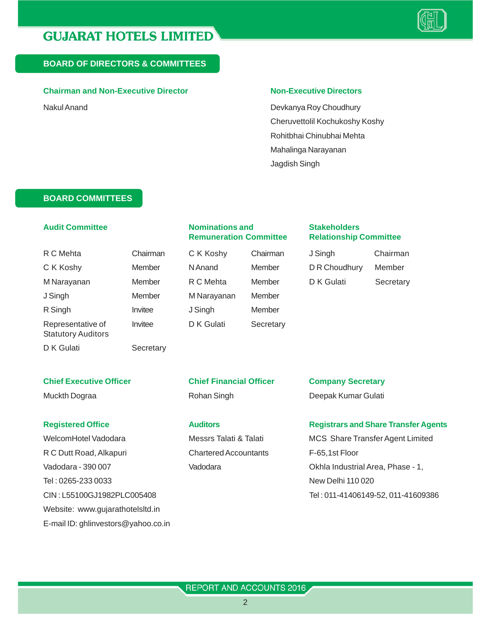

#### **BOARD OF DIRECTORS & COMMITTEES**

#### **Chairman and Non-Executive Director Non-Executive Directors**

Nakul Anand **Nakul Anand 2008** Nakul Anand Devkanya Roy Choudhury Cheruvettolil Kochukoshy Koshy Rohitbhai Chinubhai Mehta Mahalinga Narayanan Jagdish Singh

#### **BOARD COMMITTEES**

#### **Audit Committee Nominations and Stakeholders**

# **Remuneration Committee Relationship Committee**

C K Koshy Member N Anand J Singh Member M Narayanan R Singh **Invitee** J Singh Representative of lnvitee DK Gulati Secretary

|   | Слашнан |
|---|---------|
|   | Member  |
|   | Member  |
| n | Member  |
|   | Member  |
|   |         |

| R C Mehta   | Chairman | C K Koshy | Chairman | J Singh       | Chairman  |
|-------------|----------|-----------|----------|---------------|-----------|
| C K Koshy   | Member   | N Anand   | Member   | D R Choudhury | Member    |
| M Narayanan | Member   | R C Mehta | Member   | D K Gulati    | Secretary |

D K Gulati Secretary

Statutory Auditors

R C Dutt Road, Alkapuri Chartered Accountants F-65,1st Floor Vadodara - 390 007 Vadodara Vadodara Channel Area, Phase - 1, Tel : 0265-233 0033 New Delhi 110 020 Website: www.gujarathotelsltd.in E-mail ID: ghlinvestors@yahoo.co.in

## **Chief Executive Officer Chief Financial Officer Company Secretary** Muckth Dograa **Notal State Communist Property** Rohan Singh **Deepak Kumar Gulati**

## **Registered Office Auditors Registrars and Share Transfer Agents**

WelcomHotel Vadodara **Messrs Talati & Talati MCS Share Transfer Agent Limited** MCS Share Transfer Agent Limited CIN : L55100GJ1982PLC005408 Tel : 011-41406149-52, 011-41609386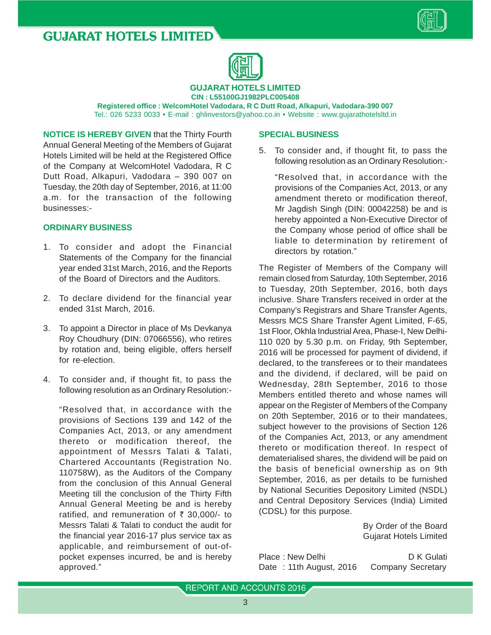



**CIN : L55100GJ1982PLC005408 Registered office : WelcomHotel Vadodara, R C Dutt Road, Alkapuri, Vadodara-390 007** Tel.: 026 5233 0033 **•** E-mail : ghlinvestors@yahoo.co.in **•** Website : www.gujarathotelsltd.in

**GUJARAT HOTELS LIMITED**

**NOTICE IS HEREBY GIVEN** that the Thirty Fourth Annual General Meeting of the Members of Gujarat Hotels Limited will be held at the Registered Office of the Company at WelcomHotel Vadodara, R C Dutt Road, Alkapuri, Vadodara – 390 007 on Tuesday, the 20th day of September, 2016, at 11:00 a.m. for the transaction of the following businesses:-

#### **ORDINARY BUSINESS**

- 1. To consider and adopt the Financial Statements of the Company for the financial year ended 31st March, 2016, and the Reports of the Board of Directors and the Auditors.
- 2. To declare dividend for the financial year ended 31st March, 2016.
- 3. To appoint a Director in place of Ms Devkanya Roy Choudhury (DIN: 07066556), who retires by rotation and, being eligible, offers herself for re-election.
- 4. To consider and, if thought fit, to pass the following resolution as an Ordinary Resolution:-

"Resolved that, in accordance with the provisions of Sections 139 and 142 of the Companies Act, 2013, or any amendment thereto or modification thereof, the appointment of Messrs Talati & Talati, Chartered Accountants (Registration No. 110758W), as the Auditors of the Company from the conclusion of this Annual General Meeting till the conclusion of the Thirty Fifth Annual General Meeting be and is hereby ratified, and remuneration of  $\bar{\tau}$  30,000/- to Messrs Talati & Talati to conduct the audit for the financial year 2016-17 plus service tax as applicable, and reimbursement of out-ofpocket expenses incurred, be and is hereby approved."

#### **SPECIAL BUSINESS**

5. To consider and, if thought fit, to pass the following resolution as an Ordinary Resolution:-

"Resolved that, in accordance with the provisions of the Companies Act, 2013, or any amendment thereto or modification thereof, Mr Jagdish Singh (DIN: 00042258) be and is hereby appointed a Non-Executive Director of the Company whose period of office shall be liable to determination by retirement of directors by rotation."

The Register of Members of the Company will remain closed from Saturday, 10th September, 2016 to Tuesday, 20th September, 2016, both days inclusive. Share Transfers received in order at the Company's Registrars and Share Transfer Agents, Messrs MCS Share Transfer Agent Limited, F-65, 1st Floor, Okhla Industrial Area, Phase-I, New Delhi-110 020 by 5.30 p.m. on Friday, 9th September, 2016 will be processed for payment of dividend, if declared, to the transferees or to their mandatees and the dividend, if declared, will be paid on Wednesday, 28th September, 2016 to those Members entitled thereto and whose names will appear on the Register of Members of the Company on 20th September, 2016 or to their mandatees, subject however to the provisions of Section 126 of the Companies Act, 2013, or any amendment thereto or modification thereof. In respect of dematerialised shares, the dividend will be paid on the basis of beneficial ownership as on 9th September, 2016, as per details to be furnished by National Securities Depository Limited (NSDL) and Central Depository Services (India) Limited (CDSL) for this purpose.

> By Order of the Board Gujarat Hotels Limited

Place : New Delhi D K Gulati Date: 11th August, 2016 Company Secretary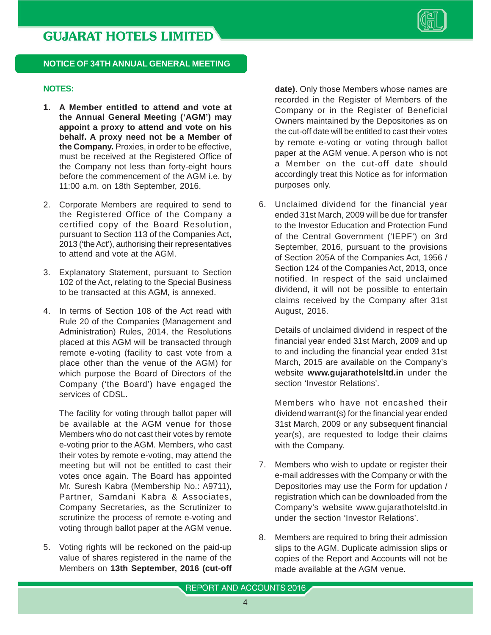

#### **NOTICE OF 34TH ANNUAL GENERAL MEETING**

#### **NOTES:**

- **1. A Member entitled to attend and vote at the Annual General Meeting ('AGM') may appoint a proxy to attend and vote on his behalf. A proxy need not be a Member of the Company.** Proxies, in order to be effective, must be received at the Registered Office of the Company not less than forty-eight hours before the commencement of the AGM i.e. by 11:00 a.m. on 18th September, 2016.
- 2. Corporate Members are required to send to the Registered Office of the Company a certified copy of the Board Resolution, pursuant to Section 113 of the Companies Act, 2013 ('the Act'), authorising their representatives to attend and vote at the AGM.
- 3. Explanatory Statement, pursuant to Section 102 of the Act, relating to the Special Business to be transacted at this AGM, is annexed.
- 4. In terms of Section 108 of the Act read with Rule 20 of the Companies (Management and Administration) Rules, 2014, the Resolutions placed at this AGM will be transacted through remote e-voting (facility to cast vote from a place other than the venue of the AGM) for which purpose the Board of Directors of the Company ('the Board') have engaged the services of CDSL.

The facility for voting through ballot paper will be available at the AGM venue for those Members who do not cast their votes by remote e-voting prior to the AGM. Members, who cast their votes by remote e-voting, may attend the meeting but will not be entitled to cast their votes once again. The Board has appointed Mr. Suresh Kabra (Membership No.: A9711), Partner, Samdani Kabra & Associates, Company Secretaries, as the Scrutinizer to scrutinize the process of remote e-voting and voting through ballot paper at the AGM venue.

5. Voting rights will be reckoned on the paid-up value of shares registered in the name of the Members on **13th September, 2016 (cut-off** **date)**. Only those Members whose names are recorded in the Register of Members of the Company or in the Register of Beneficial Owners maintained by the Depositories as on the cut-off date will be entitled to cast their votes by remote e-voting or voting through ballot paper at the AGM venue. A person who is not a Member on the cut-off date should accordingly treat this Notice as for information purposes only.

6. Unclaimed dividend for the financial year ended 31st March, 2009 will be due for transfer to the Investor Education and Protection Fund of the Central Government ('IEPF') on 3rd September, 2016, pursuant to the provisions of Section 205A of the Companies Act, 1956 / Section 124 of the Companies Act, 2013, once notified. In respect of the said unclaimed dividend, it will not be possible to entertain claims received by the Company after 31st August, 2016.

Details of unclaimed dividend in respect of the financial year ended 31st March, 2009 and up to and including the financial year ended 31st March, 2015 are available on the Company's website **www.gujarathotelsltd.in** under the section 'Investor Relations'.

Members who have not encashed their dividend warrant(s) for the financial year ended 31st March, 2009 or any subsequent financial year(s), are requested to lodge their claims with the Company.

- 7. Members who wish to update or register their e-mail addresses with the Company or with the Depositories may use the Form for updation / registration which can be downloaded from the Company's website www.gujarathotelsltd.in under the section 'Investor Relations'.
- 8. Members are required to bring their admission slips to the AGM. Duplicate admission slips or copies of the Report and Accounts will not be made available at the AGM venue.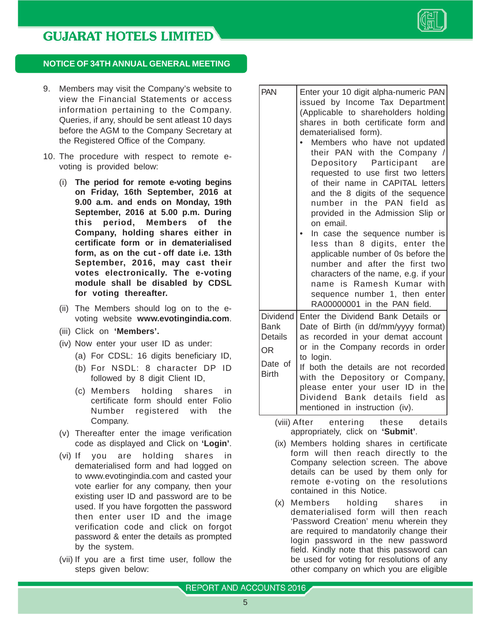

#### **NOTICE OF 34TH ANNUAL GENERAL MEETING**

- 9. Members may visit the Company's website to view the Financial Statements or access information pertaining to the Company. Queries, if any, should be sent atleast 10 days before the AGM to the Company Secretary at the Registered Office of the Company.
- 10. The procedure with respect to remote evoting is provided below:
	- (i) **The period for remote e-voting begins on Friday, 16th September, 2016 at 9.00 a.m. and ends on Monday, 19th September, 2016 at 5.00 p.m. During this period, Members of the Company, holding shares either in certificate form or in dematerialised form, as on the cut - off date i.e. 13th September, 2016, may cast their votes electronically. The e-voting module shall be disabled by CDSL for voting thereafter.**
	- (ii) The Members should log on to the evoting website **www.evotingindia.com**.
	- (iii) Click on **'Members'.**
	- (iv) Now enter your user ID as under:
		- (a) For CDSL: 16 digits beneficiary ID,
		- (b) For NSDL: 8 character DP ID followed by 8 digit Client ID,
		- (c) Members holding shares in certificate form should enter Folio Number registered with the Company.
	- (v) Thereafter enter the image verification code as displayed and Click on **'Login'**.
	- (vi) If you are holding shares in dematerialised form and had logged on to www.evotingindia.com and casted your vote earlier for any company, then your existing user ID and password are to be used. If you have forgotten the password then enter user ID and the image verification code and click on forgot password & enter the details as prompted by the system.
	- (vii) If you are a first time user, follow the steps given below:
- PAN | Enter your 10 digit alpha-numeric PAN issued by Income Tax Department (Applicable to shareholders holding shares in both certificate form and dematerialised form).
	- Members who have not updated their PAN with the Company / Depository Participant are requested to use first two letters of their name in CAPITAL letters and the 8 digits of the sequence number in the PAN field as provided in the Admission Slip or on email.
- In case the sequence number is less than 8 digits, enter the applicable number of 0s before the number and after the first two characters of the name, e.g. if your name is Ramesh Kumar with sequence number 1, then enter RA00000001 in the PAN field. Dividend Enter the Dividend Bank Details or

Bank  $\vert$  Date of Birth (in dd/mm/yyyy format) Details  $\vert$  as recorded in your demat account  $OR$  or in the Company records in order Date of  $\begin{bmatrix} 16 & \text{login.} \\ \text{If both } t \end{bmatrix}$ Birth If both the details are not recorded with the Depository or Company,

- please enter your user ID in the Dividend Bank details field as mentioned in instruction (iv).
	- (viii) After entering these details appropriately, click on **'Submit'**.
	- (ix) Members holding shares in certificate form will then reach directly to the Company selection screen. The above details can be used by them only for remote e-voting on the resolutions contained in this Notice.
	- (x) Members holding shares in dematerialised form will then reach 'Password Creation' menu wherein they are required to mandatorily change their login password in the new password field. Kindly note that this password can be used for voting for resolutions of any other company on which you are eligible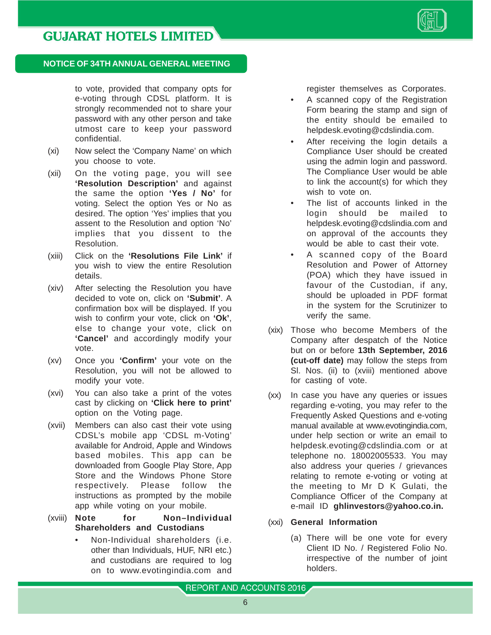

to vote, provided that company opts for e-voting through CDSL platform. It is strongly recommended not to share your password with any other person and take utmost care to keep your password confidential.

- (xi) Now select the 'Company Name' on which you choose to vote.
- (xii) On the voting page, you will see **'Resolution Description'** and against the same the option **'Yes / No'** for voting. Select the option Yes or No as desired. The option 'Yes' implies that you assent to the Resolution and option 'No' implies that you dissent to the Resolution.
- (xiii) Click on the **'Resolutions File Link'** if you wish to view the entire Resolution details.
- (xiv) After selecting the Resolution you have decided to vote on, click on **'Submit'**. A confirmation box will be displayed. If you wish to confirm your vote, click on **'Ok'**, else to change your vote, click on **'Cancel'** and accordingly modify your vote.
- (xv) Once you **'Confirm'** your vote on the Resolution, you will not be allowed to modify your vote.
- (xvi) You can also take a print of the votes cast by clicking on **'Click here to print'** option on the Voting page.
- (xvii) Members can also cast their vote using CDSL's mobile app 'CDSL m-Voting' available for Android, Apple and Windows based mobiles. This app can be downloaded from Google Play Store, App Store and the Windows Phone Store respectively. Please follow the instructions as prompted by the mobile app while voting on your mobile.
- (xviii) **Note for Non–Individual Shareholders and Custodians**
	- Non-Individual shareholders (i.e. other than Individuals, HUF, NRI etc.) and custodians are required to log on to www.evotingindia.com and

register themselves as Corporates.

- A scanned copy of the Registration Form bearing the stamp and sign of the entity should be emailed to helpdesk.evoting@cdslindia.com.
- After receiving the login details a Compliance User should be created using the admin login and password. The Compliance User would be able to link the account(s) for which they wish to vote on.
- The list of accounts linked in the login should be mailed to helpdesk.evoting@cdslindia.com and on approval of the accounts they would be able to cast their vote.
- A scanned copy of the Board Resolution and Power of Attorney (POA) which they have issued in favour of the Custodian, if any, should be uploaded in PDF format in the system for the Scrutinizer to verify the same.
- (xix) Those who become Members of the Company after despatch of the Notice but on or before **13th September, 2016 (cut-off date)** may follow the steps from Sl. Nos. (ii) to (xviii) mentioned above for casting of vote.
- (xx) In case you have any queries or issues regarding e-voting, you may refer to the Frequently Asked Questions and e-voting manual available at www.evotingindia.com, under help section or write an email to helpdesk.evoting@cdslindia.com or at telephone no. 18002005533. You may also address your queries / grievances relating to remote e-voting or voting at the meeting to Mr D K Gulati, the Compliance Officer of the Company at e-mail ID **ghlinvestors@yahoo.co.in.**
- (xxi) **General Information**
	- (a) There will be one vote for every Client ID No. / Registered Folio No. irrespective of the number of joint holders.

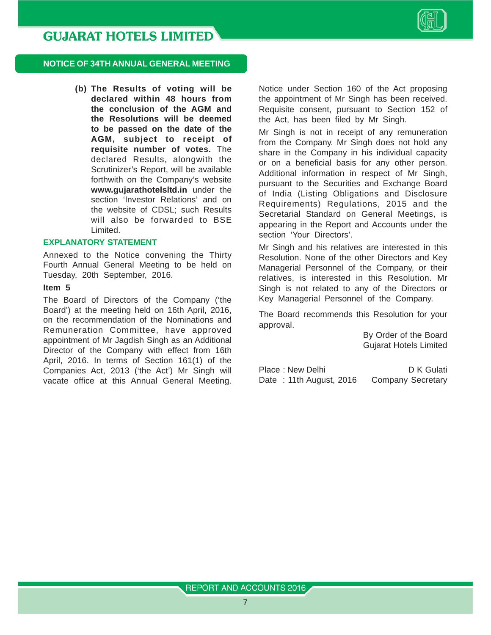

#### **NOTICE OF 34TH ANNUAL GENERAL MEETING**

**(b) The Results of voting will be declared within 48 hours from the conclusion of the AGM and the Resolutions will be deemed to be passed on the date of the AGM, subject to receipt of requisite number of votes.** The declared Results, alongwith the Scrutinizer's Report, will be available forthwith on the Company's website **www.gujarathotelsltd.in** under the section 'Investor Relations' and on the website of CDSL; such Results will also be forwarded to BSE Limited.

#### **EXPLANATORY STATEMENT**

Annexed to the Notice convening the Thirty Fourth Annual General Meeting to be held on Tuesday, 20th September, 2016.

#### **Item 5**

The Board of Directors of the Company ('the Board') at the meeting held on 16th April, 2016, on the recommendation of the Nominations and Remuneration Committee, have approved appointment of Mr Jagdish Singh as an Additional Director of the Company with effect from 16th April, 2016. In terms of Section 161(1) of the Companies Act, 2013 ('the Act') Mr Singh will vacate office at this Annual General Meeting. Notice under Section 160 of the Act proposing the appointment of Mr Singh has been received. Requisite consent, pursuant to Section 152 of the Act, has been filed by Mr Singh.

Mr Singh is not in receipt of any remuneration from the Company. Mr Singh does not hold any share in the Company in his individual capacity or on a beneficial basis for any other person. Additional information in respect of Mr Singh, pursuant to the Securities and Exchange Board of India (Listing Obligations and Disclosure Requirements) Regulations, 2015 and the Secretarial Standard on General Meetings, is appearing in the Report and Accounts under the section 'Your Directors'.

Mr Singh and his relatives are interested in this Resolution. None of the other Directors and Key Managerial Personnel of the Company, or their relatives, is interested in this Resolution. Mr Singh is not related to any of the Directors or Key Managerial Personnel of the Company.

The Board recommends this Resolution for your approval.

> By Order of the Board Gujarat Hotels Limited

Place : New Delhi D K Gulati Date: 11th August, 2016 Company Secretary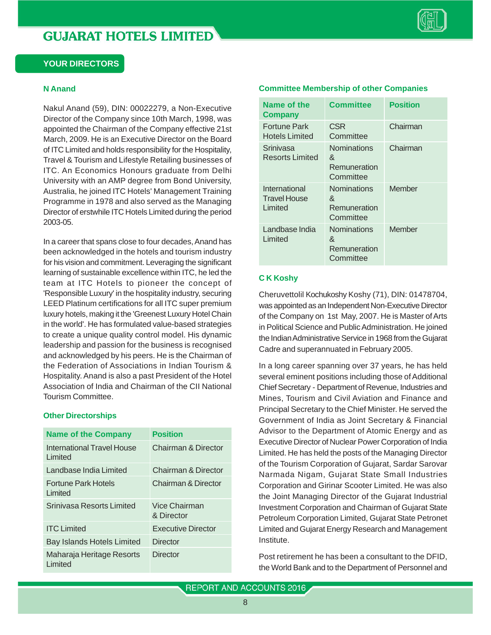#### **YOUR DIRECTORS**

#### **N Anand**

Nakul Anand (59), DIN: 00022279, a Non-Executive Director of the Company since 10th March, 1998, was appointed the Chairman of the Company effective 21st March, 2009. He is an Executive Director on the Board of ITC Limited and holds responsibility for the Hospitality, Travel & Tourism and Lifestyle Retailing businesses of ITC. An Economics Honours graduate from Delhi University with an AMP degree from Bond University, Australia, he joined ITC Hotels' Management Training Programme in 1978 and also served as the Managing Director of erstwhile ITC Hotels Limited during the period 2003-05.

In a career that spans close to four decades, Anand has been acknowledged in the hotels and tourism industry for his vision and commitment. Leveraging the significant learning of sustainable excellence within ITC, he led the team at ITC Hotels to pioneer the concept of 'Responsible Luxury' in the hospitality industry, securing LEED Platinum certifications for all ITC super premium luxury hotels, making it the 'Greenest Luxury Hotel Chain in the world'. He has formulated value-based strategies to create a unique quality control model. His dynamic leadership and passion for the business is recognised and acknowledged by his peers. He is the Chairman of the Federation of Associations in Indian Tourism & Hospitality. Anand is also a past President of the Hotel Association of India and Chairman of the CII National Tourism Committee.

#### **Other Directorships**

| <b>Name of the Company</b>            | <b>Position</b>                |
|---------------------------------------|--------------------------------|
| International Travel House<br>Limited | <b>Chairman &amp; Director</b> |
| Landbase India Limited                | Chairman & Director            |
| <b>Fortune Park Hotels</b><br>Limited | Chairman & Director            |
| Sriniyasa Resorts Limited             | Vice Chairman<br>& Director    |
| <b>ITC Limited</b>                    | Executive Director             |
| <b>Bay Islands Hotels Limited</b>     | Director                       |
| Maharaja Heritage Resorts<br>Limited  | Director                       |

| Name of the<br><b>Company</b>                   | <b>Committee</b>                                     | Position |
|-------------------------------------------------|------------------------------------------------------|----------|
| Fortune Park<br>Hotels Limited                  | <b>CSR</b><br>Committee                              | Chairman |
| Srinivasa<br>Resorts Limited                    | Nominations<br>&<br>Remuneration<br>Committee        | Chairman |
| International<br><b>Travel House</b><br>Limited | <b>Nominations</b><br>&<br>Remuneration<br>Committee | Member   |
| Landbase India<br>Limited                       | <b>Nominations</b><br>&<br>Remuneration<br>Committee | Member   |

#### **Committee Membership of other Companies**

#### **C K Koshy**

Cheruvettolil Kochukoshy Koshy (71), DIN: 01478704, was appointed as an Independent Non-Executive Director of the Company on 1st May, 2007. He is Master of Arts in Political Science and Public Administration. He joined the Indian Administrative Service in 1968 from the Gujarat Cadre and superannuated in February 2005.

In a long career spanning over 37 years, he has held several eminent positions including those of Additional Chief Secretary - Department of Revenue, Industries and Mines, Tourism and Civil Aviation and Finance and Principal Secretary to the Chief Minister. He served the Government of India as Joint Secretary & Financial Advisor to the Department of Atomic Energy and as Executive Director of Nuclear Power Corporation of India Limited. He has held the posts of the Managing Director of the Tourism Corporation of Gujarat, Sardar Sarovar Narmada Nigam, Gujarat State Small Industries Corporation and Girinar Scooter Limited. He was also the Joint Managing Director of the Gujarat Industrial Investment Corporation and Chairman of Gujarat State Petroleum Corporation Limited, Gujarat State Petronet Limited and Gujarat Energy Research and Management Institute.

Post retirement he has been a consultant to the DFID, the World Bank and to the Department of Personnel and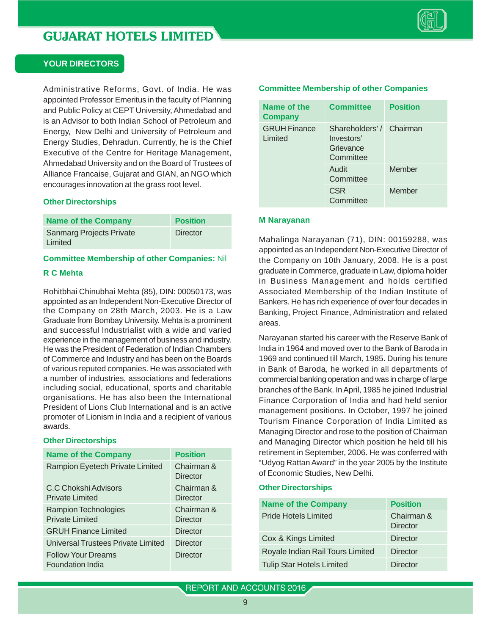

#### **YOUR DIRECTORS**

Administrative Reforms, Govt. of India. He was appointed Professor Emeritus in the faculty of Planning and Public Policy at CEPT University, Ahmedabad and is an Advisor to both Indian School of Petroleum and Energy, New Delhi and University of Petroleum and Energy Studies, Dehradun. Currently, he is the Chief Executive of the Centre for Heritage Management, Ahmedabad University and on the Board of Trustees of Alliance Francaise, Gujarat and GIAN, an NGO which encourages innovation at the grass root level.

#### **Other Directorships**

| <b>Name of the Company</b>                 | <b>Position</b> |
|--------------------------------------------|-----------------|
| <b>Sanmarg Projects Private</b><br>Limited | Director        |

#### **Committee Membership of other Companies:** Nil

#### **R C Mehta**

Rohitbhai Chinubhai Mehta (85), DIN: 00050173, was appointed as an Independent Non-Executive Director of the Company on 28th March, 2003. He is a Law Graduate from Bombay University. Mehta is a prominent and successful Industrialist with a wide and varied experience in the management of business and industry. He was the President of Federation of Indian Chambers of Commerce and Industry and has been on the Boards of various reputed companies. He was associated with a number of industries, associations and federations including social, educational, sports and charitable organisations. He has also been the International President of Lions Club International and is an active promoter of Lionism in India and a recipient of various awards.

#### **Other Directorships**

| <b>Name of the Company</b>                           | <b>Position</b>        |
|------------------------------------------------------|------------------------|
| Rampion Eyetech Private Limited                      | Chairman &<br>Director |
| C.C Chokshi Advisors<br><b>Private Limited</b>       | Chairman &<br>Director |
| Rampion Technologies<br><b>Private Limited</b>       | Chairman &<br>Director |
| <b>GRUH Finance Limited</b>                          | Director               |
| Universal Trustees Private Limited                   | <b>Director</b>        |
| <b>Follow Your Dreams</b><br><b>Foundation India</b> | Director               |

#### **Committee Membership of other Companies**

| Name of the<br><b>Company</b>  | <b>Committee</b>                                                | <b>Position</b> |
|--------------------------------|-----------------------------------------------------------------|-----------------|
| <b>GRUH Finance</b><br>Limited | Shareholders'/ Chairman<br>Investors'<br>Grievance<br>Committee |                 |
|                                | Audit<br>Committee                                              | Member          |
|                                | <b>CSR</b><br>Committee                                         | Member          |

#### **M Narayanan**

Mahalinga Narayanan (71), DIN: 00159288, was appointed as an Independent Non-Executive Director of the Company on 10th January, 2008. He is a post graduate in Commerce, graduate in Law, diploma holder in Business Management and holds certified Associated Membership of the Indian Institute of Bankers. He has rich experience of over four decades in Banking, Project Finance, Administration and related areas.

Narayanan started his career with the Reserve Bank of India in 1964 and moved over to the Bank of Baroda in 1969 and continued till March, 1985. During his tenure in Bank of Baroda, he worked in all departments of commercial banking operation and was in charge of large branches of the Bank. In April, 1985 he joined Industrial Finance Corporation of India and had held senior management positions. In October, 1997 he joined Tourism Finance Corporation of India Limited as Managing Director and rose to the position of Chairman and Managing Director which position he held till his retirement in September, 2006. He was conferred with "Udyog Rattan Award" in the year 2005 by the Institute of Economic Studies, New Delhi.

#### **Other Directorships**

| <b>Name of the Company</b>       | <b>Position</b>               |
|----------------------------------|-------------------------------|
| <b>Pride Hotels Limited</b>      | Chairman &<br><b>Director</b> |
| Cox & Kings Limited              | Director                      |
| Royale Indian Rail Tours Limited | <b>Director</b>               |
| <b>Tulip Star Hotels Limited</b> | <b>Director</b>               |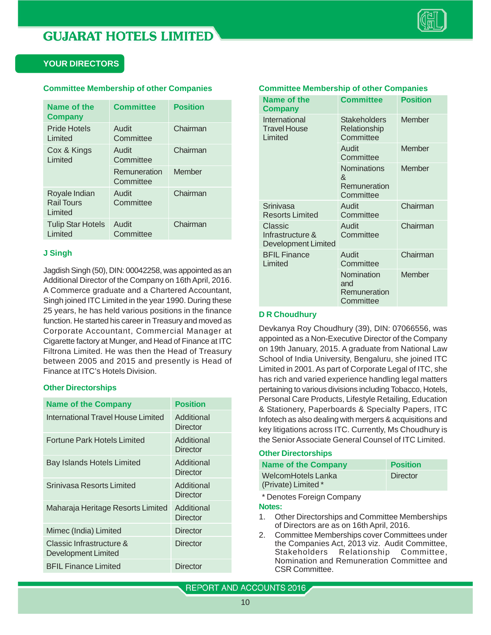

#### **YOUR DIRECTORS**

#### **Committee Membership of other Companies**

| Name of the<br><b>Company</b>                 | <b>Committee</b>          | <b>Position</b> |
|-----------------------------------------------|---------------------------|-----------------|
| Pride Hotels<br>Limited                       | Audit<br>Committee        | Chairman        |
| Cox & Kings<br>Limited                        | Audit<br>Committee        | Chairman        |
|                                               | Remuneration<br>Committee | Member          |
| Royale Indian<br><b>Rail Tours</b><br>Limited | Audit<br>Committee        | Chairman        |
| <b>Tulip Star Hotels</b><br>Limited           | Audit<br>Committee        | Chairman        |

#### **J Singh**

Jagdish Singh (50), DIN: 00042258, was appointed as an Additional Director of the Company on 16th April, 2016. A Commerce graduate and a Chartered Accountant, Singh joined ITC Limited in the year 1990. During these 25 years, he has held various positions in the finance function. He started his career in Treasury and moved as Corporate Accountant, Commercial Manager at Cigarette factory at Munger, and Head of Finance at ITC Filtrona Limited. He was then the Head of Treasury between 2005 and 2015 and presently is Head of Finance at ITC's Hotels Division.

#### **Other Directorships**

| <b>Name of the Company</b>                      | <b>Position</b>        |
|-------------------------------------------------|------------------------|
| International Travel House Limited              | Additional<br>Director |
| Fortune Park Hotels Limited                     | Additional<br>Director |
| <b>Bay Islands Hotels Limited</b>               | Additional<br>Director |
| Sriniyasa Resorts Limited                       | Additional<br>Director |
| Maharaja Heritage Resorts Limited               | Additional<br>Director |
| Mimec (India) Limited                           | Director               |
| Classic Infrastructure &<br>Development Limited | Director               |
| <b>BFIL Finance Limited</b>                     | Director               |

#### **Committee Membership of other Companies**

| Name of the<br>Company                             | <b>Committee</b>                                     | <b>Position</b> |
|----------------------------------------------------|------------------------------------------------------|-----------------|
| International<br><b>Travel House</b><br>Limited    | <b>Stakeholders</b><br>Relationship<br>Committee     | <b>Member</b>   |
|                                                    | Audit<br>Committee                                   | Member          |
|                                                    | <b>Nominations</b><br>&<br>Remuneration<br>Committee | Member          |
| Srinivasa<br><b>Resorts Limited</b>                | Audit<br>Committee                                   | Chairman        |
| Classic<br>Infrastructure &<br>Development Limited | Audit<br>Committee                                   | Chairman        |
| <b>BFIL Finance</b><br>Limited                     | Audit<br>Committee                                   | Chairman        |
|                                                    | Nomination<br>and<br>Remuneration<br>Committee       | Member          |

#### **D R Choudhury**

Devkanya Roy Choudhury (39), DIN: 07066556, was appointed as a Non-Executive Director of the Company on 19th January, 2015. A graduate from National Law School of India University, Bengaluru, she joined ITC Limited in 2001. As part of Corporate Legal of ITC, she has rich and varied experience handling legal matters pertaining to various divisions including Tobacco, Hotels, Personal Care Products, Lifestyle Retailing, Education & Stationery, Paperboards & Specialty Papers, ITC Infotech as also dealing with mergers & acquisitions and key litigations across ITC. Currently, Ms Choudhury is the Senior Associate General Counsel of ITC Limited.

#### **Other Directorships**

| <b>Name of the Company</b>                | <b>Position</b> |
|-------------------------------------------|-----------------|
| WelcomHotels Lanka<br>(Private) Limited * | Director        |

\* Denotes Foreign Company

#### **Notes:**

- 1. Other Directorships and Committee Memberships of Directors are as on 16th April, 2016.
- 2. Committee Memberships cover Committees under the Companies Act, 2013 viz. Audit Committee, Stakeholders Relationship Committee, Nomination and Remuneration Committee and CSR Committee.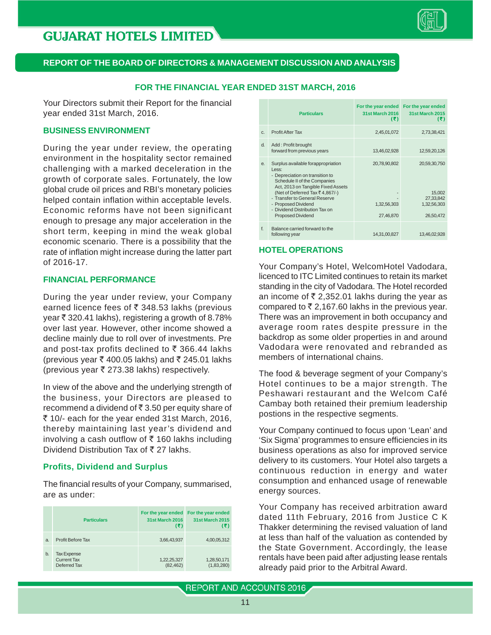

#### **REPORT OF THE BOARD OF DIRECTORS & MANAGEMENT DISCUSSION AND ANALYSIS**

#### **FOR THE FINANCIAL YEAR ENDED 31ST MARCH, 2016**

Your Directors submit their Report for the financial year ended 31st March, 2016.

#### **BUSINESS ENVIRONMENT**

During the year under review, the operating environment in the hospitality sector remained challenging with a marked deceleration in the growth of corporate sales. Fortunately, the low global crude oil prices and RBI's monetary policies helped contain inflation within acceptable levels. Economic reforms have not been significant enough to presage any major acceleration in the short term, keeping in mind the weak global economic scenario. There is a possibility that the rate of inflation might increase during the latter part of 2016-17.

#### **FINANCIAL PERFORMANCE**

During the year under review, your Company earned licence fees of  $\bar{\tau}$  348.53 lakhs (previous year  $\bar{\tau}$  320.41 lakhs), registering a growth of 8.78% over last year. However, other income showed a decline mainly due to roll over of investments. Pre and post-tax profits declined to  $\bar{\tau}$  366.44 lakhs (previous year  $\bar{\tau}$  400.05 lakhs) and  $\bar{\tau}$  245.01 lakhs (previous year  $\bar{\tau}$  273.38 lakhs) respectively.

In view of the above and the underlying strength of the business, your Directors are pleased to recommend a dividend of  $\bar{\bar{\tau}}$  3.50 per equity share of ` 10/- each for the year ended 31st March, 2016, thereby maintaining last year's dividend and involving a cash outflow of  $\bar{\tau}$  160 lakhs including Dividend Distribution Tax of  $\bar{z}$  27 lakhs.

#### **Profits, Dividend and Surplus**

The financial results of your Company, summarised, are as under:

|    | <b>Particulars</b>                                | For the year ended<br><b>31st March 2016</b><br>(3) | For the year ended<br><b>31st March 2015</b><br>(5) |
|----|---------------------------------------------------|-----------------------------------------------------|-----------------------------------------------------|
| a. | Profit Before Tax                                 | 3,66,43,937                                         | 4,00,05,312                                         |
| b. | <b>Tax Expense</b><br>Current Tax<br>Deferred Tax | 1,22,25,327<br>(82, 462)                            | 1,28,50,171<br>(1,83,280)                           |

|         | <b>Particulars</b>                                                                                                                                                                                                                                                                                           | 31st March 2016<br>(3)                   | For the year ended For the year ended<br><b>31st March 2015</b><br>(3) |
|---------|--------------------------------------------------------------------------------------------------------------------------------------------------------------------------------------------------------------------------------------------------------------------------------------------------------------|------------------------------------------|------------------------------------------------------------------------|
| $C_{1}$ | <b>Profit After Tax</b>                                                                                                                                                                                                                                                                                      | 2,45,01,072                              | 2,73,38,421                                                            |
| d.      | Add: Profit brought<br>forward from previous years                                                                                                                                                                                                                                                           | 13,46,02,928                             | 12,59,20,126                                                           |
| e       | Surplus available forappropriation<br>Less:<br>- Depreciation on transition to<br>Schedule II of the Companies<br>Act, 2013 on Tangible Fixed Assets<br>(Net of Deferred Tax ₹4,867/-)<br>- Transfer to General Reserve<br>- Proposed Dividend<br>- Dividend Distribution Tax on<br><b>Proposed Dividend</b> | 20,78,90,802<br>1,32,56,303<br>27,46,870 | 20,59,30,750<br>15,002<br>27,33,842<br>1,32,56,303<br>26,50,472        |
| f       | Balance carried forward to the<br>following year                                                                                                                                                                                                                                                             | 14,31,00,827                             | 13,46,02,928                                                           |

#### **HOTEL OPERATIONS**

Your Company's Hotel, WelcomHotel Vadodara, licenced to ITC Limited continues to retain its market standing in the city of Vadodara. The Hotel recorded an income of  $\bar{\tau}$  2,352.01 lakhs during the year as compared to  $\overline{z}$  2,167.60 lakhs in the previous year. There was an improvement in both occupancy and average room rates despite pressure in the backdrop as some older properties in and around Vadodara were renovated and rebranded as members of international chains.

The food & beverage segment of your Company's Hotel continues to be a major strength. The Peshawari restaurant and the Welcom Café Cambay both retained their premium leadership postions in the respective segments.

Your Company continued to focus upon 'Lean' and 'Six Sigma' programmes to ensure efficiencies in its business operations as also for improved service delivery to its customers. Your Hotel also targets a continuous reduction in energy and water consumption and enhanced usage of renewable energy sources.

Your Company has received arbitration award dated 11th February, 2016 from Justice C K Thakker determining the revised valuation of land at less than half of the valuation as contended by the State Government. Accordingly, the lease rentals have been paid after adjusting lease rentals already paid prior to the Arbitral Award.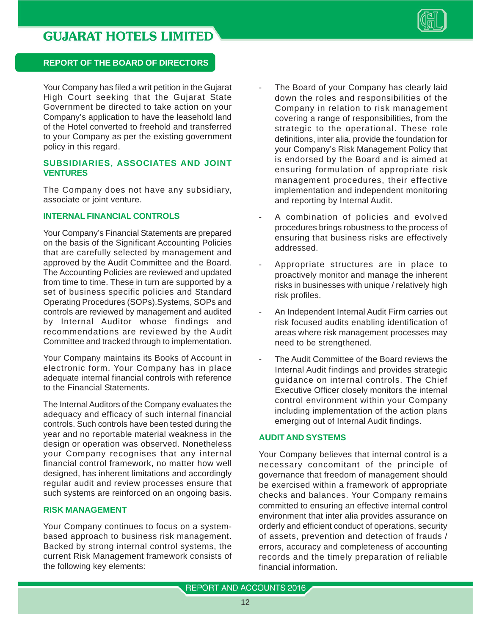

#### **REPORT OF THE BOARD OF DIRECTORS**

Your Company has filed a writ petition in the Gujarat High Court seeking that the Gujarat State Government be directed to take action on your Company's application to have the leasehold land of the Hotel converted to freehold and transferred to your Company as per the existing government policy in this regard.

#### **SUBSIDIARIES, ASSOCIATES AND JOINT VENTURES**

The Company does not have any subsidiary, associate or joint venture.

#### **INTERNAL FINANCIAL CONTROLS**

Your Company's Financial Statements are prepared on the basis of the Significant Accounting Policies that are carefully selected by management and approved by the Audit Committee and the Board. The Accounting Policies are reviewed and updated from time to time. These in turn are supported by a set of business specific policies and Standard Operating Procedures (SOPs).Systems, SOPs and controls are reviewed by management and audited by Internal Auditor whose findings and recommendations are reviewed by the Audit Committee and tracked through to implementation.

Your Company maintains its Books of Account in electronic form. Your Company has in place adequate internal financial controls with reference to the Financial Statements.

The Internal Auditors of the Company evaluates the adequacy and efficacy of such internal financial controls. Such controls have been tested during the year and no reportable material weakness in the design or operation was observed. Nonetheless your Company recognises that any internal financial control framework, no matter how well designed, has inherent limitations and accordingly regular audit and review processes ensure that such systems are reinforced on an ongoing basis.

#### **RISK MANAGEMENT**

Your Company continues to focus on a systembased approach to business risk management. Backed by strong internal control systems, the current Risk Management framework consists of the following key elements:

- The Board of your Company has clearly laid down the roles and responsibilities of the Company in relation to risk management covering a range of responsibilities, from the strategic to the operational. These role definitions, inter alia, provide the foundation for your Company's Risk Management Policy that is endorsed by the Board and is aimed at ensuring formulation of appropriate risk management procedures, their effective implementation and independent monitoring and reporting by Internal Audit.
- A combination of policies and evolved procedures brings robustness to the process of ensuring that business risks are effectively addressed.
- Appropriate structures are in place to proactively monitor and manage the inherent risks in businesses with unique / relatively high risk profiles.
- An Independent Internal Audit Firm carries out risk focused audits enabling identification of areas where risk management processes may need to be strengthened.
- The Audit Committee of the Board reviews the Internal Audit findings and provides strategic guidance on internal controls. The Chief Executive Officer closely monitors the internal control environment within your Company including implementation of the action plans emerging out of Internal Audit findings.

#### **AUDIT AND SYSTEMS**

Your Company believes that internal control is a necessary concomitant of the principle of governance that freedom of management should be exercised within a framework of appropriate checks and balances. Your Company remains committed to ensuring an effective internal control environment that inter alia provides assurance on orderly and efficient conduct of operations, security of assets, prevention and detection of frauds / errors, accuracy and completeness of accounting records and the timely preparation of reliable financial information.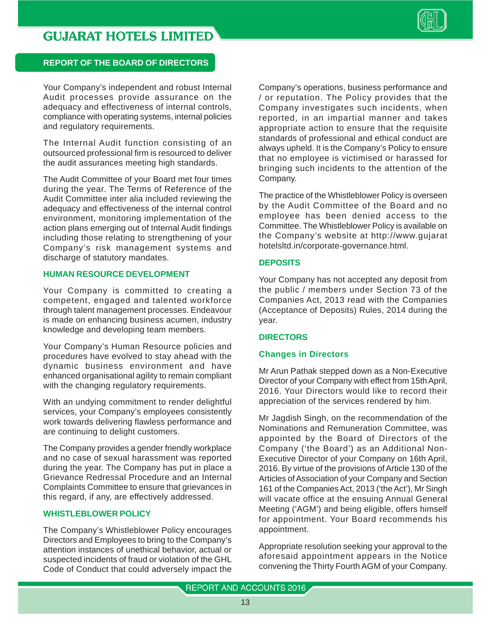

#### **REPORT OF THE BOARD OF DIRECTORS**

Your Company's independent and robust Internal Audit processes provide assurance on the adequacy and effectiveness of internal controls, compliance with operating systems, internal policies and regulatory requirements.

The Internal Audit function consisting of an outsourced professional firm is resourced to deliver the audit assurances meeting high standards.

The Audit Committee of your Board met four times during the year. The Terms of Reference of the Audit Committee inter alia included reviewing the adequacy and effectiveness of the internal control environment, monitoring implementation of the action plans emerging out of Internal Audit findings including those relating to strengthening of your Company's risk management systems and discharge of statutory mandates.

#### **HUMAN RESOURCE DEVELOPMENT**

Your Company is committed to creating a competent, engaged and talented workforce through talent management processes. Endeavour is made on enhancing business acumen, industry knowledge and developing team members.

Your Company's Human Resource policies and procedures have evolved to stay ahead with the dynamic business environment and have enhanced organisational agility to remain compliant with the changing regulatory requirements.

With an undying commitment to render delightful services, your Company's employees consistently work towards delivering flawless performance and are continuing to delight customers.

The Company provides a gender friendly workplace and no case of sexual harassment was reported during the year. The Company has put in place a Grievance Redressal Procedure and an Internal Complaints Committee to ensure that grievances in this regard, if any, are effectively addressed.

#### **WHISTLEBLOWER POLICY**

The Company's Whistleblower Policy encourages Directors and Employees to bring to the Company's attention instances of unethical behavior, actual or suspected incidents of fraud or violation of the GHL Code of Conduct that could adversely impact the Company's operations, business performance and / or reputation. The Policy provides that the Company investigates such incidents, when reported, in an impartial manner and takes appropriate action to ensure that the requisite standards of professional and ethical conduct are always upheld. It is the Company's Policy to ensure that no employee is victimised or harassed for bringing such incidents to the attention of the Company.

The practice of the Whistleblower Policy is overseen by the Audit Committee of the Board and no employee has been denied access to the Committee. The Whistleblower Policy is available on the Company's website at http://www.gujarat hotelsltd.in/corporate-governance.html.

#### **DEPOSITS**

Your Company has not accepted any deposit from the public / members under Section 73 of the Companies Act, 2013 read with the Companies (Acceptance of Deposits) Rules, 2014 during the year.

#### **DIRECTORS**

#### **Changes in Directors**

Mr Arun Pathak stepped down as a Non-Executive Director of your Company with effect from 15th April, 2016. Your Directors would like to record their appreciation of the services rendered by him.

Mr Jagdish Singh, on the recommendation of the Nominations and Remuneration Committee, was appointed by the Board of Directors of the Company ('the Board') as an Additional Non-Executive Director of your Company on 16th April, 2016. By virtue of the provisions of Article 130 of the Articles of Association of your Company and Section 161 of the Companies Act, 2013 ('the Act'), Mr Singh will vacate office at the ensuing Annual General Meeting ('AGM') and being eligible, offers himself for appointment. Your Board recommends his appointment.

Appropriate resolution seeking your approval to the aforesaid appointment appears in the Notice convening the Thirty Fourth AGM of your Company.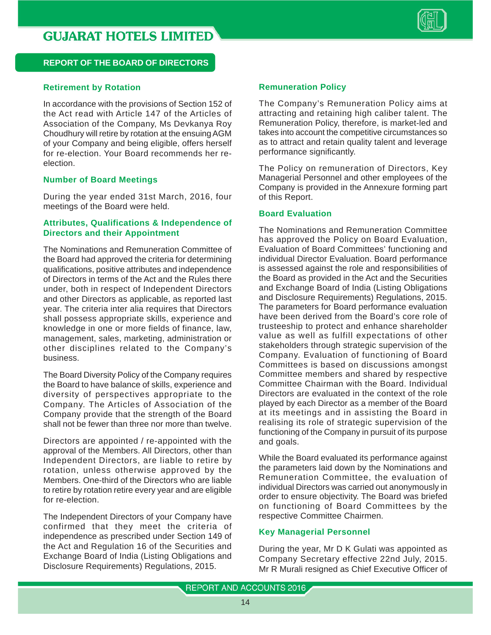

#### **REPORT OF THE BOARD OF DIRECTORS**

#### **Retirement by Rotation**

In accordance with the provisions of Section 152 of the Act read with Article 147 of the Articles of Association of the Company, Ms Devkanya Roy Choudhury will retire by rotation at the ensuing AGM of your Company and being eligible, offers herself for re-election. Your Board recommends her reelection.

#### **Number of Board Meetings**

During the year ended 31st March, 2016, four meetings of the Board were held.

#### **Attributes, Qualifications & Independence of Directors and their Appointment**

The Nominations and Remuneration Committee of the Board had approved the criteria for determining qualifications, positive attributes and independence of Directors in terms of the Act and the Rules there under, both in respect of Independent Directors and other Directors as applicable, as reported last year. The criteria inter alia requires that Directors shall possess appropriate skills, experience and knowledge in one or more fields of finance, law, management, sales, marketing, administration or other disciplines related to the Company's business.

The Board Diversity Policy of the Company requires the Board to have balance of skills, experience and diversity of perspectives appropriate to the Company. The Articles of Association of the Company provide that the strength of the Board shall not be fewer than three nor more than twelve.

Directors are appointed / re-appointed with the approval of the Members. All Directors, other than Independent Directors, are liable to retire by rotation, unless otherwise approved by the Members. One-third of the Directors who are liable to retire by rotation retire every year and are eligible for re-election.

The Independent Directors of your Company have confirmed that they meet the criteria of independence as prescribed under Section 149 of the Act and Regulation 16 of the Securities and Exchange Board of India (Listing Obligations and Disclosure Requirements) Regulations, 2015.

#### **Remuneration Policy**

The Company's Remuneration Policy aims at attracting and retaining high caliber talent. The Remuneration Policy, therefore, is market-led and takes into account the competitive circumstances so as to attract and retain quality talent and leverage performance significantly.

The Policy on remuneration of Directors, Key Managerial Personnel and other employees of the Company is provided in the Annexure forming part of this Report.

#### **Board Evaluation**

The Nominations and Remuneration Committee has approved the Policy on Board Evaluation, Evaluation of Board Committees' functioning and individual Director Evaluation. Board performance is assessed against the role and responsibilities of the Board as provided in the Act and the Securities and Exchange Board of India (Listing Obligations and Disclosure Requirements) Regulations, 2015. The parameters for Board performance evaluation have been derived from the Board's core role of trusteeship to protect and enhance shareholder value as well as fulfill expectations of other stakeholders through strategic supervision of the Company. Evaluation of functioning of Board Committees is based on discussions amongst Committee members and shared by respective Committee Chairman with the Board. Individual Directors are evaluated in the context of the role played by each Director as a member of the Board at its meetings and in assisting the Board in realising its role of strategic supervision of the functioning of the Company in pursuit of its purpose and goals.

While the Board evaluated its performance against the parameters laid down by the Nominations and Remuneration Committee, the evaluation of individual Directors was carried out anonymously in order to ensure objectivity. The Board was briefed on functioning of Board Committees by the respective Committee Chairmen.

#### **Key Managerial Personnel**

During the year, Mr D K Gulati was appointed as Company Secretary effective 22nd July, 2015. Mr R Murali resigned as Chief Executive Officer of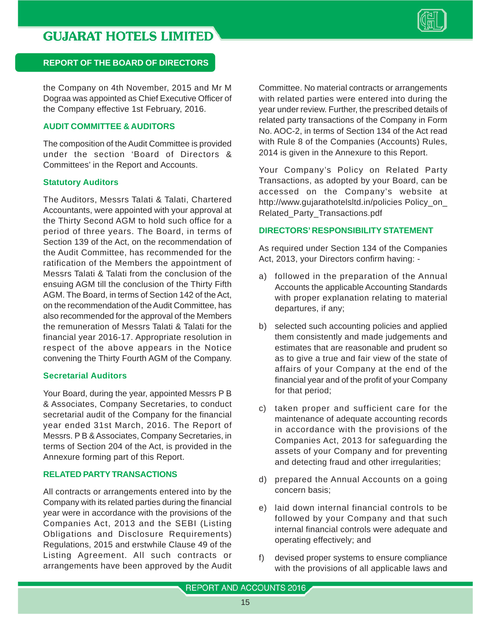

#### **REPORT OF THE BOARD OF DIRECTORS**

the Company on 4th November, 2015 and Mr M Dograa was appointed as Chief Executive Officer of the Company effective 1st February, 2016.

#### **AUDIT COMMITTEE & AUDITORS**

The composition of the Audit Committee is provided under the section 'Board of Directors & Committees' in the Report and Accounts.

#### **Statutory Auditors**

The Auditors, Messrs Talati & Talati, Chartered Accountants, were appointed with your approval at the Thirty Second AGM to hold such office for a period of three years. The Board, in terms of Section 139 of the Act, on the recommendation of the Audit Committee, has recommended for the ratification of the Members the appointment of Messrs Talati & Talati from the conclusion of the ensuing AGM till the conclusion of the Thirty Fifth AGM. The Board, in terms of Section 142 of the Act, on the recommendation of the Audit Committee, has also recommended for the approval of the Members the remuneration of Messrs Talati & Talati for the financial year 2016-17. Appropriate resolution in respect of the above appears in the Notice convening the Thirty Fourth AGM of the Company.

#### **Secretarial Auditors**

Your Board, during the year, appointed Messrs P B & Associates, Company Secretaries, to conduct secretarial audit of the Company for the financial year ended 31st March, 2016. The Report of Messrs. P B & Associates, Company Secretaries, in terms of Section 204 of the Act, is provided in the Annexure forming part of this Report.

#### **RELATED PARTY TRANSACTIONS**

All contracts or arrangements entered into by the Company with its related parties during the financial year were in accordance with the provisions of the Companies Act, 2013 and the SEBI (Listing Obligations and Disclosure Requirements) Regulations, 2015 and erstwhile Clause 49 of the Listing Agreement. All such contracts or arrangements have been approved by the Audit Committee. No material contracts or arrangements with related parties were entered into during the year under review. Further, the prescribed details of related party transactions of the Company in Form No. AOC-2, in terms of Section 134 of the Act read with Rule 8 of the Companies (Accounts) Rules, 2014 is given in the Annexure to this Report.

Your Company's Policy on Related Party Transactions, as adopted by your Board, can be accessed on the Company's website at http://www.gujarathotelsltd.in/policies Policy\_on\_ Related\_Party\_Transactions.pdf

#### **DIRECTORS' RESPONSIBILITY STATEMENT**

As required under Section 134 of the Companies Act, 2013, your Directors confirm having: -

- a) followed in the preparation of the Annual Accounts the applicable Accounting Standards with proper explanation relating to material departures, if any;
- b) selected such accounting policies and applied them consistently and made judgements and estimates that are reasonable and prudent so as to give a true and fair view of the state of affairs of your Company at the end of the financial year and of the profit of your Company for that period;
- c) taken proper and sufficient care for the maintenance of adequate accounting records in accordance with the provisions of the Companies Act, 2013 for safeguarding the assets of your Company and for preventing and detecting fraud and other irregularities;
- d) prepared the Annual Accounts on a going concern basis;
- e) laid down internal financial controls to be followed by your Company and that such internal financial controls were adequate and operating effectively; and
- f) devised proper systems to ensure compliance with the provisions of all applicable laws and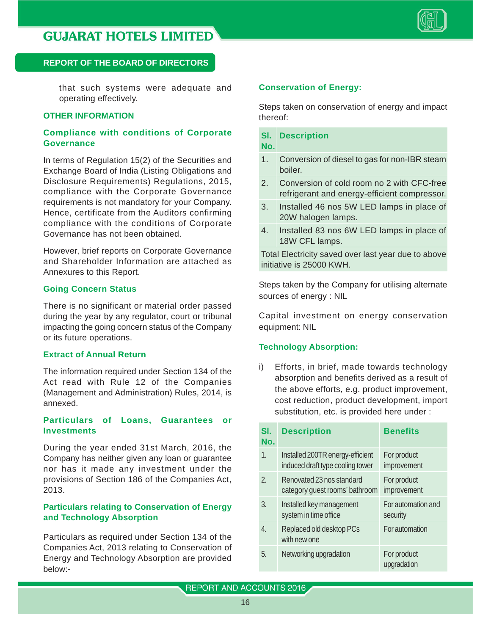

#### **REPORT OF THE BOARD OF DIRECTORS**

that such systems were adequate and operating effectively.

#### **OTHER INFORMATION**

#### **Compliance with conditions of Corporate Governance**

In terms of Regulation 15(2) of the Securities and Exchange Board of India (Listing Obligations and Disclosure Requirements) Regulations, 2015, compliance with the Corporate Governance requirements is not mandatory for your Company. Hence, certificate from the Auditors confirming compliance with the conditions of Corporate Governance has not been obtained.

However, brief reports on Corporate Governance and Shareholder Information are attached as Annexures to this Report.

#### **Going Concern Status**

There is no significant or material order passed during the year by any regulator, court or tribunal impacting the going concern status of the Company or its future operations.

#### **Extract of Annual Return**

The information required under Section 134 of the Act read with Rule 12 of the Companies (Management and Administration) Rules, 2014, is annexed.

#### **Particulars of Loans, Guarantees or Investments**

During the year ended 31st March, 2016, the Company has neither given any loan or guarantee nor has it made any investment under the provisions of Section 186 of the Companies Act, 2013.

#### **Particulars relating to Conservation of Energy and Technology Absorption**

Particulars as required under Section 134 of the Companies Act, 2013 relating to Conservation of Energy and Technology Absorption are provided below:-

#### **Conservation of Energy:**

Steps taken on conservation of energy and impact thereof:

#### **Sl. Description**

**No.**

- 1. Conversion of diesel to gas for non-IBR steam boiler.
- 2. Conversion of cold room no 2 with CFC-free refrigerant and energy-efficient compressor.
- 3. Installed 46 nos 5W LED lamps in place of 20W halogen lamps.
- 4. Installed 83 nos 6W LED lamps in place of 18W CFL lamps.

Total Electricity saved over last year due to above initiative is 25000 KWH.

Steps taken by the Company for utilising alternate sources of energy : NIL

Capital investment on energy conservation equipment: NIL

#### **Technology Absorption:**

i) Efforts, in brief, made towards technology absorption and benefits derived as a result of the above efforts, e.g. product improvement, cost reduction, product development, import substitution, etc. is provided here under :

| SI.<br>No.       | <b>Description</b>                                                   | <b>Benefits</b>                |
|------------------|----------------------------------------------------------------------|--------------------------------|
| $\mathbf{1}$ .   | Installed 200TR energy-efficient<br>induced draft type cooling tower | For product<br>improvement     |
| $\mathcal{P}$    | Renovated 23 nos standard<br>category quest rooms' bathroom          | For product<br>improvement     |
| 3.               | Installed key management<br>system in time office                    | For automation and<br>security |
| $\overline{4}$ . | Replaced old desktop PCs<br>with new one                             | For automation                 |
| 5.               | Networking upgradation                                               | For product<br>upgradation     |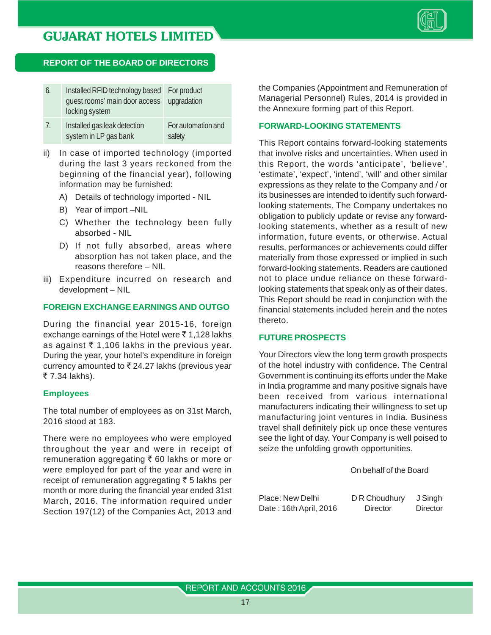

#### **REPORT OF THE BOARD OF DIRECTORS**

| 6. | Installed RFID technology based For product<br>quest rooms' main door access upgradation<br>locking system |                  |
|----|------------------------------------------------------------------------------------------------------------|------------------|
|    | Inctalled and leak detection                                                                               | For outamotion o |

- Installed gas leak detection For automation and system in LP gas bank safety
- ii) In case of imported technology (imported during the last 3 years reckoned from the beginning of the financial year), following information may be furnished:
	- A) Details of technology imported NIL
	- B) Year of import –NIL
	- C) Whether the technology been fully absorbed - NIL
	- D) If not fully absorbed, areas where absorption has not taken place, and the reasons therefore – NIL
- iii) Expenditure incurred on research and development – NIL

#### **FOREIGN EXCHANGE EARNINGS AND OUTGO**

During the financial year 2015-16, foreign exchange earnings of the Hotel were  $\bar{\tau}$  1,128 lakhs as against  $\bar{\tau}$  1,106 lakhs in the previous year. During the year, your hotel's expenditure in foreign currency amounted to  $\bar{\tau}$  24.27 lakhs (previous year ₹7.34 lakhs).

#### **Employees**

The total number of employees as on 31st March, 2016 stood at 183.

There were no employees who were employed throughout the year and were in receipt of remuneration aggregating  $\bar{\tau}$  60 lakhs or more or were employed for part of the year and were in receipt of remuneration aggregating  $\bar{\tau}$  5 lakhs per month or more during the financial year ended 31st March, 2016. The information required under Section 197(12) of the Companies Act, 2013 and the Companies (Appointment and Remuneration of Managerial Personnel) Rules, 2014 is provided in the Annexure forming part of this Report.

#### **FORWARD-LOOKING STATEMENTS**

This Report contains forward-looking statements that involve risks and uncertainties. When used in this Report, the words 'anticipate', 'believe', 'estimate', 'expect', 'intend', 'will' and other similar expressions as they relate to the Company and / or its businesses are intended to identify such forwardlooking statements. The Company undertakes no obligation to publicly update or revise any forwardlooking statements, whether as a result of new information, future events, or otherwise. Actual results, performances or achievements could differ materially from those expressed or implied in such forward-looking statements. Readers are cautioned not to place undue reliance on these forwardlooking statements that speak only as of their dates. This Report should be read in conjunction with the financial statements included herein and the notes thereto.

#### **FUTURE PROSPECTS**

Your Directors view the long term growth prospects of the hotel industry with confidence. The Central Government is continuing its efforts under the Make in India programme and many positive signals have been received from various international manufacturers indicating their willingness to set up manufacturing joint ventures in India. Business travel shall definitely pick up once these ventures see the light of day. Your Company is well poised to seize the unfolding growth opportunities.

On behalf of the Board

| Place: New Delhi       | D R Choudhury | J Singh  |
|------------------------|---------------|----------|
| Date: 16th April, 2016 | Director      | Director |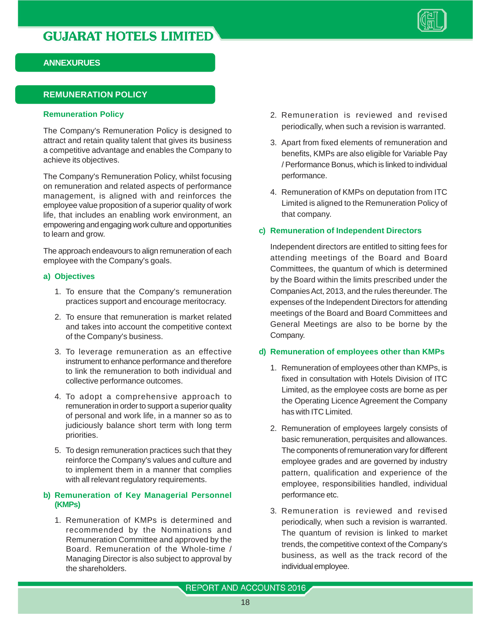

#### **ANNEXURUES**

#### **REMUNERATION POLICY**

#### **Remuneration Policy**

The Company's Remuneration Policy is designed to attract and retain quality talent that gives its business a competitive advantage and enables the Company to achieve its objectives.

The Company's Remuneration Policy, whilst focusing on remuneration and related aspects of performance management, is aligned with and reinforces the employee value proposition of a superior quality of work life, that includes an enabling work environment, an empowering and engaging work culture and opportunities to learn and grow.

The approach endeavours to align remuneration of each employee with the Company's goals.

#### **a) Objectives**

- 1. To ensure that the Company's remuneration practices support and encourage meritocracy.
- 2. To ensure that remuneration is market related and takes into account the competitive context of the Company's business.
- 3. To leverage remuneration as an effective instrument to enhance performance and therefore to link the remuneration to both individual and collective performance outcomes.
- 4. To adopt a comprehensive approach to remuneration in order to support a superior quality of personal and work life, in a manner so as to judiciously balance short term with long term priorities.
- 5. To design remuneration practices such that they reinforce the Company's values and culture and to implement them in a manner that complies with all relevant regulatory requirements.

#### **b) Remuneration of Key Managerial Personnel (KMPs)**

1. Remuneration of KMPs is determined and recommended by the Nominations and Remuneration Committee and approved by the Board. Remuneration of the Whole-time / Managing Director is also subject to approval by the shareholders.

- 2. Remuneration is reviewed and revised periodically, when such a revision is warranted.
- 3. Apart from fixed elements of remuneration and benefits, KMPs are also eligible for Variable Pay / Performance Bonus, which is linked to individual performance.
- 4. Remuneration of KMPs on deputation from ITC Limited is aligned to the Remuneration Policy of that company.

#### **c) Remuneration of Independent Directors**

Independent directors are entitled to sitting fees for attending meetings of the Board and Board Committees, the quantum of which is determined by the Board within the limits prescribed under the Companies Act, 2013, and the rules thereunder. The expenses of the Independent Directors for attending meetings of the Board and Board Committees and General Meetings are also to be borne by the Company.

#### **d) Remuneration of employees other than KMPs**

- 1. Remuneration of employees other than KMPs, is fixed in consultation with Hotels Division of ITC Limited, as the employee costs are borne as per the Operating Licence Agreement the Company has with ITC Limited.
- 2. Remuneration of employees largely consists of basic remuneration, perquisites and allowances. The components of remuneration vary for different employee grades and are governed by industry pattern, qualification and experience of the employee, responsibilities handled, individual performance etc.
- 3. Remuneration is reviewed and revised periodically, when such a revision is warranted. The quantum of revision is linked to market trends, the competitive context of the Company's business, as well as the track record of the individual employee.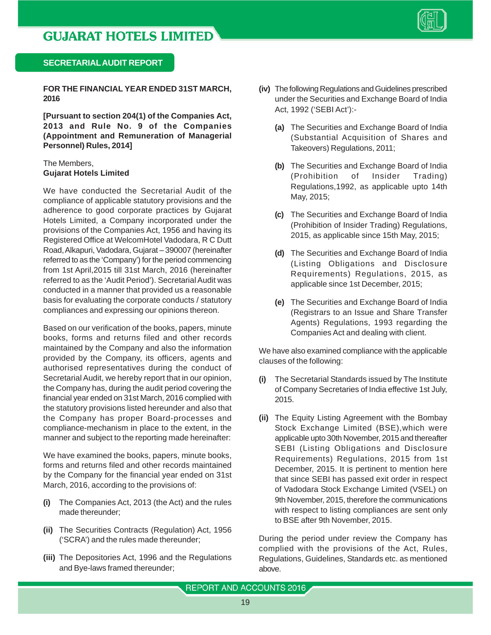

#### **SECRETARIAL AUDIT REPORT**

**FOR THE FINANCIAL YEAR ENDED 31ST MARCH, 2016**

**[Pursuant to section 204(1) of the Companies Act, 2013 and Rule No. 9 of the Companies (Appointment and Remuneration of Managerial Personnel) Rules, 2014]**

#### The Members, **Gujarat Hotels Limited**

We have conducted the Secretarial Audit of the compliance of applicable statutory provisions and the adherence to good corporate practices by Gujarat Hotels Limited, a Company incorporated under the provisions of the Companies Act, 1956 and having its Registered Office at WelcomHotel Vadodara, R C Dutt Road, Alkapuri, Vadodara, Gujarat – 390007 (hereinafter referred to as the 'Company') for the period commencing from 1st April,2015 till 31st March, 2016 (hereinafter referred to as the 'Audit Period'). Secretarial Audit was conducted in a manner that provided us a reasonable basis for evaluating the corporate conducts / statutory compliances and expressing our opinions thereon.

Based on our verification of the books, papers, minute books, forms and returns filed and other records maintained by the Company and also the information provided by the Company, its officers, agents and authorised representatives during the conduct of Secretarial Audit, we hereby report that in our opinion, the Company has, during the audit period covering the financial year ended on 31st March, 2016 complied with the statutory provisions listed hereunder and also that the Company has proper Board-processes and compliance-mechanism in place to the extent, in the manner and subject to the reporting made hereinafter:

We have examined the books, papers, minute books, forms and returns filed and other records maintained by the Company for the financial year ended on 31st March, 2016, according to the provisions of:

- **(i)** The Companies Act, 2013 (the Act) and the rules made thereunder;
- **(ii)** The Securities Contracts (Regulation) Act, 1956 ('SCRA') and the rules made thereunder;
- **(iii)** The Depositories Act, 1996 and the Regulations and Bye-laws framed thereunder;
- **(iv)** The following Regulations and Guidelines prescribed under the Securities and Exchange Board of India Act, 1992 ('SEBI Act'):-
	- **(a)** The Securities and Exchange Board of India (Substantial Acquisition of Shares and Takeovers) Regulations, 2011;
	- **(b)** The Securities and Exchange Board of India (Prohibition of Insider Trading) Regulations,1992, as applicable upto 14th May, 2015;
	- **(c)** The Securities and Exchange Board of India (Prohibition of Insider Trading) Regulations, 2015, as applicable since 15th May, 2015;
	- **(d)** The Securities and Exchange Board of India (Listing Obligations and Disclosure Requirements) Regulations, 2015, as applicable since 1st December, 2015;
	- **(e)** The Securities and Exchange Board of India (Registrars to an Issue and Share Transfer Agents) Regulations, 1993 regarding the Companies Act and dealing with client.

We have also examined compliance with the applicable clauses of the following:

- **(i)** The Secretarial Standards issued by The Institute of Company Secretaries of India effective 1st July, 2015.
- **(ii)** The Equity Listing Agreement with the Bombay Stock Exchange Limited (BSE),which were applicable upto 30th November, 2015 and thereafter SEBI (Listing Obligations and Disclosure Requirements) Regulations, 2015 from 1st December, 2015. It is pertinent to mention here that since SEBI has passed exit order in respect of Vadodara Stock Exchange Limited (VSEL) on 9th November, 2015, therefore the communications with respect to listing compliances are sent only to BSE after 9th November, 2015.

During the period under review the Company has complied with the provisions of the Act, Rules, Regulations, Guidelines, Standards etc. as mentioned above.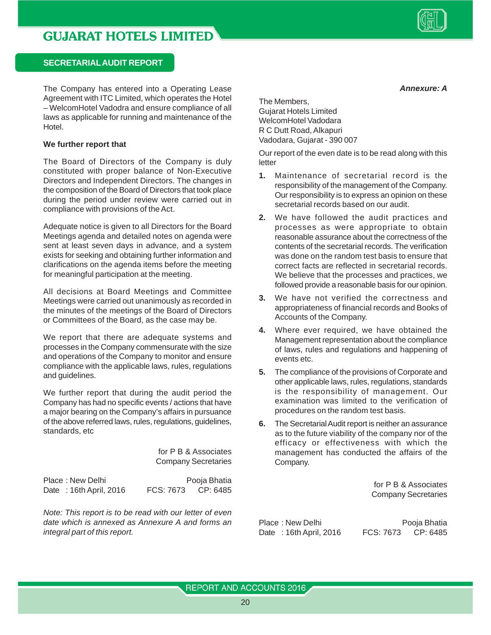

#### **SECRETARIAL AUDIT REPORT**

The Company has entered into a Operating Lease Agreement with ITC Limited, which operates the Hotel – WelcomHotel Vadodra and ensure compliance of all laws as applicable for running and maintenance of the Hotel.

#### **We further report that**

The Board of Directors of the Company is duly constituted with proper balance of Non-Executive Directors and Independent Directors. The changes in the composition of the Board of Directors that took place during the period under review were carried out in compliance with provisions of the Act.

Adequate notice is given to all Directors for the Board Meetings agenda and detailed notes on agenda were sent at least seven days in advance, and a system exists for seeking and obtaining further information and clarifications on the agenda items before the meeting for meaningful participation at the meeting.

All decisions at Board Meetings and Committee Meetings were carried out unanimously as recorded in the minutes of the meetings of the Board of Directors or Committees of the Board, as the case may be.

We report that there are adequate systems and processes in the Company commensurate with the size and operations of the Company to monitor and ensure compliance with the applicable laws, rules, regulations and guidelines.

We further report that during the audit period the Company has had no specific events / actions that have a major bearing on the Company's affairs in pursuance of the above referred laws, rules, regulations, guidelines, standards, etc

> for P B & Associates Company Secretaries

Place : New Delhi Place is New Delhi Pooja Bhatia Date: 16th April, 2016 FCS: 7673 CP: 6485

*Note: This report is to be read with our letter of even date which is annexed as Annexure A and forms an integral part of this report.*

The Members, Gujarat Hotels Limited WelcomHotel Vadodara R C Dutt Road, Alkapuri Vadodara, Gujarat - 390 007

Our report of the even date is to be read along with this letter

- **1.** Maintenance of secretarial record is the responsibility of the management of the Company. Our responsibility is to express an opinion on these secretarial records based on our audit.
- **2.** We have followed the audit practices and processes as were appropriate to obtain reasonable assurance about the correctness of the contents of the secretarial records. The verification was done on the random test basis to ensure that correct facts are reflected in secretarial records. We believe that the processes and practices, we followed provide a reasonable basis for our opinion.
- **3.** We have not verified the correctness and appropriateness of financial records and Books of Accounts of the Company.
- **4.** Where ever required, we have obtained the Management representation about the compliance of laws, rules and regulations and happening of events etc.
- **5.** The compliance of the provisions of Corporate and other applicable laws, rules, regulations, standards is the responsibility of management. Our examination was limited to the verification of procedures on the random test basis.
- **6.** The Secretarial Audit report is neither an assurance as to the future viability of the company nor of the efficacy or effectiveness with which the management has conducted the affairs of the Company.

for P B & Associates Company Secretaries

Place : New Delhi Pooja Bhatia Date: 16th April, 2016 FCS: 7673 CP: 6485

REPORT AND ACCOUNTS 2016

*Annexure: A*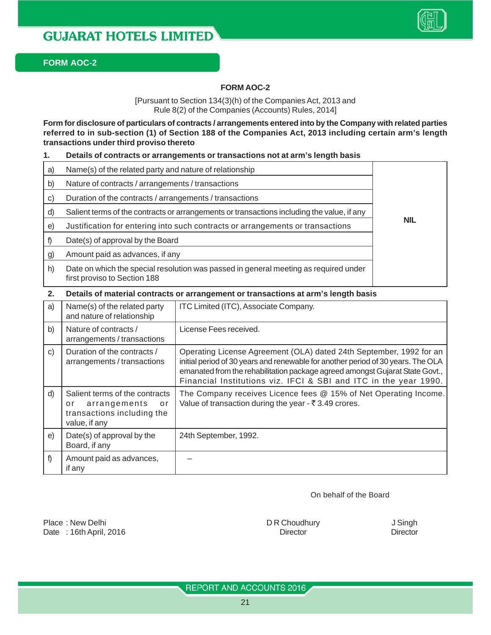

#### **FORM AOC-2**

#### **FORM AOC-2**

[Pursuant to Section 134(3)(h) of the Companies Act, 2013 and Rule 8(2) of the Companies (Accounts) Rules, 2014]

**Form for disclosure of particulars of contracts / arrangements entered into by the Company with related parties referred to in sub-section (1) of Section 188 of the Companies Act, 2013 including certain arm's length transactions under third proviso thereto**

#### **1. Details of contracts or arrangements or transactions not at arm's length basis**

| a) | Name(s) of the related party and nature of relationship                                                              |            |
|----|----------------------------------------------------------------------------------------------------------------------|------------|
| b) | Nature of contracts / arrangements / transactions                                                                    |            |
| C) | Duration of the contracts / arrangements / transactions                                                              |            |
| d) | Salient terms of the contracts or arrangements or transactions including the value, if any                           |            |
| e) | Justification for entering into such contracts or arrangements or transactions                                       | <b>NIL</b> |
|    | Date(s) of approval by the Board                                                                                     |            |
| g) | Amount paid as advances, if any                                                                                      |            |
| h) | Date on which the special resolution was passed in general meeting as required under<br>first proviso to Section 188 |            |

#### **2. Details of material contracts or arrangement or transactions at arm's length basis**

| a) | Name(s) of the related party<br>and nature of relationship                                                  | ITC Limited (ITC), Associate Company.                                                                                                                                                                                                                                                                       |
|----|-------------------------------------------------------------------------------------------------------------|-------------------------------------------------------------------------------------------------------------------------------------------------------------------------------------------------------------------------------------------------------------------------------------------------------------|
| b) | Nature of contracts /<br>arrangements / transactions                                                        | License Fees received.                                                                                                                                                                                                                                                                                      |
| C) | Duration of the contracts /<br>arrangements / transactions                                                  | Operating License Agreement (OLA) dated 24th September, 1992 for an<br>initial period of 30 years and renewable for another period of 30 years. The OLA<br>emanated from the rehabilitation package agreed amongst Gujarat State Govt.,<br>Financial Institutions viz. IFCI & SBI and ITC in the year 1990. |
| d) | Salient terms of the contracts<br>arrangements<br>o r<br>o r<br>transactions including the<br>value, if any | The Company receives Licence fees @ 15% of Net Operating Income.<br>Value of transaction during the year - ₹3.49 crores.                                                                                                                                                                                    |
| e) | Date(s) of approval by the<br>Board, if any                                                                 | 24th September, 1992.                                                                                                                                                                                                                                                                                       |
| f) | Amount paid as advances,<br>if any                                                                          |                                                                                                                                                                                                                                                                                                             |

On behalf of the Board

Place : New Delhi **DR Choudhury** J Singh Date : 16th April, 2016 **Director** Director Director Director Director Director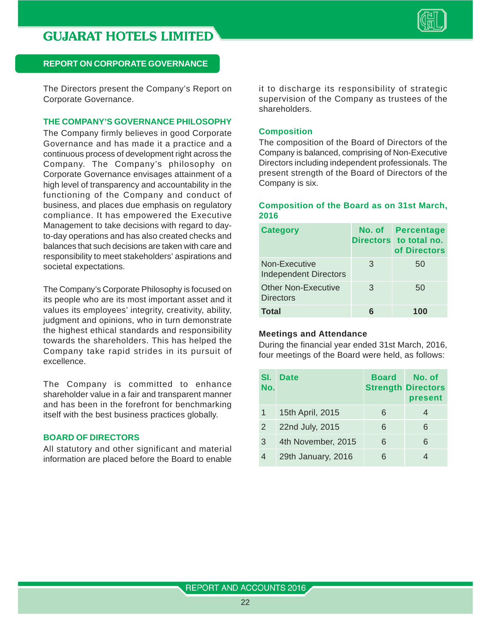

The Directors present the Company's Report on Corporate Governance.

#### **THE COMPANY'S GOVERNANCE PHILOSOPHY**

The Company firmly believes in good Corporate Governance and has made it a practice and a continuous process of development right across the Company. The Company's philosophy on Corporate Governance envisages attainment of a high level of transparency and accountability in the functioning of the Company and conduct of business, and places due emphasis on regulatory compliance. It has empowered the Executive Management to take decisions with regard to dayto-day operations and has also created checks and balances that such decisions are taken with care and responsibility to meet stakeholders' aspirations and societal expectations.

The Company's Corporate Philosophy is focused on its people who are its most important asset and it values its employees' integrity, creativity, ability, judgment and opinions, who in turn demonstrate the highest ethical standards and responsibility towards the shareholders. This has helped the Company take rapid strides in its pursuit of excellence.

The Company is committed to enhance shareholder value in a fair and transparent manner and has been in the forefront for benchmarking itself with the best business practices globally.

#### **BOARD OF DIRECTORS**

All statutory and other significant and material information are placed before the Board to enable it to discharge its responsibility of strategic supervision of the Company as trustees of the shareholders.

#### **Composition**

The composition of the Board of Directors of the Company is balanced, comprising of Non-Executive Directors including independent professionals. The present strength of the Board of Directors of the Company is six.

#### **Composition of the Board as on 31st March, 2016**

| <b>Category</b>                                |   | <b>No. of Percentage</b><br>Directors to total no.<br>of Directors |
|------------------------------------------------|---|--------------------------------------------------------------------|
| Non-Executive<br><b>Independent Directors</b>  | 3 | 50                                                                 |
| <b>Other Non-Executive</b><br><b>Directors</b> | 3 | 50                                                                 |
| <b>Total</b>                                   | 6 | 100                                                                |

#### **Meetings and Attendance**

During the financial year ended 31st March, 2016, four meetings of the Board were held, as follows:

| SI.<br>No. | <b>Date</b>        | <b>Board</b> | No. of<br><b>Strength Directors</b><br>present |
|------------|--------------------|--------------|------------------------------------------------|
| 1          | 15th April, 2015   | 6            | 4                                              |
| 2          | 22nd July, 2015    | 6            | 6                                              |
| 3          | 4th November, 2015 | 6            | 6                                              |
| 4          | 29th January, 2016 | 6            |                                                |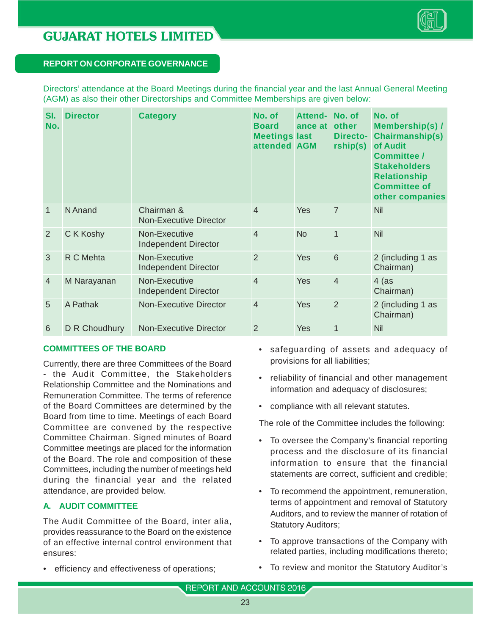

|  |  |  |  |  | Directors' attendance at the Board Meetings during the financial year and the last Annual General Meeting |  |  |  |  |
|--|--|--|--|--|-----------------------------------------------------------------------------------------------------------|--|--|--|--|
|  |  |  |  |  | (AGM) as also their other Directorships and Committee Memberships are given below:                        |  |  |  |  |

| SI.<br>No.     | <b>Director</b> | <b>Category</b>                              | No. of<br><b>Board</b><br><b>Meetings last</b><br>attended AGM | Attend- No. of<br>ance at | other<br><b>Directo-</b><br>rship(s) | No. of<br><b>Membership(s) /</b><br><b>Chairmanship(s)</b><br>of Audit<br><b>Committee /</b><br><b>Stakeholders</b><br><b>Relationship</b><br><b>Committee of</b><br>other companies |
|----------------|-----------------|----------------------------------------------|----------------------------------------------------------------|---------------------------|--------------------------------------|--------------------------------------------------------------------------------------------------------------------------------------------------------------------------------------|
| $\mathbf{1}$   | N Anand         | Chairman &<br><b>Non-Executive Director</b>  | $\overline{4}$                                                 | Yes                       | $\overline{7}$                       | <b>Nil</b>                                                                                                                                                                           |
| 2              | C K Koshy       | Non-Executive<br><b>Independent Director</b> | $\overline{4}$                                                 | <b>No</b>                 | $\mathbf{1}$                         | Nil                                                                                                                                                                                  |
| 3              | R C Mehta       | Non-Executive<br><b>Independent Director</b> | $\overline{2}$                                                 | Yes                       | $6\phantom{1}6$                      | 2 (including 1 as<br>Chairman)                                                                                                                                                       |
| $\overline{4}$ | M Narayanan     | Non-Executive<br><b>Independent Director</b> | $\overline{4}$                                                 | Yes                       | $\overline{4}$                       | $4$ (as<br>Chairman)                                                                                                                                                                 |
| 5              | A Pathak        | Non-Executive Director                       | $\overline{4}$                                                 | Yes                       | $\overline{2}$                       | 2 (including 1 as<br>Chairman)                                                                                                                                                       |
| 6              | D R Choudhury   | <b>Non-Executive Director</b>                | $\overline{2}$                                                 | Yes                       | $\mathbf{1}$                         | Nil                                                                                                                                                                                  |

#### **COMMITTEES OF THE BOARD**

Currently, there are three Committees of the Board - the Audit Committee, the Stakeholders Relationship Committee and the Nominations and Remuneration Committee. The terms of reference of the Board Committees are determined by the Board from time to time. Meetings of each Board Committee are convened by the respective Committee Chairman. Signed minutes of Board Committee meetings are placed for the information of the Board. The role and composition of these Committees, including the number of meetings held during the financial year and the related attendance, are provided below.

#### **A. AUDIT COMMITTEE**

The Audit Committee of the Board, inter alia, provides reassurance to the Board on the existence of an effective internal control environment that ensures:

• efficiency and effectiveness of operations;

- safeguarding of assets and adequacy of provisions for all liabilities;
- reliability of financial and other management information and adequacy of disclosures;
- compliance with all relevant statutes.

The role of the Committee includes the following:

- To oversee the Company's financial reporting process and the disclosure of its financial information to ensure that the financial statements are correct, sufficient and credible;
- To recommend the appointment, remuneration, terms of appointment and removal of Statutory Auditors, and to review the manner of rotation of Statutory Auditors;
- To approve transactions of the Company with related parties, including modifications thereto;
- To review and monitor the Statutory Auditor's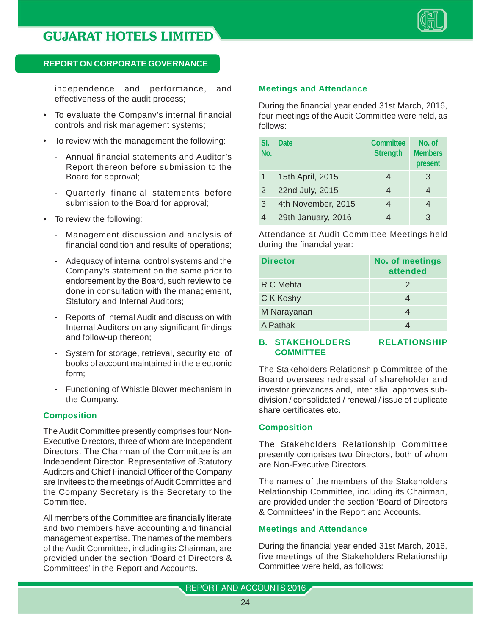

independence and performance, and effectiveness of the audit process;

- To evaluate the Company's internal financial controls and risk management systems;
- To review with the management the following:
	- Annual financial statements and Auditor's Report thereon before submission to the Board for approval;
	- Quarterly financial statements before submission to the Board for approval;
- To review the following:
	- Management discussion and analysis of financial condition and results of operations;
	- Adequacy of internal control systems and the Company's statement on the same prior to endorsement by the Board, such review to be done in consultation with the management, Statutory and Internal Auditors;
	- Reports of Internal Audit and discussion with Internal Auditors on any significant findings and follow-up thereon;
	- System for storage, retrieval, security etc. of books of account maintained in the electronic form;
	- Functioning of Whistle Blower mechanism in the Company.

#### **Composition**

The Audit Committee presently comprises four Non-Executive Directors, three of whom are Independent Directors. The Chairman of the Committee is an Independent Director. Representative of Statutory Auditors and Chief Financial Officer of the Company are Invitees to the meetings of Audit Committee and the Company Secretary is the Secretary to the Committee.

All members of the Committee are financially literate and two members have accounting and financial management expertise. The names of the members of the Audit Committee, including its Chairman, are provided under the section 'Board of Directors & Committees' in the Report and Accounts.

#### **Meetings and Attendance**

During the financial year ended 31st March, 2016, four meetings of the Audit Committee were held, as follows:

| SI.<br>No. | <b>Date</b>        | <b>Committee</b><br><b>Strength</b> | No. of<br><b>Members</b><br>present |
|------------|--------------------|-------------------------------------|-------------------------------------|
|            | 15th April, 2015   |                                     | 3                                   |
| 2          | 22nd July, 2015    | 4                                   |                                     |
| 3          | 4th November, 2015 |                                     |                                     |
| 4          | 29th January, 2016 |                                     | З                                   |

Attendance at Audit Committee Meetings held during the financial year:

| <b>Director</b> | <b>No. of meetings</b><br>attended |
|-----------------|------------------------------------|
| R C Mehta       | 2                                  |
| C K Koshy       |                                    |
| M Narayanan     |                                    |
| A Pathak        |                                    |

#### **B. STAKEHOLDERS RELATIONSHIP COMMITTEE**

The Stakeholders Relationship Committee of the Board oversees redressal of shareholder and investor grievances and, inter alia, approves subdivision / consolidated / renewal / issue of duplicate share certificates etc.

#### **Composition**

The Stakeholders Relationship Committee presently comprises two Directors, both of whom are Non-Executive Directors.

The names of the members of the Stakeholders Relationship Committee, including its Chairman, are provided under the section 'Board of Directors & Committees' in the Report and Accounts.

#### **Meetings and Attendance**

During the financial year ended 31st March, 2016, five meetings of the Stakeholders Relationship Committee were held, as follows: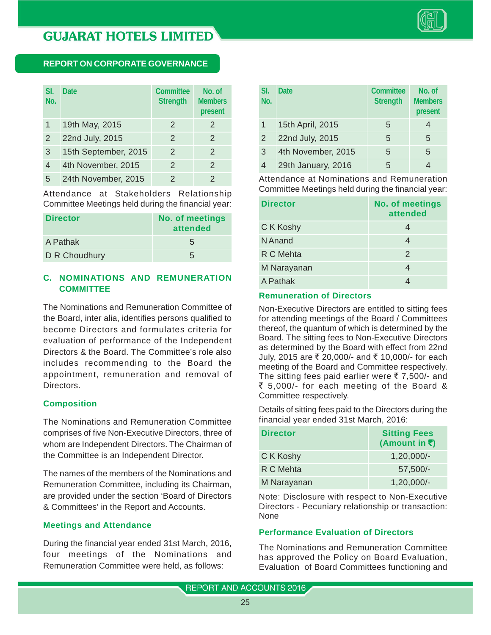

#### **REPORT ON CORPORATE GOVERNANCE**

| SI.<br>No. | <b>Date</b>          | Committee<br><b>Strength</b> | No. of<br><b>Members</b><br>present |
|------------|----------------------|------------------------------|-------------------------------------|
| 1          | 19th May, 2015       | $\overline{2}$               | 2                                   |
| 2          | 22nd July, 2015      | 2                            | 2                                   |
| 3          | 15th September, 2015 | 2                            | 2                                   |
| 4          | 4th November, 2015   | 2                            | 2                                   |
| 5          | 24th November, 2015  | 2                            | $\mathcal{P}$                       |

Attendance at Stakeholders Relationship Committee Meetings held during the financial year:

| <b>Director</b> | <b>No. of meetings</b><br>attended |  |
|-----------------|------------------------------------|--|
| A Pathak        | 5                                  |  |
| D R Choudhury   | 5                                  |  |

#### **C. NOMINATIONS AND REMUNERATION COMMITTEE**

The Nominations and Remuneration Committee of the Board, inter alia, identifies persons qualified to become Directors and formulates criteria for evaluation of performance of the Independent Directors & the Board. The Committee's role also includes recommending to the Board the appointment, remuneration and removal of Directors.

#### **Composition**

The Nominations and Remuneration Committee comprises of five Non-Executive Directors, three of whom are Independent Directors. The Chairman of the Committee is an Independent Director.

The names of the members of the Nominations and Remuneration Committee, including its Chairman, are provided under the section 'Board of Directors & Committees' in the Report and Accounts.

#### **Meetings and Attendance**

During the financial year ended 31st March, 2016, four meetings of the Nominations and Remuneration Committee were held, as follows:

| SI.<br>No. | <b>Date</b>        | <b>Committee</b><br><b>Strength</b> | No. of<br><b>Members</b><br>present |
|------------|--------------------|-------------------------------------|-------------------------------------|
|            | 15th April, 2015   | 5                                   |                                     |
| 2          | 22nd July, 2015    | 5                                   | 5                                   |
| 3          | 4th November, 2015 | 5                                   | 5                                   |
| 4          | 29th January, 2016 | 5                                   |                                     |

Attendance at Nominations and Remuneration Committee Meetings held during the financial year:

| <b>Director</b> | <b>No. of meetings</b><br>attended |
|-----------------|------------------------------------|
| C K Koshy       |                                    |
| N Anand         | 4                                  |
| R C Mehta       | 2                                  |
| M Narayanan     |                                    |
| A Pathak        |                                    |

#### **Remuneration of Directors**

Non-Executive Directors are entitled to sitting fees for attending meetings of the Board / Committees thereof, the quantum of which is determined by the Board. The sitting fees to Non-Executive Directors as determined by the Board with effect from 22nd July, 2015 are ₹ 20,000/- and ₹ 10,000/- for each meeting of the Board and Committee respectively. The sitting fees paid earlier were  $\overline{z}$  7,500/- and  $\overline{\xi}$  5,000/- for each meeting of the Board & Committee respectively.

Details of sitting fees paid to the Directors during the financial year ended 31st March, 2016:

| <b>Director</b> | <b>Sitting Fees</b><br>(Amount in ₹) |
|-----------------|--------------------------------------|
| C K Koshy       | $1,20,000/-$                         |
| R C Mehta       | $57,500/-$                           |
| M Narayanan     | $1,20,000/-$                         |

Note: Disclosure with respect to Non-Executive Directors - Pecuniary relationship or transaction: None

#### **Performance Evaluation of Directors**

The Nominations and Remuneration Committee has approved the Policy on Board Evaluation, Evaluation of Board Committees functioning and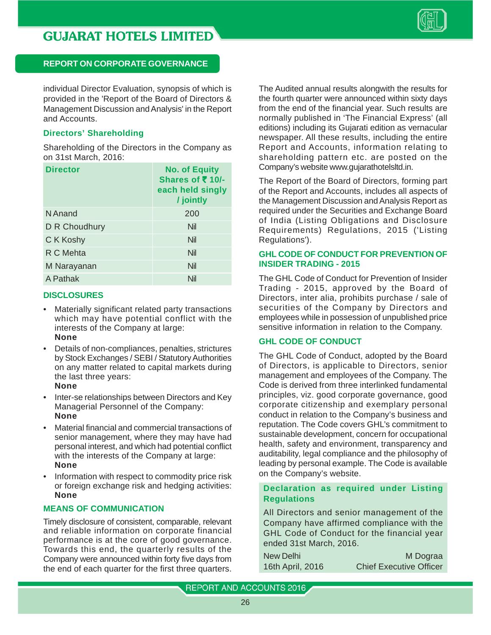

individual Director Evaluation, synopsis of which is provided in the 'Report of the Board of Directors & Management Discussion and Analysis' in the Report and Accounts.

#### **Directors' Shareholding**

Shareholding of the Directors in the Company as on 31st March, 2016:

| <b>Director</b> | <b>No. of Equity</b><br>Shares of $\bar{\tau}$ 10/-<br>each held singly<br>/ jointly |
|-----------------|--------------------------------------------------------------------------------------|
| N Anand         | 200                                                                                  |
| D R Choudhury   | Nil                                                                                  |
| C K Koshy       | Nil                                                                                  |
| R C Mehta       | Nil                                                                                  |
| M Narayanan     | Nil                                                                                  |
| A Pathak        | Nil                                                                                  |

#### **DISCLOSURES**

- Materially significant related party transactions which may have potential conflict with the interests of the Company at large: **None**
- Details of non-compliances, penalties, strictures by Stock Exchanges / SEBI / Statutory Authorities on any matter related to capital markets during the last three years: **None**
- Inter-se relationships between Directors and Key Managerial Personnel of the Company: **None**
- Material financial and commercial transactions of senior management, where they may have had personal interest, and which had potential conflict with the interests of the Company at large: **None**
- Information with respect to commodity price risk or foreign exchange risk and hedging activities: **None**

#### **MEANS OF COMMUNICATION**

Timely disclosure of consistent, comparable, relevant and reliable information on corporate financial performance is at the core of good governance. Towards this end, the quarterly results of the Company were announced within forty five days from the end of each quarter for the first three quarters.

The Audited annual results alongwith the results for the fourth quarter were announced within sixty days from the end of the financial year. Such results are normally published in 'The Financial Express' (all editions) including its Gujarati edition as vernacular newspaper. All these results, including the entire Report and Accounts, information relating to shareholding pattern etc. are posted on the Company's website www.gujarathotelsltd.in.

The Report of the Board of Directors, forming part of the Report and Accounts, includes all aspects of the Management Discussion and Analysis Report as required under the Securities and Exchange Board of India (Listing Obligations and Disclosure Requirements) Regulations, 2015 ('Listing Regulations').

#### **GHL CODE OF CONDUCT FOR PREVENTION OF INSIDER TRADING - 2015**

The GHL Code of Conduct for Prevention of Insider Trading - 2015, approved by the Board of Directors, inter alia, prohibits purchase / sale of securities of the Company by Directors and employees while in possession of unpublished price sensitive information in relation to the Company.

#### **GHL CODE OF CONDUCT**

The GHL Code of Conduct, adopted by the Board of Directors, is applicable to Directors, senior management and employees of the Company. The Code is derived from three interlinked fundamental principles, viz. good corporate governance, good corporate citizenship and exemplary personal conduct in relation to the Company's business and reputation. The Code covers GHL's commitment to sustainable development, concern for occupational health, safety and environment, transparency and auditability, legal compliance and the philosophy of leading by personal example. The Code is available on the Company's website.

#### **Declaration as required under Listing Regulations**

All Directors and senior management of the Company have affirmed compliance with the GHL Code of Conduct for the financial year ended 31st March, 2016.

New Delhi M Dograa 16th April, 2016 Chief Executive Officer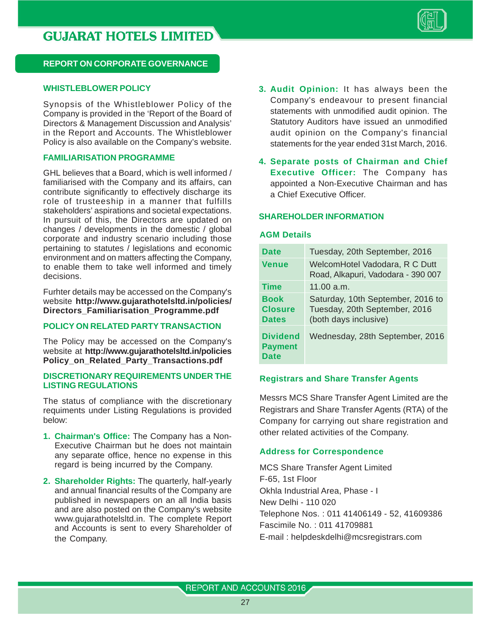

#### **WHISTLEBLOWER POLICY**

Synopsis of the Whistleblower Policy of the Company is provided in the 'Report of the Board of Directors & Management Discussion and Analysis' in the Report and Accounts. The Whistleblower Policy is also available on the Company's website.

#### **FAMILIARISATION PROGRAMME**

GHL believes that a Board, which is well informed / familiarised with the Company and its affairs, can contribute significantly to effectively discharge its role of trusteeship in a manner that fulfills stakeholders' aspirations and societal expectations. In pursuit of this, the Directors are updated on changes / developments in the domestic / global corporate and industry scenario including those pertaining to statutes / legislations and economic environment and on matters affecting the Company, to enable them to take well informed and timely decisions.

Furhter details may be accessed on the Company's website **http://www.gujarathotelsltd.in/policies/ Directors\_Familiarisation\_Programme.pdf**

#### **POLICY ON RELATED PARTY TRANSACTION**

The Policy may be accessed on the Company's website at **http://www.gujarathotelsltd.in/policies Policy\_on\_Related\_Party\_Transactions.pdf**

#### **DISCRETIONARY REQUIREMENTS UNDER THE LISTING REGULATIONS**

The status of compliance with the discretionary requiments under Listing Regulations is provided below:

- **1. Chairman's Office:** The Company has a Non-Executive Chairman but he does not maintain any separate office, hence no expense in this regard is being incurred by the Company.
- **2. Shareholder Rights:** The quarterly, half-yearly and annual financial results of the Company are published in newspapers on an all India basis and are also posted on the Company's website www.gujarathotelsltd.in. The complete Report and Accounts is sent to every Shareholder of the Company.
- **3. Audit Opinion:** It has always been the Company's endeavour to present financial statements with unmodified audit opinion. The Statutory Auditors have issued an unmodified audit opinion on the Company's financial statements for the year ended 31st March, 2016.
- **4. Separate posts of Chairman and Chief Executive Officer:** The Company has appointed a Non-Executive Chairman and has a Chief Executive Officer.

#### **SHAREHOLDER INFORMATION**

#### **AGM Details**

| <b>Date</b>                                      | Tuesday, 20th September, 2016                                                               |
|--------------------------------------------------|---------------------------------------------------------------------------------------------|
| <b>Venue</b>                                     | WelcomHotel Vadodara, R C Dutt<br>Road, Alkapuri, Vadodara - 390 007                        |
| <b>Time</b>                                      | 11.00 a.m.                                                                                  |
| <b>Book</b><br><b>Closure</b><br><b>Dates</b>    | Saturday, 10th September, 2016 to<br>Tuesday, 20th September, 2016<br>(both days inclusive) |
| <b>Dividend</b><br><b>Payment</b><br><b>Date</b> | Wednesday, 28th September, 2016                                                             |

#### **Registrars and Share Transfer Agents**

Messrs MCS Share Transfer Agent Limited are the Registrars and Share Transfer Agents (RTA) of the Company for carrying out share registration and other related activities of the Company.

#### **Address for Correspondence**

MCS Share Transfer Agent Limited F-65, 1st Floor Okhla Industrial Area, Phase - I New Delhi - 110 020 Telephone Nos. : 011 41406149 - 52, 41609386 Fascimile No. : 011 41709881 E-mail : helpdeskdelhi@mcsregistrars.com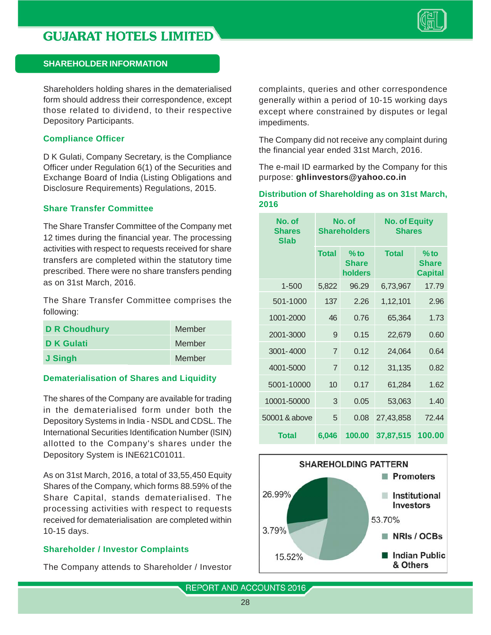

Shareholders holding shares in the dematerialised form should address their correspondence, except those related to dividend, to their respective Depository Participants.

#### **Compliance Officer**

D K Gulati, Company Secretary, is the Compliance Officer under Regulation 6(1) of the Securities and Exchange Board of India (Listing Obligations and Disclosure Requirements) Regulations, 2015.

#### **Share Transfer Committee**

The Share Transfer Committee of the Company met 12 times during the financial year. The processing activities with respect to requests received for share transfers are completed within the statutory time prescribed. There were no share transfers pending as on 31st March, 2016.

The Share Transfer Committee comprises the following:

| <b>D R Choudhury</b> | Member |
|----------------------|--------|
| <b>D</b> K Gulati    | Member |
| J Singh              | Member |

#### **Dematerialisation of Shares and Liquidity**

The shares of the Company are available for trading in the dematerialised form under both the Depository Systems in India - NSDL and CDSL. The International Securities Identification Number (lSIN) allotted to the Company's shares under the Depository System is INE621C01011.

As on 31st March, 2016, a total of 33,55,450 Equity Shares of the Company, which forms 88.59% of the Share Capital, stands dematerialised. The processing activities with respect to requests received for dematerialisation are completed within 10-15 days.

#### **Shareholder / Investor Complaints**

The Company attends to Shareholder / Investor

complaints, queries and other correspondence generally within a period of 10-15 working days except where constrained by disputes or legal impediments.

The Company did not receive any complaint during the financial year ended 31st March, 2016.

The e-mail ID earmarked by the Company for this purpose: **ghlinvestors@yahoo.co.in**

#### **Distribution of Shareholding as on 31st March, 2016**

| No. of<br><b>Shares</b><br><b>Slab</b> | No. of<br><b>Shareholders</b> |                                   | <b>No. of Equity</b><br><b>Shares</b> |                                          |
|----------------------------------------|-------------------------------|-----------------------------------|---------------------------------------|------------------------------------------|
|                                        | <b>Total</b>                  | $%$ to<br><b>Share</b><br>holders | <b>Total</b>                          | $%$ to<br><b>Share</b><br><b>Capital</b> |
| $1 - 500$                              | 5,822                         | 96.29                             | 6,73,967                              | 17.79                                    |
| 501-1000                               | 137                           | 2.26                              | 1,12,101                              | 2.96                                     |
| 1001-2000                              | 46                            | 0.76                              | 65,364                                | 1.73                                     |
| 2001-3000                              | 9                             | 0.15                              | 22,679                                | 0.60                                     |
| 3001-4000                              | 7                             | 0.12                              | 24,064                                | 0.64                                     |
| 4001-5000                              | $\overline{7}$                | 0.12                              | 31,135                                | 0.82                                     |
| 5001-10000                             | 10                            | 0.17                              | 61,284                                | 1.62                                     |
| 10001-50000                            | 3                             | 0.05                              | 53,063                                | 1.40                                     |
| 50001 & above                          | 5                             | 0.08                              | 27,43,858                             | 72.44                                    |
| <b>Total</b>                           | 6,046                         | 100.00                            | 37,87,515                             | 100.00                                   |

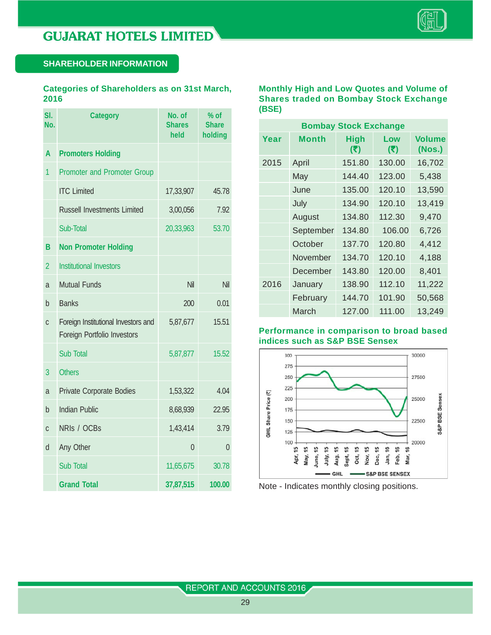

#### **Categories of Shareholders as on 31st March, 2016**

| SI.<br>No.     | <b>Category</b>                                                           | No. of<br><b>Shares</b><br>held | $%$ of<br><b>Share</b><br>holding |
|----------------|---------------------------------------------------------------------------|---------------------------------|-----------------------------------|
| A              | <b>Promoters Holding</b>                                                  |                                 |                                   |
| 1              | <b>Promoter and Promoter Group</b>                                        |                                 |                                   |
|                | <b>ITC Limited</b>                                                        | 17,33,907                       | 45.78                             |
|                | <b>Russell Investments Limited</b>                                        | 3,00,056                        | 7.92                              |
|                | Sub-Total                                                                 | 20,33,963                       | 53.70                             |
| В              | <b>Non Promoter Holding</b>                                               |                                 |                                   |
| $\overline{2}$ | <b>Institutional Investors</b>                                            |                                 |                                   |
| a              | <b>Mutual Funds</b>                                                       | Nil                             | Nil                               |
| h              | <b>Banks</b>                                                              | 200                             | 0.01                              |
| C              | Foreign Institutional Investors and<br><b>Foreign Portfolio Investors</b> | 5,87,677                        | 15.51                             |
|                | <b>Sub Total</b>                                                          | 5,87,877                        | 15.52                             |
| 3              | <b>Others</b>                                                             |                                 |                                   |
| a              | Private Corporate Bodies                                                  | 1,53,322                        | 4.04                              |
| b              | <b>Indian Public</b>                                                      | 8,68,939                        | 22.95                             |
| C              | NRIS / OCBS                                                               | 1,43,414                        | 3.79                              |
| d              | Any Other                                                                 | $\overline{0}$                  | $\overline{0}$                    |
|                | <b>Sub Total</b>                                                          | 11,65,675                       | 30.78                             |
|                | <b>Grand Total</b>                                                        | 37,87,515                       | 100.00                            |

#### **Monthly High and Low Quotes and Volume of Shares traded on Bombay Stock Exchange (BSE)**

| <b>Bombay Stock Exchange</b> |           |        |            |                         |  |  |  |  |
|------------------------------|-----------|--------|------------|-------------------------|--|--|--|--|
| Year                         | Month     |        | Low<br>(5) | <b>Volume</b><br>(Nos.) |  |  |  |  |
| 2015                         | April     | 151.80 | 130.00     | 16,702                  |  |  |  |  |
|                              | May       | 144.40 | 123.00     | 5,438                   |  |  |  |  |
|                              | June      | 135.00 | 120.10     | 13,590                  |  |  |  |  |
|                              | July      | 134.90 | 120.10     | 13,419                  |  |  |  |  |
|                              | August    | 134.80 | 112.30     | 9,470                   |  |  |  |  |
|                              | September | 134.80 | 106.00     | 6,726                   |  |  |  |  |
|                              | October   | 137.70 | 120.80     | 4,412                   |  |  |  |  |
|                              | November  | 134.70 | 120.10     | 4,188                   |  |  |  |  |
|                              | December  | 143.80 | 120.00     | 8,401                   |  |  |  |  |
| 2016                         | January   | 138.90 | 112.10     | 11,222                  |  |  |  |  |
|                              | February  | 144.70 | 101.90     | 50,568                  |  |  |  |  |
|                              | March     | 127.00 | 111.00     | 13,249                  |  |  |  |  |

#### **Performance in comparison to broad based indices such as S&P BSE Sensex**



Note - Indicates monthly closing positions.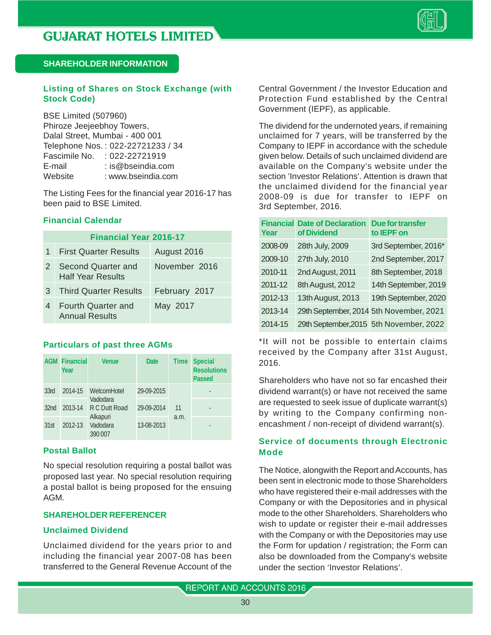

#### **Listing of Shares on Stock Exchange (with Stock Code)**

BSE Limited (507960) Phiroze Jeejeebhoy Towers, Dalal Street, Mumbai - 400 001 Telephone Nos. : 022-22721233 / 34 Fascimile No. : 022-22721919 E-mail : is@bseindia.com Website : www.bseindia.com

The Listing Fees for the financial year 2016-17 has been paid to BSE Limited.

#### **Financial Calendar**

|   | <b>Financial Year 2016-17</b>                      |               |
|---|----------------------------------------------------|---------------|
|   | 1 First Quarter Results                            | August 2016   |
| 2 | Second Quarter and<br><b>Half Year Results</b>     | November 2016 |
| 3 | <b>Third Quarter Results</b>                       | February 2017 |
| 4 | <b>Fourth Quarter and</b><br><b>Annual Results</b> | May 2017      |

#### **Particulars of past three AGMs**

|                  | <b>AGM Financial</b><br>Year | <b>Venue</b>                    | <b>Date</b> | <b>Time</b> | <b>Special</b><br><b>Resolutions</b><br><b>Passed</b> |
|------------------|------------------------------|---------------------------------|-------------|-------------|-------------------------------------------------------|
| 33rd             | 2014-15                      | WelcomHotel                     | 29-09-2015  |             |                                                       |
| 32 <sub>nd</sub> | 2013-14                      | Vadodara<br>R C Dutt Road       | 29-09-2014  | 11          |                                                       |
| 31st             | 2012-13                      | Alkapuri<br>Vadodara<br>390 007 | 13-08-2013  | a.m.        |                                                       |

#### **Postal Ballot**

No special resolution requiring a postal ballot was proposed last year. No special resolution requiring a postal ballot is being proposed for the ensuing AGM.

#### **SHAREHOLDER REFERENCER**

#### **Unclaimed Dividend**

Unclaimed dividend for the years prior to and including the financial year 2007-08 has been transferred to the General Revenue Account of the

Central Government / the Investor Education and Protection Fund established by the Central Government (IEPF), as applicable.

The dividend for the undernoted years, if remaining unclaimed for 7 years, will be transferred by the Company to IEPF in accordance with the schedule given below. Details of such unclaimed dividend are available on the Company's website under the section 'Investor Relations'. Attention is drawn that the unclaimed dividend for the financial year 2008-09 is due for transfer to IEPF on 3rd September, 2016.

| <b>Financial</b><br>Year | <b>Date of Declaration</b><br>of Dividend | <b>Due for transfer</b><br>to IEPF on   |
|--------------------------|-------------------------------------------|-----------------------------------------|
| 2008-09                  | 28th July, 2009                           | 3rd September, 2016*                    |
| 2009-10                  | 27th July, 2010                           | 2nd September, 2017                     |
| 2010-11                  | 2nd August, 2011                          | 8th September, 2018                     |
| 2011-12                  | 8th August, 2012                          | 14th September, 2019                    |
| 2012-13                  | 13th August, 2013                         | 19th September, 2020                    |
| 2013-14                  |                                           | 29th September, 2014 5th November, 2021 |
| 2014-15                  |                                           | 29th September, 2015 5th November, 2022 |

\*It will not be possible to entertain claims received by the Company after 31st August, 2016.

Shareholders who have not so far encashed their dividend warrant(s) or have not received the same are requested to seek issue of duplicate warrant(s) by writing to the Company confirming nonencashment / non-receipt of dividend warrant(s).

#### **Service of documents through Electronic Mode**

The Notice, alongwith the Report and Accounts, has been sent in electronic mode to those Shareholders who have registered their e-mail addresses with the Company or with the Depositories and in physical mode to the other Shareholders. Shareholders who wish to update or register their e-mail addresses with the Company or with the Depositories may use the Form for updation / registration; the Form can also be downloaded from the Company's website under the section 'Investor Relations'.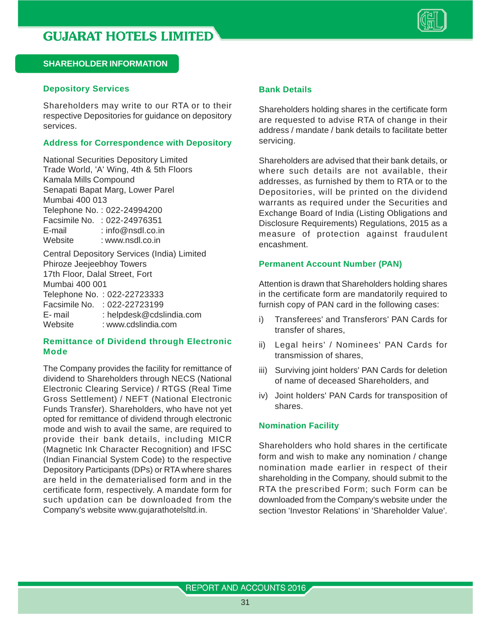

#### **Depository Services**

Shareholders may write to our RTA or to their respective Depositories for guidance on depository services.

#### **Address for Correspondence with Depository**

National Securities Depository Limited Trade World, 'A' Wing, 4th & 5th Floors Kamala Mills Compound Senapati Bapat Marg, Lower Parel Mumbai 400 013 Telephone No. : 022-24994200 Facsimile No. : 022-24976351 E-mail : info@nsdl.co.in Website : www.nsdl.co.in Central Depository Services (India) Limited Phiroze Jeejeebhoy Towers 17th Floor, Dalal Street, Fort Mumbai 400 001 Telephone No. : 022-22723333 Facsimile No. : 022-22723199 E- mail : helpdesk@cdslindia.com Website : www.cdslindia.com

#### **Remittance of Dividend through Electronic Mode**

The Company provides the facility for remittance of dividend to Shareholders through NECS (National Electronic Clearing Service) / RTGS (Real Time Gross Settlement) / NEFT (National Electronic Funds Transfer). Shareholders, who have not yet opted for remittance of dividend through electronic mode and wish to avail the same, are required to provide their bank details, including MICR (Magnetic Ink Character Recognition) and IFSC (Indian Financial System Code) to the respective Depository Participants (DPs) or RTA where shares are held in the dematerialised form and in the certificate form, respectively. A mandate form for such updation can be downloaded from the Company's website www.gujarathotelsltd.in.

#### **Bank Details**

Shareholders holding shares in the certificate form are requested to advise RTA of change in their address / mandate / bank details to facilitate better servicing.

Shareholders are advised that their bank details, or where such details are not available, their addresses, as furnished by them to RTA or to the Depositories, will be printed on the dividend warrants as required under the Securities and Exchange Board of India (Listing Obligations and Disclosure Requirements) Regulations, 2015 as a measure of protection against fraudulent encashment.

#### **Permanent Account Number (PAN)**

Attention is drawn that Shareholders holding shares in the certificate form are mandatorily required to furnish copy of PAN card in the following cases:

- i) Transferees' and Transferors' PAN Cards for transfer of shares,
- ii) Legal heirs' / Nominees' PAN Cards for transmission of shares,
- iii) Surviving joint holders' PAN Cards for deletion of name of deceased Shareholders, and
- iv) Joint holders' PAN Cards for transposition of shares.

#### **Nomination Facility**

Shareholders who hold shares in the certificate form and wish to make any nomination / change nomination made earlier in respect of their shareholding in the Company, should submit to the RTA the prescribed Form; such Form can be downloaded from the Company's website under the section 'Investor Relations' in 'Shareholder Value'.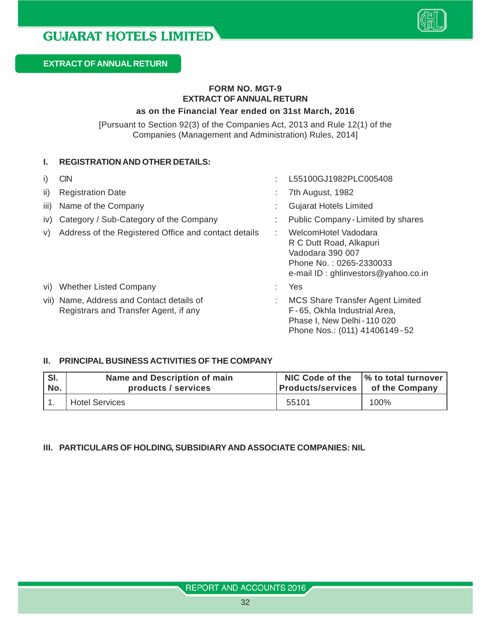

#### **FORM NO. MGT-9 EXTRACT OF ANNUAL RETURN**

#### **as on the Financial Year ended on 31st March, 2016**

[Pursuant to Section 92(3) of the Companies Act, 2013 and Rule 12(1) of the Companies (Management and Administration) Rules, 2014]

#### **I. REGISTRATION AND OTHER DETAILS:**

| $\vert$ | <b>CIN</b>                                                                         | L55100GJ1982PLC005408                                                                                                                    |
|---------|------------------------------------------------------------------------------------|------------------------------------------------------------------------------------------------------------------------------------------|
| ii)     | <b>Registration Date</b>                                                           | 7th August, 1982                                                                                                                         |
| iii)    | Name of the Company                                                                | <b>Gujarat Hotels Limited</b>                                                                                                            |
| IV)     | Category / Sub-Category of the Company                                             | Public Company - Limited by shares                                                                                                       |
| V)      | Address of the Registered Office and contact details                               | WelcomHotel Vadodara<br>R C Dutt Road, Alkapuri<br>Vadodara 390 007<br>Phone No.: 0265-2330033<br>e-mail ID: ghlinvestors@yahoo.co.in    |
| Vİ)     | <b>Whether Listed Company</b>                                                      | Yes                                                                                                                                      |
|         | vii) Name, Address and Contact details of<br>Registrars and Transfer Agent, if any | <b>MCS Share Transfer Agent Limited</b><br>F-65, Okhla Industrial Area,<br>Phase I, New Delhi - 110 020<br>Phone Nos.: (011) 41406149-52 |

#### **II. PRINCIPAL BUSINESS ACTIVITIES OF THE COMPANY**

| SI. | Name and Description of main | <b>NIC Code of the</b>   | $\frac{1}{6}$ to total turnover $\frac{1}{3}$ |  |
|-----|------------------------------|--------------------------|-----------------------------------------------|--|
| No. | products / services          | <b>Products/services</b> | of the Company                                |  |
|     | <b>Hotel Services</b>        | 55101                    | 100%                                          |  |

#### **III. PARTICULARS OF HOLDING, SUBSIDIARY AND ASSOCIATE COMPANIES: NIL**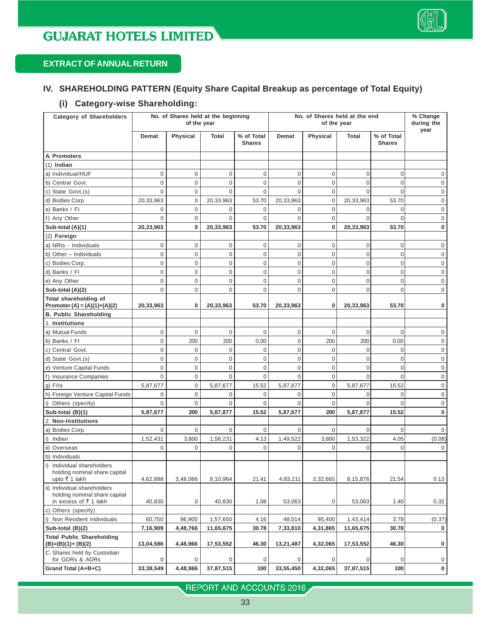## **EXTRACT OF ANNUAL RETURN**

#### **IV. SHAREHOLDING PATTERN (Equity Share Capital Breakup as percentage of Total Equity)**

#### **(i) Category-wise Shareholding:**

| <b>Category of Shareholders</b>                                                       |             | No. of Shares held at the beginning<br>of the year |             |                             | No. of Shares held at the end<br>of the year |                |                | % Change<br>during the<br>year |             |
|---------------------------------------------------------------------------------------|-------------|----------------------------------------------------|-------------|-----------------------------|----------------------------------------------|----------------|----------------|--------------------------------|-------------|
|                                                                                       | Demat       | Physical                                           | Total       | % of Total<br><b>Shares</b> | Demat                                        | Physical       | Total          | % of Total<br><b>Shares</b>    |             |
| A. Promoters                                                                          |             |                                                    |             |                             |                                              |                |                |                                |             |
| $(1)$ Indian                                                                          |             |                                                    |             |                             |                                              |                |                |                                |             |
| a) Individual/HUF                                                                     | 0           | 0                                                  | $\mathbf 0$ | $\boldsymbol{0}$            | $\mathbf 0$                                  | $\mathbf 0$    | 0              | $\overline{0}$                 | 0           |
| b) Central Govt.                                                                      | 0           | 0                                                  | $\mathbf 0$ | 0                           | 0                                            | $\mathbf 0$    | $\overline{0}$ | $\overline{0}$                 | 0           |
| c) State Govt.(s)                                                                     | 0           | 0                                                  | $\mathbf 0$ | 0                           | 0                                            | $\mathbf 0$    | 0              | $\overline{0}$                 | 0           |
| d) Bodies Corp.                                                                       | 20,33,963   | $\mathbf 0$                                        | 20,33,963   | 53.70                       | 20,33,963                                    | $\mathbf 0$    | 20,33,963      | 53.70                          | 0           |
| e) Banks / Fl                                                                         | 0           | 0                                                  | 0           | 0                           | 0                                            | $\mathbf 0$    | 0              | $\overline{0}$                 | 0           |
| f) Any Other                                                                          | $\Omega$    | 0                                                  | $\mathbf 0$ | $\mathbf 0$                 | $\Omega$                                     | $\mathbf 0$    | $\Omega$       | $\Omega$                       | 0           |
| Sub-total (A)(1)                                                                      | 20,33,963   | $\bf{0}$                                           | 20,33,963   | 53.70                       | 20,33,963                                    | $\mathbf 0$    | 20,33,963      | 53.70                          | 0           |
| (2) Foreign                                                                           |             |                                                    |             |                             |                                              |                |                |                                |             |
| a) NRIs - Individuals                                                                 | 0           | $\mathbf 0$                                        | $\mathbf 0$ | 0                           | $\mathbf{0}$                                 | $\mathbf 0$    | 0              | $\overline{0}$                 | 0           |
| b) Other - Individuals                                                                | 0           | 0                                                  | $\mathbf 0$ | 0                           | 0                                            | $\mathbf 0$    | $\overline{0}$ | $\overline{0}$                 | 0           |
| c) Bodies Corp.                                                                       | 0           | 0                                                  | $\mathbf 0$ | 0                           | $\mathbf 0$                                  | $\mathbf 0$    | $\overline{0}$ | $\overline{0}$                 | 0           |
| d) Banks / Fl                                                                         | 0           | 0                                                  | $\mathbf 0$ | 0                           | $\mathbf 0$                                  | $\mathbf 0$    | $\mathbf 0$    | $\overline{0}$                 | 0           |
| e) Any Other                                                                          | 0           | 0                                                  | $\mathbf 0$ | $\overline{0}$              | $\overline{0}$                               | $\mathbf 0$    | $\mathbf 0$    | $\overline{0}$                 | 0           |
| Sub-total (A)(2)                                                                      | $\Omega$    | $\mathbf 0$                                        | $\mathbf 0$ | $\overline{0}$              | $\Omega$                                     | $\Omega$       | $\overline{0}$ | $\Omega$                       | 0           |
| Total shareholding of<br>Promoter (A) = $(A)(1)+(A)(2)$                               | 20,33,963   | 0                                                  | 20,33,963   | 53.70                       | 20,33,963                                    | $\mathbf 0$    | 20,33,963      | 53.70                          | 0           |
| <b>B. Public Shareholding</b>                                                         |             |                                                    |             |                             |                                              |                |                |                                |             |
| 1. Institutions                                                                       |             |                                                    |             |                             |                                              |                |                |                                |             |
| a) Mutual Funds                                                                       | 0           | 0                                                  | $\mathbf 0$ | 0                           | 0                                            | $\mathbf 0$    | 0              | $\overline{0}$                 | 0           |
| b) Banks / Fl                                                                         | 0           | 200                                                | 200         | 0.00                        | $\mathbf{0}$                                 | 200            | 200            | 0.00                           | 0           |
| c) Central Govt.                                                                      | 0           | 0                                                  | $\mathbf 0$ | 0                           | 0                                            | $\mathbf 0$    | 0              | $\overline{0}$                 | 0           |
| d) State Govt.(s)                                                                     | 0           | 0                                                  | 0           | 0                           | 0                                            | $\mathbf 0$    | $\mathbf 0$    | $\mathbf 0$                    | 0           |
| e) Venture Capital Funds                                                              | 0           | 0                                                  | $\mathbf 0$ | $\mathbf 0$                 | $\mathbf 0$                                  | $\mathbf 0$    | $\overline{0}$ | $\overline{0}$                 | 0           |
| f) Insurance Companies                                                                | 0           | 0                                                  | $\mathbf 0$ | $\overline{0}$              | $\Omega$                                     | $\mathbf 0$    | $\Omega$       | $\Omega$                       | 0           |
| g) FIIs                                                                               | 5,87,677    | 0                                                  | 5,87,677    | 15.52                       | 5,87,677                                     | $\mathbf 0$    | 5,87,677       | 15.52                          | 0           |
| h) Foreign Venture Capital Funds                                                      | 0           | 0                                                  | $\mathbf 0$ | 0                           | $\mathbf{0}$                                 | $\mathbf 0$    | $\Omega$       | $\Omega$                       | 0           |
| i) Others (specify)                                                                   | $\Omega$    | 0                                                  | $\mathbf 0$ | 0                           | 0                                            | 0              | $\Omega$       | $\Omega$                       | 0           |
| Sub-total (B)(1)                                                                      | 5,87,677    | 200                                                | 5,87,877    | 15.52                       | 5,87,677                                     | 200            | 5,87,877       | 15.52                          | 0           |
| 2. Non-Institutions                                                                   |             |                                                    |             |                             |                                              |                |                |                                |             |
| a) Bodies Corp.                                                                       | $\mathbf 0$ | $\mathbf 0$                                        | $\mathbf 0$ | $\mathbf 0$                 | $\mathbf{0}$                                 | $\mathbf 0$    | $\Omega$       | $\overline{0}$                 | $\mathbf 0$ |
| i) Indian                                                                             | 1,52,431    | 3,800                                              | 1,56,231    | 4.13                        | 1,49,522                                     | 3,800          | 1,53,322       | 4.05                           | (0.08)      |
| ii) Overseas                                                                          | 0           | 0                                                  | 0           | 0                           | 0                                            | $\mathbf 0$    | 0              | $\mathbf 0$                    | 0           |
| b) Individuals                                                                        |             |                                                    |             |                             |                                              |                |                |                                |             |
| i) Individual shareholders<br>holding nominal share capital<br>upto ₹ 1 lakh          | 4,62,898    | 3,48,066                                           | 8,10,964    | 21.41                       | 4,83,211                                     | 3,32,665       | 8,15,876       | 21.54                          | 0.13        |
| ii) Individual shareholders<br>holding nominal share capital<br>in excess of ₹ 1 lakh | 40,830      | 0                                                  | 40,830      | 1.08                        | 53,063                                       | $\overline{0}$ | 53,063         | 1.40                           | 0.32        |
| c) Others (specify)                                                                   |             |                                                    |             |                             |                                              |                |                |                                |             |
| i) Non Resident Individuals                                                           | 60,750      | 96,900                                             | 1,57,650    | 4.16                        | 48,014                                       | 95,400         | 1,43,414       | 3.79                           | (0.37)      |
| Sub-total (B)(2)                                                                      | 7,16,909    | 4,48,766                                           | 11,65,675   | 30.78                       | 7,33,810                                     | 4,31,865       | 11,65,675      | 30.78                          | 0           |
| <b>Total Public Shareholding</b><br>$(B)=(B)(1)+(B)(2)$                               | 13,04,586   | 4,48,966                                           | 17,53,552   | 46.30                       | 13,21,487                                    | 4,32,065       | 17,53,552      | 46.30                          | 0           |
| C. Shares held by Custodian<br>for GDRs & ADRs                                        | 0           | 0                                                  | 0           | $\boldsymbol{0}$            | 0                                            | 0              | 0              | $\overline{0}$                 | 0           |
| Grand Total (A+B+C)                                                                   | 33, 38, 549 | 4,48,966                                           | 37,87,515   | 100                         | 33,55,450                                    | 4,32,065       | 37,87,515      | 100                            | 0           |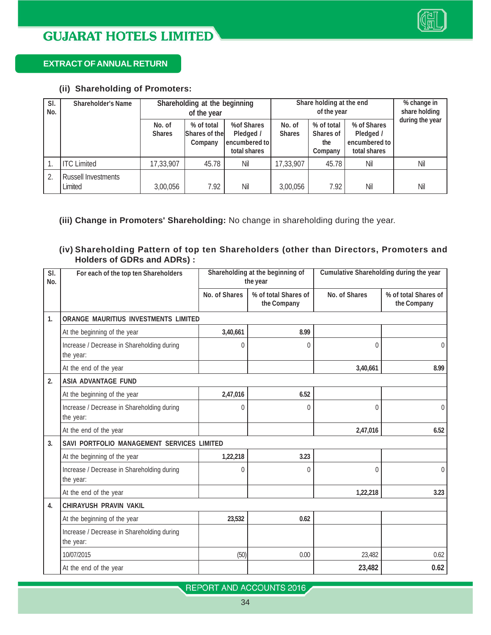

#### **EXTRACT OF ANNUAL RETURN**

#### **(ii) Shareholding of Promoters:**

| SI.<br>No. | <b>Shareholder's Name</b>             | Shareholding at the beginning<br>of the year |                                        | Share holding at the end                                 | % change in<br>share holding |                                           |                                                           |                 |
|------------|---------------------------------------|----------------------------------------------|----------------------------------------|----------------------------------------------------------|------------------------------|-------------------------------------------|-----------------------------------------------------------|-----------------|
|            |                                       | No. of<br><b>Shares</b>                      | % of total<br>Shares of the<br>Company | %of Shares<br>Pledged /<br>encumbered to<br>total shares | No. of<br><b>Shares</b>      | % of total<br>Shares of<br>the<br>Company | % of Shares<br>Pledged /<br>encumbered to<br>total shares | during the year |
|            | <b>ITC Limited</b>                    | 17,33,907                                    | 45.78                                  | Nil                                                      | 17,33,907                    | 45.78                                     | Nil                                                       | Nil             |
| 2.         | <b>Russell Investments</b><br>Limited | 3.00.056                                     | 7.92                                   | Nil                                                      | 3,00,056                     | 7.92                                      | Nil                                                       | Nil             |

#### **(iii) Change in Promoters' Shareholding:** No change in shareholding during the year.

#### **(iv) Shareholding Pattern of top ten Shareholders (other than Directors, Promoters and Holders of GDRs and ADRs) :**

| SI.<br>No.       | For each of the top ten Shareholders                    | Shareholding at the beginning of<br>the year |                                     | Cumulative Shareholding during the year |                                     |
|------------------|---------------------------------------------------------|----------------------------------------------|-------------------------------------|-----------------------------------------|-------------------------------------|
|                  |                                                         | No. of Shares                                | % of total Shares of<br>the Company | No. of Shares                           | % of total Shares of<br>the Company |
| $\mathbf{1}$     | <b>ORANGE MAURITIUS INVESTMENTS LIMITED</b>             |                                              |                                     |                                         |                                     |
|                  | At the beginning of the year                            | 3,40,661                                     | 8.99                                |                                         |                                     |
|                  | Increase / Decrease in Shareholding during<br>the year: | $\theta$                                     | $\Omega$                            | $\Omega$                                | $\Omega$                            |
|                  | At the end of the year                                  |                                              |                                     | 3,40,661                                | 8.99                                |
| 2.               | <b>ASIA ADVANTAGE FUND</b>                              |                                              |                                     |                                         |                                     |
|                  | At the beginning of the year                            | 2,47,016                                     | 6.52                                |                                         |                                     |
|                  | Increase / Decrease in Shareholding during<br>the year: | 0                                            | 0                                   | $\theta$                                | $\theta$                            |
|                  | At the end of the year                                  |                                              |                                     | 2,47,016                                | 6.52                                |
| 3.               | SAVI PORTFOLIO MANAGEMENT SERVICES LIMITED              |                                              |                                     |                                         |                                     |
|                  | At the beginning of the year                            | 1,22,218                                     | 3.23                                |                                         |                                     |
|                  | Increase / Decrease in Shareholding during<br>the year: | $\Omega$                                     | 0                                   | $\Omega$                                | $\Omega$                            |
|                  | At the end of the year                                  |                                              |                                     | 1,22,218                                | 3.23                                |
| $\overline{4}$ . | CHIRAYUSH PRAVIN VAKIL                                  |                                              |                                     |                                         |                                     |
|                  | At the beginning of the year                            | 23,532                                       | 0.62                                |                                         |                                     |
|                  | Increase / Decrease in Shareholding during<br>the year: |                                              |                                     |                                         |                                     |
|                  | 10/07/2015                                              | (50)                                         | 0.00                                | 23.482                                  | 0.62                                |
|                  | At the end of the year                                  |                                              |                                     | 23,482                                  | 0.62                                |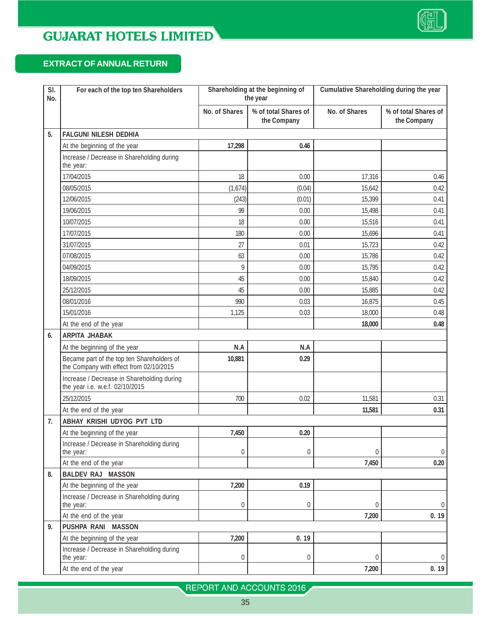

## **EXTRACT OF ANNUAL RETURN**

| $\overline{SI}$ .<br>No. | For each of the top ten Shareholders                                                  | Shareholding at the beginning of<br>the year |                                     | Cumulative Shareholding during the year |                                     |
|--------------------------|---------------------------------------------------------------------------------------|----------------------------------------------|-------------------------------------|-----------------------------------------|-------------------------------------|
|                          |                                                                                       | No. of Shares                                | % of total Shares of<br>the Company | No. of Shares                           | % of total Shares of<br>the Company |
| 5.                       | <b>FALGUNI NILESH DEDHIA</b>                                                          |                                              |                                     |                                         |                                     |
|                          | At the beginning of the year                                                          | 17,298                                       | 0.46                                |                                         |                                     |
|                          | Increase / Decrease in Shareholding during<br>the year:                               |                                              |                                     |                                         |                                     |
|                          | 17/04/2015                                                                            | 18                                           | 0.00                                | 17,316                                  | 0.46                                |
|                          | 08/05/2015                                                                            | (1,674)                                      | (0.04)                              | 15,642                                  | 0.42                                |
|                          | 12/06/2015                                                                            | (243)                                        | (0.01)                              | 15,399                                  | 0.41                                |
|                          | 19/06/2015                                                                            | 99                                           | 0.00                                | 15,498                                  | 0.41                                |
|                          | 10/07/2015                                                                            | 18                                           | 0.00                                | 15,516                                  | 0.41                                |
|                          | 17/07/2015                                                                            | 180                                          | 0.00                                | 15,696                                  | 0.41                                |
|                          | 31/07/2015                                                                            | 27                                           | 0.01                                | 15,723                                  | 0.42                                |
|                          | 07/08/2015                                                                            | 63                                           | 0.00                                | 15,786                                  | 0.42                                |
|                          | 04/09/2015                                                                            | 9                                            | 0.00                                | 15,795                                  | 0.42                                |
|                          | 18/09/2015                                                                            | 45                                           | 0.00                                | 15,840                                  | 0.42                                |
|                          | 25/12/2015                                                                            | 45                                           | 0.00                                | 15,885                                  | 0.42                                |
|                          | 08/01/2016                                                                            | 990                                          | 0.03                                | 16,875                                  | 0.45                                |
|                          | 15/01/2016                                                                            | 1,125                                        | 0.03                                | 18,000                                  | 0.48                                |
|                          | At the end of the year                                                                |                                              |                                     | 18,000                                  | 0.48                                |
| 6.                       | <b>ARPITA JHABAK</b>                                                                  |                                              |                                     |                                         |                                     |
|                          | At the beginning of the year                                                          | N.A                                          | N.A                                 |                                         |                                     |
|                          | Became part of the top ten Shareholders of<br>the Company with effect from 02/10/2015 | 10,881                                       | 0.29                                |                                         |                                     |
|                          | Increase / Decrease in Shareholding during<br>the year i.e. w.e.f. 02/10/2015         |                                              |                                     |                                         |                                     |
|                          | 25/12/2015                                                                            | 700                                          | 0.02                                | 11,581                                  | 0.31                                |
|                          | At the end of the year                                                                |                                              |                                     | 11,581                                  | 0.31                                |
| 7.                       | ABHAY KRISHI UDYOG PVT LTD                                                            |                                              |                                     |                                         |                                     |
|                          | At the beginning of the year                                                          | 7,450                                        | 0.20                                |                                         |                                     |
|                          | Increase / Decrease in Shareholding during<br>the year:                               | 0                                            | $\boldsymbol{0}$                    | $\mathbf 0$                             | 0                                   |
|                          | At the end of the year                                                                |                                              |                                     | 7,450                                   | 0.20                                |
| 8.                       | <b>BALDEV RAJ MASSON</b>                                                              |                                              |                                     |                                         |                                     |
|                          | At the beginning of the year                                                          | 7,200                                        | 0.19                                |                                         |                                     |
|                          | Increase / Decrease in Shareholding during<br>the year:                               | 0                                            | 0                                   | $\mathbf{0}$                            | 0                                   |
|                          | At the end of the year                                                                |                                              |                                     | 7,200                                   | 0.19                                |
| 9.                       | PUSHPA RANI MASSON                                                                    |                                              |                                     |                                         |                                     |
|                          | At the beginning of the year                                                          | 7,200                                        | 0.19                                |                                         |                                     |
|                          | Increase / Decrease in Shareholding during<br>the year:                               | 0                                            | $\boldsymbol{0}$                    | $\theta$                                | $\Omega$                            |
|                          | At the end of the year                                                                |                                              |                                     | 7,200                                   | 0.19                                |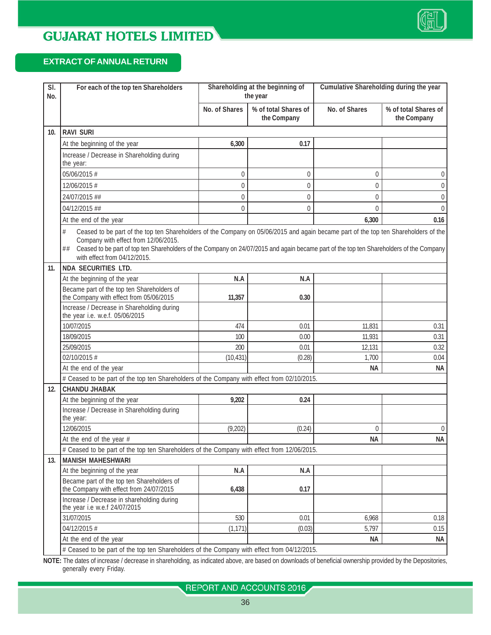#### **EXTRACT OF ANNUAL RETURN**

| No. | For each of the top ten Shareholders                                                                                                                                                                                                                                                                                                                                                       | Shareholding at the beginning of<br>the year |                                     | Cumulative Shareholding during the year |                                     |
|-----|--------------------------------------------------------------------------------------------------------------------------------------------------------------------------------------------------------------------------------------------------------------------------------------------------------------------------------------------------------------------------------------------|----------------------------------------------|-------------------------------------|-----------------------------------------|-------------------------------------|
|     |                                                                                                                                                                                                                                                                                                                                                                                            | No. of Shares                                | % of total Shares of<br>the Company | No. of Shares                           | % of total Shares of<br>the Company |
| 10. | <b>RAVI SURI</b>                                                                                                                                                                                                                                                                                                                                                                           |                                              |                                     |                                         |                                     |
|     | At the beginning of the year                                                                                                                                                                                                                                                                                                                                                               | 6,300                                        | 0.17                                |                                         |                                     |
|     | Increase / Decrease in Shareholding during<br>the year:                                                                                                                                                                                                                                                                                                                                    |                                              |                                     |                                         |                                     |
|     | 05/06/2015 #                                                                                                                                                                                                                                                                                                                                                                               | 0                                            | 0                                   | 0                                       | $\overline{0}$                      |
|     | 12/06/2015 #                                                                                                                                                                                                                                                                                                                                                                               | $\overline{0}$                               | 0                                   | 0                                       | $\mathbf 0$                         |
|     | 24/07/2015 ##                                                                                                                                                                                                                                                                                                                                                                              | 0                                            | 0                                   | 0                                       | $\theta$                            |
|     | 04/12/2015 ##                                                                                                                                                                                                                                                                                                                                                                              | 0                                            | 0                                   | 0                                       | $\mathbf{0}$                        |
|     | At the end of the year                                                                                                                                                                                                                                                                                                                                                                     |                                              |                                     | 6,300                                   | 0.16                                |
| 11. | Ceased to be part of the top ten Shareholders of the Company on 05/06/2015 and again became part of the top ten Shareholders of the<br>Company with effect from 12/06/2015.<br>Ceased to be part of top ten Shareholders of the Company on 24/07/2015 and again became part of the top ten Shareholders of the Company<br>##<br>with effect from 04/12/2015.<br><b>NDA SECURITIES LTD.</b> |                                              |                                     |                                         |                                     |
|     | At the beginning of the year                                                                                                                                                                                                                                                                                                                                                               | N.A                                          | N.A                                 |                                         |                                     |
|     | Became part of the top ten Shareholders of<br>the Company with effect from 05/06/2015                                                                                                                                                                                                                                                                                                      | 11,357                                       | 0.30                                |                                         |                                     |
|     | Increase / Decrease in Shareholding during<br>the year i.e. w.e.f. 05/06/2015                                                                                                                                                                                                                                                                                                              |                                              |                                     |                                         |                                     |
|     | 10/07/2015                                                                                                                                                                                                                                                                                                                                                                                 | 474                                          | 0.01                                | 11,831                                  | 0.31                                |
|     | 18/09/2015                                                                                                                                                                                                                                                                                                                                                                                 | 100                                          | 0.00                                | 11,931                                  | 0.31                                |
|     | 25/09/2015                                                                                                                                                                                                                                                                                                                                                                                 | 200                                          | 0.01                                | 12,131                                  | 0.32                                |
|     | 02/10/2015 #                                                                                                                                                                                                                                                                                                                                                                               | (10, 431)                                    | (0.28)                              | 1,700                                   | 0.04                                |
|     | At the end of the year                                                                                                                                                                                                                                                                                                                                                                     |                                              |                                     | NА                                      | NА                                  |
|     | # Ceased to be part of the top ten Shareholders of the Company with effect from 02/10/2015.                                                                                                                                                                                                                                                                                                |                                              |                                     |                                         |                                     |
| 12. | <b>CHANDU JHABAK</b>                                                                                                                                                                                                                                                                                                                                                                       |                                              |                                     |                                         |                                     |
|     | At the beginning of the year                                                                                                                                                                                                                                                                                                                                                               | 9,202                                        | 0.24                                |                                         |                                     |
|     | Increase / Decrease in Shareholding during<br>the year:                                                                                                                                                                                                                                                                                                                                    |                                              |                                     |                                         |                                     |
|     | 12/06/2015                                                                                                                                                                                                                                                                                                                                                                                 | (9,202)                                      | (0.24)                              | 0                                       | $\theta$                            |
|     | At the end of the year #                                                                                                                                                                                                                                                                                                                                                                   |                                              |                                     | <b>NA</b>                               | ΝA                                  |
|     | # Ceased to be part of the top ten Shareholders of the Company with effect from 12/06/2015.                                                                                                                                                                                                                                                                                                |                                              |                                     |                                         |                                     |
| 13. | <b>MANISH MAHESHWARI</b>                                                                                                                                                                                                                                                                                                                                                                   |                                              |                                     |                                         |                                     |
|     | At the beginning of the year                                                                                                                                                                                                                                                                                                                                                               | N.A                                          | N.A                                 |                                         |                                     |
|     | Became part of the top ten Shareholders of<br>the Company with effect from 24/07/2015                                                                                                                                                                                                                                                                                                      | 6,438                                        | 0.17                                |                                         |                                     |
|     | Increase / Decrease in shareholding during<br>the year i.e w.e.f 24/07/2015                                                                                                                                                                                                                                                                                                                |                                              |                                     |                                         |                                     |
|     | 31/07/2015                                                                                                                                                                                                                                                                                                                                                                                 | 530                                          | 0.01                                | 6,968                                   | 0.18                                |
|     | 04/12/2015 #                                                                                                                                                                                                                                                                                                                                                                               | (1, 171)                                     | (0.03)                              | 5,797                                   | 0.15                                |
|     | At the end of the year<br># Ceased to be part of the top ten Shareholders of the Company with effect from 04/12/2015.                                                                                                                                                                                                                                                                      |                                              |                                     | NА                                      | NА                                  |

**NOTE:** The dates of increase / decrease in shareholding, as indicated above, are based on downloads of beneficial ownership provided by the Depositories, generally every Friday.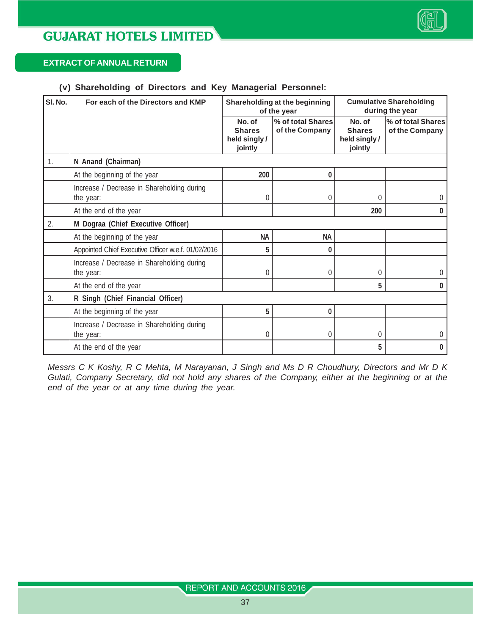

#### **EXTRACT OF ANNUAL RETURN**

#### **(v) Shareholding of Directors and Key Managerial Personnel:**

| SI. No. | For each of the Directors and KMP                       | Shareholding at the beginning<br>of the year        |                                     | <b>Cumulative Shareholding</b><br>during the year   |                                     |
|---------|---------------------------------------------------------|-----------------------------------------------------|-------------------------------------|-----------------------------------------------------|-------------------------------------|
|         |                                                         | No. of<br><b>Shares</b><br>held singly /<br>jointly | % of total Shares<br>of the Company | No. of<br><b>Shares</b><br>held singly /<br>jointly | % of total Shares<br>of the Company |
| 1.      | N Anand (Chairman)                                      |                                                     |                                     |                                                     |                                     |
|         | At the beginning of the year                            | 200                                                 | 0                                   |                                                     |                                     |
|         | Increase / Decrease in Shareholding during<br>the year: | 0                                                   | 0                                   | 0                                                   | 0                                   |
|         | At the end of the year                                  |                                                     |                                     | 200                                                 | $\bf{0}$                            |
| 2.      | M Dograa (Chief Executive Officer)                      |                                                     |                                     |                                                     |                                     |
|         | At the beginning of the year                            | <b>NA</b>                                           | <b>NA</b>                           |                                                     |                                     |
|         | Appointed Chief Executive Officer w.e.f. 01/02/2016     | 5                                                   | 0                                   |                                                     |                                     |
|         | Increase / Decrease in Shareholding during<br>the year: | $\theta$                                            | 0                                   | 0                                                   | U                                   |
|         | At the end of the year                                  |                                                     |                                     | 5                                                   | 0                                   |
| 3.      | R Singh (Chief Financial Officer)                       |                                                     |                                     |                                                     |                                     |
|         | At the beginning of the year                            | 5                                                   | 0                                   |                                                     |                                     |
|         | Increase / Decrease in Shareholding during<br>the year: | 0                                                   | 0                                   | 0                                                   | U                                   |
|         | At the end of the year                                  |                                                     |                                     | 5                                                   | 0                                   |

*Messrs C K Koshy, R C Mehta, M Narayanan, J Singh and Ms D R Choudhury, Directors and Mr D K Gulati, Company Secretary, did not hold any shares of the Company, either at the beginning or at the end of the year or at any time during the year.*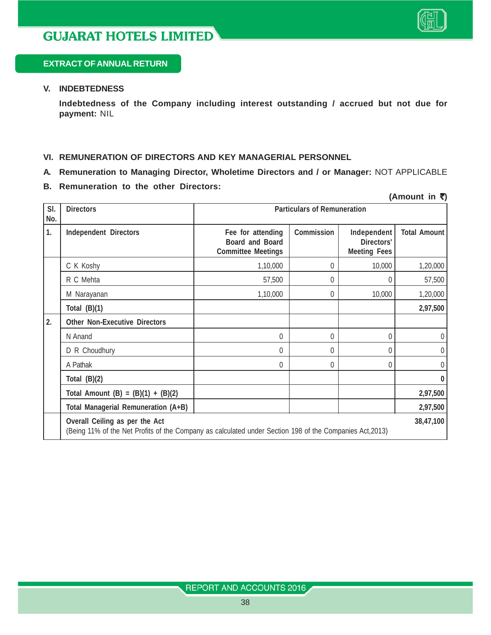

 $(Amount in **3**)$ 

#### **EXTRACT OF ANNUAL RETURN**

#### **V. INDEBTEDNESS**

**Indebtedness of the Company including interest outstanding / accrued but not due for payment:** NIL

#### **VI. REMUNERATION OF DIRECTORS AND KEY MANAGERIAL PERSONNEL**

- **A. Remuneration to Managing Director, Wholetime Directors and / or Manager:** NOT APPLICABLE
- **B. Remuneration to the other Directors:**

| SI.<br>No. | <b>Directors</b>                                                                                                                                        | <b>Particulars of Remuneration</b>                                |            |                                                  |                     |
|------------|---------------------------------------------------------------------------------------------------------------------------------------------------------|-------------------------------------------------------------------|------------|--------------------------------------------------|---------------------|
| 1.         | <b>Independent Directors</b>                                                                                                                            | Fee for attending<br>Board and Board<br><b>Committee Meetings</b> | Commission | Independent<br>Directors'<br><b>Meeting Fees</b> | <b>Total Amount</b> |
|            | C K Koshy                                                                                                                                               | 1,10,000                                                          | 0          | 10,000                                           | 1,20,000            |
|            | R C Mehta                                                                                                                                               | 57,500                                                            | 0          | 0                                                | 57,500              |
|            | M Narayanan                                                                                                                                             | 1,10,000                                                          | 0          | 10,000                                           | 1,20,000            |
|            | Total $(B)(1)$                                                                                                                                          |                                                                   |            |                                                  | 2,97,500            |
| 2.         | <b>Other Non-Executive Directors</b>                                                                                                                    |                                                                   |            |                                                  |                     |
|            | N Anand                                                                                                                                                 | 0                                                                 | $\Omega$   | 0                                                | $\overline{0}$      |
|            | D R Choudhury                                                                                                                                           | 0                                                                 | 0          | $\theta$                                         | $\overline{0}$      |
|            | A Pathak                                                                                                                                                | 0                                                                 | 0          | 0                                                | $\overline{0}$      |
|            | Total $(B)(2)$                                                                                                                                          |                                                                   |            |                                                  | $\bf{0}$            |
|            | Total Amount (B) = $(B)(1) + (B)(2)$                                                                                                                    |                                                                   |            |                                                  | 2,97,500            |
|            | Total Managerial Remuneration (A+B)                                                                                                                     |                                                                   |            |                                                  | 2,97,500            |
|            | Overall Ceiling as per the Act<br>38,47,100<br>(Being 11% of the Net Profits of the Company as calculated under Section 198 of the Companies Act, 2013) |                                                                   |            |                                                  |                     |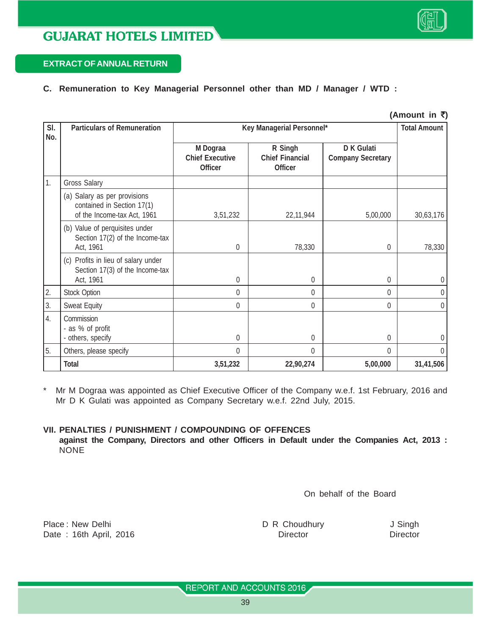#### **EXTRACT OF ANNUAL RETURN**

#### **C. Remuneration to Key Managerial Personnel other than MD / Manager / WTD :**

|            |                                                                                           |                                                      |                                                     |                                               | (Amount in ₹) |
|------------|-------------------------------------------------------------------------------------------|------------------------------------------------------|-----------------------------------------------------|-----------------------------------------------|---------------|
| SI.<br>No. | <b>Particulars of Remuneration</b>                                                        | Key Managerial Personnel*                            | <b>Total Amount</b>                                 |                                               |               |
|            |                                                                                           | M Dograa<br><b>Chief Executive</b><br><b>Officer</b> | R Singh<br><b>Chief Financial</b><br><b>Officer</b> | <b>D K Gulati</b><br><b>Company Secretary</b> |               |
| 1.         | <b>Gross Salary</b>                                                                       |                                                      |                                                     |                                               |               |
|            | (a) Salary as per provisions<br>contained in Section 17(1)<br>of the Income-tax Act, 1961 | 3,51,232                                             | 22,11,944                                           | 5,00,000                                      | 30,63,176     |
|            | (b) Value of perquisites under<br>Section 17(2) of the Income-tax<br>Act, 1961            | $\theta$                                             | 78,330                                              | $\theta$                                      | 78,330        |
|            | (c) Profits in lieu of salary under<br>Section 17(3) of the Income-tax<br>Act, 1961       | 0                                                    | 0                                                   | $\theta$                                      | $\theta$      |
| 2.         | <b>Stock Option</b>                                                                       | 0                                                    | $\theta$                                            | $\theta$                                      | 0             |
| 3.         | Sweat Equity                                                                              | 0                                                    | 0                                                   | $\mathbf 0$                                   | 0             |
| 4.         | Commission<br>- as % of profit<br>- others, specify                                       | $\theta$                                             | $\theta$                                            | $\theta$                                      | 0             |
| 5.         | Others, please specify                                                                    | $\Omega$                                             | $\Omega$                                            | $\theta$                                      | $\theta$      |
|            | <b>Total</b>                                                                              | 3,51,232                                             | 22,90,274                                           | 5,00,000                                      | 31,41,506     |

\* Mr M Dograa was appointed as Chief Executive Officer of the Company w.e.f. 1st February, 2016 and Mr D K Gulati was appointed as Company Secretary w.e.f. 22nd July, 2015.

#### **VII. PENALTIES / PUNISHMENT / COMPOUNDING OF OFFENCES**

**against the Company, Directors and other Officers in Default under the Companies Act, 2013 :** NONE

On behalf of the Board

Place : New Delhi **D R Choudhury** J Singh Date : 16th April, 2016 **Director** Director **Director** Director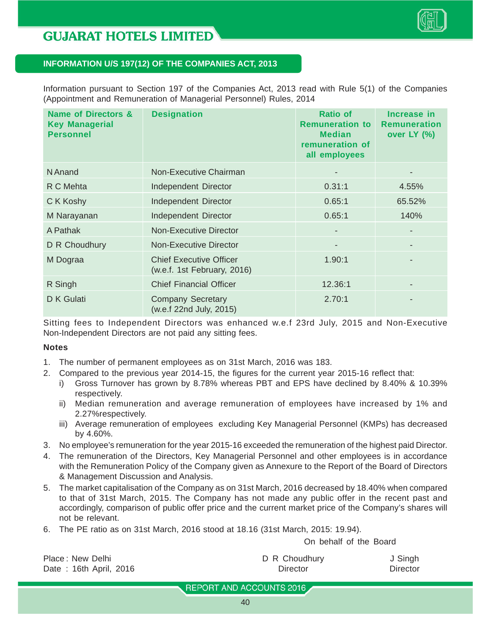

#### **INFORMATION U/S 197(12) OF THE COMPANIES ACT, 2013**

Information pursuant to Section 197 of the Companies Act, 2013 read with Rule 5(1) of the Companies (Appointment and Remuneration of Managerial Personnel) Rules, 2014

| <b>Name of Directors &amp;</b><br><b>Key Managerial</b><br><b>Personnel</b> | <b>Designation</b>                                            | <b>Ratio of</b><br><b>Remuneration to</b><br><b>Median</b><br>remuneration of<br>all employees | Increase in<br><b>Remuneration</b><br>over LY (%) |
|-----------------------------------------------------------------------------|---------------------------------------------------------------|------------------------------------------------------------------------------------------------|---------------------------------------------------|
| N Anand                                                                     | Non-Executive Chairman                                        |                                                                                                |                                                   |
| R C Mehta                                                                   | Independent Director                                          | 0.31:1                                                                                         | 4.55%                                             |
| C K Koshy                                                                   | Independent Director                                          | 0.65:1                                                                                         | 65.52%                                            |
| M Narayanan                                                                 | Independent Director                                          | 0.65:1                                                                                         | 140%                                              |
| A Pathak                                                                    | Non-Executive Director                                        | $\overline{\phantom{a}}$                                                                       |                                                   |
| D R Choudhury                                                               | Non-Executive Director                                        | ٠                                                                                              |                                                   |
| M Dograa                                                                    | <b>Chief Executive Officer</b><br>(w.e.f. 1st February, 2016) | 1.90:1                                                                                         |                                                   |
| R Singh                                                                     | <b>Chief Financial Officer</b>                                | 12.36:1                                                                                        |                                                   |
| D K Gulati                                                                  | <b>Company Secretary</b><br>(w.e.f 22nd July, 2015)           | 2.70:1                                                                                         |                                                   |

Sitting fees to Independent Directors was enhanced w.e.f 23rd July, 2015 and Non-Executive Non-Independent Directors are not paid any sitting fees.

#### **Notes**

- 1. The number of permanent employees as on 31st March, 2016 was 183.
- 2. Compared to the previous year 2014-15, the figures for the current year 2015-16 reflect that:
	- i) Gross Turnover has grown by 8.78% whereas PBT and EPS have declined by 8.40% & 10.39% respectively.
	- ii) Median remuneration and average remuneration of employees have increased by 1% and 2.27%respectively.
	- iii) Average remuneration of employees excluding Key Managerial Personnel (KMPs) has decreased by 4.60%.
- 3. No employee's remuneration for the year 2015-16 exceeded the remuneration of the highest paid Director.
- 4. The remuneration of the Directors, Key Managerial Personnel and other employees is in accordance with the Remuneration Policy of the Company given as Annexure to the Report of the Board of Directors & Management Discussion and Analysis.
- 5. The market capitalisation of the Company as on 31st March, 2016 decreased by 18.40% when compared to that of 31st March, 2015. The Company has not made any public offer in the recent past and accordingly, comparison of public offer price and the current market price of the Company's shares will not be relevant.
- 6. The PE ratio as on 31st March, 2016 stood at 18.16 (31st March, 2015: 19.94).

On behalf of the Board

| Place: New Delhi       | D R Choudhury | J Singh  |
|------------------------|---------------|----------|
| Date: 16th April, 2016 | Director      | Director |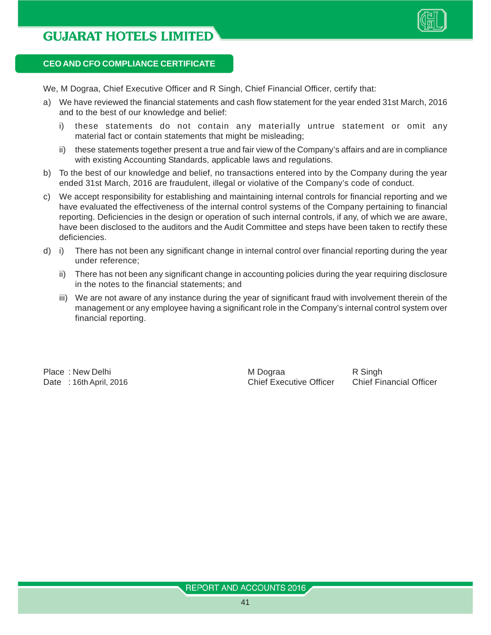

#### **CEO AND CFO COMPLIANCE CERTIFICATE**

We, M Dograa, Chief Executive Officer and R Singh, Chief Financial Officer, certify that:

- a) We have reviewed the financial statements and cash flow statement for the year ended 31st March, 2016 and to the best of our knowledge and belief:
	- i) these statements do not contain any materially untrue statement or omit any material fact or contain statements that might be misleading;
	- ii) these statements together present a true and fair view of the Company's affairs and are in compliance with existing Accounting Standards, applicable laws and regulations.
- b) To the best of our knowledge and belief, no transactions entered into by the Company during the year ended 31st March, 2016 are fraudulent, illegal or violative of the Company's code of conduct.
- c) We accept responsibility for establishing and maintaining internal controls for financial reporting and we have evaluated the effectiveness of the internal control systems of the Company pertaining to financial reporting. Deficiencies in the design or operation of such internal controls, if any, of which we are aware, have been disclosed to the auditors and the Audit Committee and steps have been taken to rectify these deficiencies.
- d) i) There has not been any significant change in internal control over financial reporting during the year under reference;
	- ii) There has not been any significant change in accounting policies during the year requiring disclosure in the notes to the financial statements; and
	- iii) We are not aware of any instance during the year of significant fraud with involvement therein of the management or any employee having a significant role in the Company's internal control system over financial reporting.

Place : New Delhi **M** Dograa R Singh Date : 16th April, 2016 Chief Executive Officer Chief Financial Officer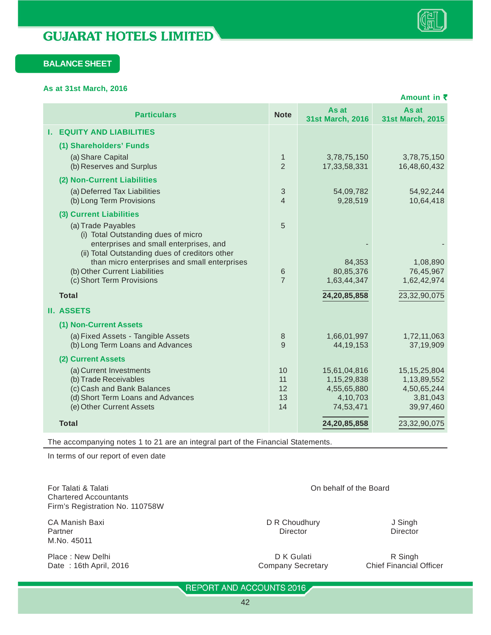#### **BALANCE SHEET**

**As at 31st March, 2016**

|                                                                                                                                                              |                                        |                                                                     | Amount in ₹                                                            |
|--------------------------------------------------------------------------------------------------------------------------------------------------------------|----------------------------------------|---------------------------------------------------------------------|------------------------------------------------------------------------|
| <b>Particulars</b>                                                                                                                                           | <b>Note</b>                            | As at<br>31st March, 2016                                           | As at<br>31st March, 2015                                              |
| <b>EQUITY AND LIABILITIES</b><br>ь.                                                                                                                          |                                        |                                                                     |                                                                        |
| (1) Shareholders' Funds                                                                                                                                      |                                        |                                                                     |                                                                        |
| (a) Share Capital<br>(b) Reserves and Surplus                                                                                                                | $\mathbf{1}$<br>$\overline{2}$         | 3,78,75,150<br>17,33,58,331                                         | 3,78,75,150<br>16,48,60,432                                            |
| (2) Non-Current Liabilities                                                                                                                                  |                                        |                                                                     |                                                                        |
| (a) Deferred Tax Liabilities<br>(b) Long Term Provisions                                                                                                     | $\sqrt{3}$<br>$\overline{\mathcal{A}}$ | 54,09,782<br>9,28,519                                               | 54,92,244<br>10,64,418                                                 |
| (3) Current Liabilities                                                                                                                                      |                                        |                                                                     |                                                                        |
| (a) Trade Payables<br>(i) Total Outstanding dues of micro<br>enterprises and small enterprises, and                                                          | 5                                      |                                                                     |                                                                        |
| (ii) Total Outstanding dues of creditors other<br>than micro enterprises and small enterprises<br>(b) Other Current Liabilities<br>(c) Short Term Provisions | 6<br>$\overline{7}$                    | 84,353<br>80,85,376<br>1,63,44,347                                  | 1,08,890<br>76,45,967<br>1,62,42,974                                   |
| <b>Total</b>                                                                                                                                                 |                                        | 24,20,85,858                                                        | 23,32,90,075                                                           |
| <b>II. ASSETS</b>                                                                                                                                            |                                        |                                                                     |                                                                        |
| (1) Non-Current Assets                                                                                                                                       |                                        |                                                                     |                                                                        |
| (a) Fixed Assets - Tangible Assets<br>(b) Long Term Loans and Advances                                                                                       | 8<br>9                                 | 1,66,01,997<br>44, 19, 153                                          | 1,72,11,063<br>37,19,909                                               |
| (2) Current Assets                                                                                                                                           |                                        |                                                                     |                                                                        |
| (a) Current Investments<br>(b) Trade Receivables<br>(c) Cash and Bank Balances<br>(d) Short Term Loans and Advances<br>(e) Other Current Assets              | 10<br>11<br>12<br>13<br>14             | 15,61,04,816<br>1,15,29,838<br>4,55,65,880<br>4,10,703<br>74,53,471 | 15, 15, 25, 804<br>1,13,89,552<br>4,50,65,244<br>3,81,043<br>39,97,460 |
| <b>Total</b>                                                                                                                                                 |                                        | 24,20,85,858                                                        | 23,32,90,075                                                           |
|                                                                                                                                                              |                                        |                                                                     |                                                                        |

The accompanying notes 1 to 21 are an integral part of the Financial Statements.

In terms of our report of even date

For Talati & Talati On behalf of the Board Chartered Accountants Firm's Registration No. 110758W

CA Manish Baxi DR Choudhury DR Choudhury J Singh DR Choudhury DR Choudhury Director Partner Director Director Director Director Director Director Director Director M.No. 45011

Place : New Delhi **Place : New Delhi** R Singh **D K Gulati D K Gulati R Singh R Singh <b>D** K Gulati **R** Singh **R** Singh **D** K Gulati **R** Singh **D** K Gulati **R** Singh **D** K Gulati **R** Singh **D** K Gulati **R** Singh **D** K Gu Date: 16th April, 2016 Company Secretary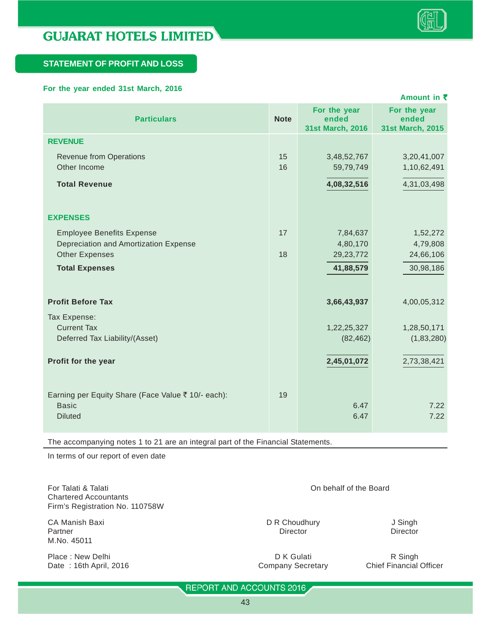

#### **STATEMENT OF PROFIT AND LOSS**

#### **For the year ended 31st March, 2016**

|             |                                           | Amount in ₹                               |
|-------------|-------------------------------------------|-------------------------------------------|
| <b>Note</b> | For the year<br>ended<br>31st March, 2016 | For the year<br>ended<br>31st March, 2015 |
|             |                                           |                                           |
| 15<br>16    | 3,48,52,767<br>59,79,749                  | 3,20,41,007<br>1,10,62,491                |
|             | 4,08,32,516                               | 4,31,03,498                               |
|             |                                           |                                           |
|             |                                           |                                           |
| 17          | 7,84,637                                  | 1,52,272                                  |
|             | 4,80,170                                  | 4,79,808                                  |
| 18          | 29, 23, 772                               | 24,66,106                                 |
|             | 41,88,579                                 | 30,98,186                                 |
|             |                                           |                                           |
|             | 3,66,43,937                               | 4,00,05,312                               |
|             |                                           |                                           |
|             | 1,22,25,327                               | 1,28,50,171                               |
|             | (82, 462)                                 | (1,83,280)                                |
|             |                                           | 2,73,38,421                               |
|             |                                           |                                           |
|             |                                           |                                           |
|             |                                           | 7.22                                      |
|             |                                           | 7.22                                      |
|             |                                           |                                           |
|             | 19                                        | 2,45,01,072<br>6.47<br>6.47               |

The accompanying notes 1 to 21 are an integral part of the Financial Statements.

In terms of our report of even date

For Talati & Talati On behalf of the Board Chartered Accountants Firm's Registration No. 110758W

CA Manish Baxi **DR Choudhury** J Singh Partner Director Director Director Director Director Director Director Director M.No. 45011

Place : New Delhi **Place : New Delhi** R Singh Company Secretary R Singh R Singh R Singh Place : 16th April, 2016 Date : 16th April, 2016 **Company Secretary** Company Secretary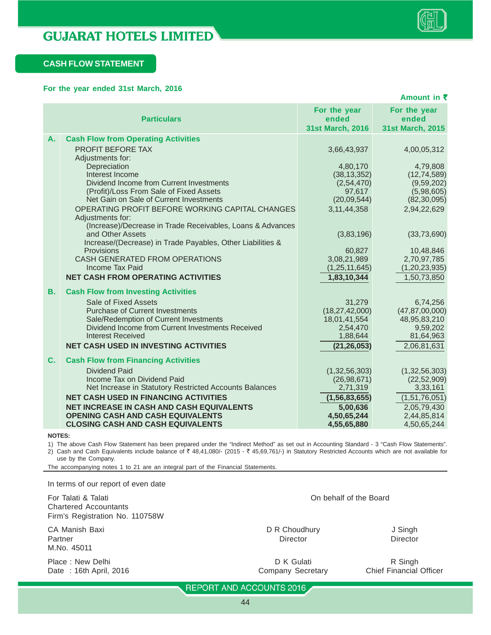

#### **CASH FLOW STATEMENT**

#### **For the year ended 31st March, 2016**

|           | Amount in ₹                                                                           |                                                  |                                           |  |
|-----------|---------------------------------------------------------------------------------------|--------------------------------------------------|-------------------------------------------|--|
|           | <b>Particulars</b>                                                                    | For the year<br>ended<br><b>31st March, 2016</b> | For the year<br>ended<br>31st March, 2015 |  |
| А.        | <b>Cash Flow from Operating Activities</b>                                            |                                                  |                                           |  |
|           | PROFIT BEFORE TAX                                                                     | 3,66,43,937                                      | 4,00,05,312                               |  |
|           | Adjustments for:<br>Depreciation                                                      | 4,80,170                                         | 4,79,808                                  |  |
|           | Interest Income                                                                       | (38, 13, 352)                                    | (12, 74, 589)                             |  |
|           | Dividend Income from Current Investments                                              | (2,54,470)                                       | (9,59,202)                                |  |
|           | (Profit)/Loss From Sale of Fixed Assets                                               | 97,617                                           | (5,98,605)                                |  |
|           | Net Gain on Sale of Current Investments                                               | (20,09,544)                                      | (82, 30, 095)                             |  |
|           | OPERATING PROFIT BEFORE WORKING CAPITAL CHANGES<br>Adjustments for:                   | 3, 11, 44, 358                                   | 2,94,22,629                               |  |
|           | (Increase)/Decrease in Trade Receivables, Loans & Advances                            |                                                  |                                           |  |
|           | and Other Assets                                                                      | (3,83,196)                                       | (33, 73, 690)                             |  |
|           | Increase/(Decrease) in Trade Payables, Other Liabilities &                            |                                                  |                                           |  |
|           | Provisions<br>CASH GENERATED FROM OPERATIONS                                          | 60,827<br>3,08,21,989                            | 10,48,846<br>2,70,97,785                  |  |
|           | <b>Income Tax Paid</b>                                                                | (1, 25, 11, 645)                                 | (1, 20, 23, 935)                          |  |
|           | <b>NET CASH FROM OPERATING ACTIVITIES</b>                                             | 1,83,10,344                                      | 1,50,73,850                               |  |
| <b>B.</b> | <b>Cash Flow from Investing Activities</b>                                            |                                                  |                                           |  |
|           | Sale of Fixed Assets                                                                  | 31,279                                           | 6,74,256                                  |  |
|           | <b>Purchase of Current Investments</b>                                                | (18, 27, 42, 000)                                | (47, 87, 00, 000)                         |  |
|           | Sale/Redemption of Current Investments                                                | 18,01,41,554                                     | 48,95,83,210                              |  |
|           | Dividend Income from Current Investments Received<br><b>Interest Received</b>         | 2,54,470                                         | 9,59,202<br>81,64,963                     |  |
|           | <b>NET CASH USED IN INVESTING ACTIVITIES</b>                                          | 1,88,644<br>(21, 26, 053)                        | 2,06,81,631                               |  |
|           |                                                                                       |                                                  |                                           |  |
| C.        | <b>Cash Flow from Financing Activities</b>                                            |                                                  |                                           |  |
|           | <b>Dividend Paid</b>                                                                  | (1, 32, 56, 303)                                 | (1, 32, 56, 303)                          |  |
|           | Income Tax on Dividend Paid<br>Net Increase in Statutory Restricted Accounts Balances | (26, 98, 671)<br>2,71,319                        | (22, 52, 909)<br>3,33,161                 |  |
|           | <b>NET CASH USED IN FINANCING ACTIVITIES</b>                                          | (1, 56, 83, 655)                                 | (1,51,76,051)                             |  |
|           | <b>NET INCREASE IN CASH AND CASH EQUIVALENTS</b>                                      | 5,00,636                                         | 2,05,79,430                               |  |
|           | <b>OPENING CASH AND CASH EQUIVALENTS</b>                                              | 4,50,65,244                                      | 2,44,85,814                               |  |
|           | <b>CLOSING CASH AND CASH EQUIVALENTS</b>                                              | 4,55,65,880                                      | 4,50,65,244                               |  |

**NOTES:**

1) The above Cash Flow Statement has been prepared under the "Indirect Method" as set out in Accounting Standard - 3 "Cash Flow Statements". 2) Cash and Cash Equivalents include balance of  $\bar{\tau}$  48,41,080/- (2015 -  $\bar{\tau}$  45,69,761/-) in Statutory Restricted Accounts which are not available for use by the Company.

The accompanying notes 1 to 21 are an integral part of the Financial Statements.

| In terms of our report of even date                                                    |                                 |                                           |
|----------------------------------------------------------------------------------------|---------------------------------|-------------------------------------------|
| For Talati & Talati<br><b>Chartered Accountants</b><br>Firm's Registration No. 110758W | On behalf of the Board          |                                           |
| CA Manish Baxi<br>Partner<br>M.No. 45011                                               | D R Choudhury<br>Director       | J Singh<br><b>Director</b>                |
| Place: New Delhi<br>Date: 16th April, 2016                                             | D K Gulati<br>Company Secretary | R Singh<br><b>Chief Financial Officer</b> |
|                                                                                        | REPORT AND ACCOUNTS 2016        |                                           |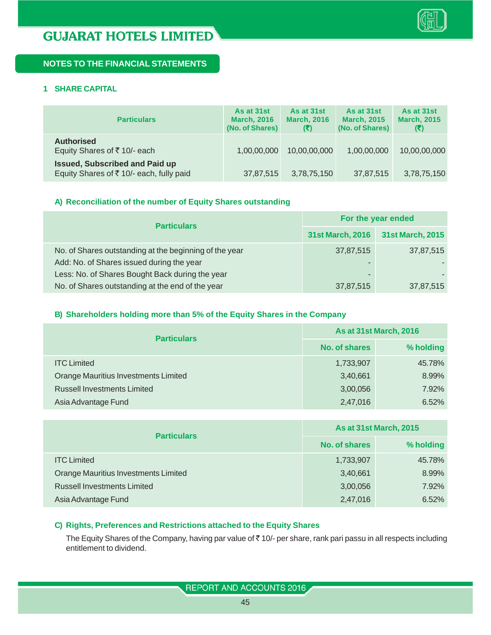

#### **1 SHARE CAPITAL**

| <b>Particulars</b>                                                               | As at 31st<br><b>March, 2016</b><br>(No. of Shares) | As at 31st<br><b>March, 2016</b><br>(₹) | As at 31st<br><b>March, 2015</b><br>(No. of Shares) | As at 31st<br><b>March, 2015</b><br>(3) |
|----------------------------------------------------------------------------------|-----------------------------------------------------|-----------------------------------------|-----------------------------------------------------|-----------------------------------------|
| <b>Authorised</b><br>Equity Shares of ₹10/- each                                 | 1,00,00,000                                         | 10,00,00,000                            | 1,00,00,000                                         | 10,00,00,000                            |
| <b>Issued, Subscribed and Paid up</b><br>Equity Shares of ₹10/- each, fully paid | 37,87,515                                           | 3,78,75,150                             | 37,87,515                                           | 3,78,75,150                             |

#### **A) Reconciliation of the number of Equity Shares outstanding**

| <b>Particulars</b>                                     | For the year ended |                  |  |
|--------------------------------------------------------|--------------------|------------------|--|
|                                                        | 31st March, 2016   | 31st March, 2015 |  |
| No. of Shares outstanding at the beginning of the year | 37,87,515          | 37,87,515        |  |
| Add: No. of Shares issued during the year              | -                  |                  |  |
| Less: No. of Shares Bought Back during the year        | -                  |                  |  |
| No. of Shares outstanding at the end of the year       | 37,87,515          | 37,87,515        |  |

#### **B) Shareholders holding more than 5% of the Equity Shares in the Company**

| <b>Particulars</b>                          | <b>As at 31st March, 2016</b> |           |  |
|---------------------------------------------|-------------------------------|-----------|--|
|                                             | <b>No. of shares</b>          | % holding |  |
| <b>ITC Limited</b>                          | 1,733,907                     | 45.78%    |  |
| <b>Orange Mauritius Investments Limited</b> | 3,40,661                      | 8.99%     |  |
| <b>Russell Investments Limited</b>          | 3,00,056                      | 7.92%     |  |
| Asia Advantage Fund                         | 2,47,016                      | 6.52%     |  |

| <b>Particulars</b>                          | <b>As at 31st March, 2015</b> |           |  |
|---------------------------------------------|-------------------------------|-----------|--|
|                                             | No. of shares                 | % holding |  |
| <b>ITC Limited</b>                          | 1,733,907                     | 45.78%    |  |
| <b>Orange Mauritius Investments Limited</b> | 3,40,661                      | 8.99%     |  |
| <b>Russell Investments Limited</b>          | 3,00,056                      | 7.92%     |  |
| Asia Advantage Fund                         | 2,47,016                      | 6.52%     |  |

#### **C) Rights, Preferences and Restrictions attached to the Equity Shares**

The Equity Shares of the Company, having par value of ₹10/- per share, rank pari passu in all respects including entitlement to dividend.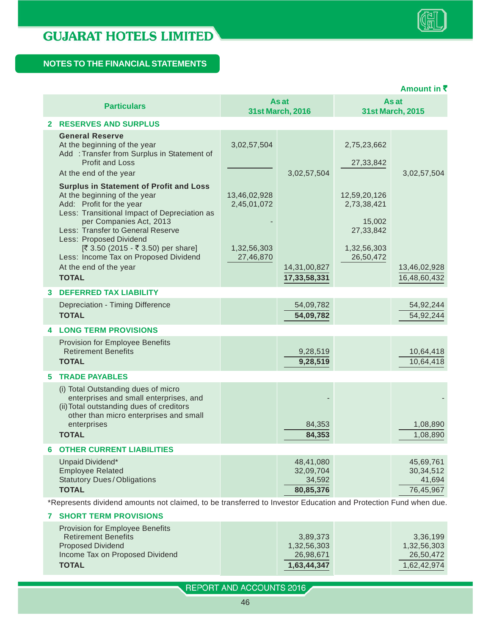|    |                                                                                                                                                                                                                            |                             |                                               |                                                    | Amount in ₹                                     |
|----|----------------------------------------------------------------------------------------------------------------------------------------------------------------------------------------------------------------------------|-----------------------------|-----------------------------------------------|----------------------------------------------------|-------------------------------------------------|
|    | <b>Particulars</b>                                                                                                                                                                                                         |                             | As at<br><b>31st March, 2016</b>              |                                                    | As at<br><b>31st March, 2015</b>                |
|    | <b>2 RESERVES AND SURPLUS</b>                                                                                                                                                                                              |                             |                                               |                                                    |                                                 |
|    | <b>General Reserve</b><br>At the beginning of the year<br>Add : Transfer from Surplus in Statement of<br><b>Profit and Loss</b><br>At the end of the year                                                                  | 3,02,57,504                 | 3,02,57,504                                   | 2,75,23,662<br>27,33,842                           | 3,02,57,504                                     |
|    | <b>Surplus in Statement of Profit and Loss</b><br>At the beginning of the year<br>Add: Profit for the year<br>Less: Transitional Impact of Depreciation as<br>per Companies Act, 2013<br>Less: Transfer to General Reserve | 13,46,02,928<br>2,45,01,072 |                                               | 12,59,20,126<br>2,73,38,421<br>15,002<br>27,33,842 |                                                 |
|    | Less: Proposed Dividend<br>[₹ 3.50 (2015 - ₹ 3.50) per share]<br>Less: Income Tax on Proposed Dividend<br>At the end of the year<br><b>TOTAL</b>                                                                           | 1,32,56,303<br>27,46,870    | 14,31,00,827<br>17,33,58,331                  | 1,32,56,303<br>26,50,472                           | 13,46,02,928<br>16,48,60,432                    |
| 3  | <b>DEFERRED TAX LIABILITY</b>                                                                                                                                                                                              |                             |                                               |                                                    |                                                 |
|    | Depreciation - Timing Difference<br><b>TOTAL</b>                                                                                                                                                                           |                             | 54,09,782<br>54,09,782                        |                                                    | 54,92,244<br>54,92,244                          |
|    | <b>LONG TERM PROVISIONS</b>                                                                                                                                                                                                |                             |                                               |                                                    |                                                 |
|    | Provision for Employee Benefits<br><b>Retirement Benefits</b><br><b>TOTAL</b>                                                                                                                                              |                             | 9,28,519<br>9,28,519                          |                                                    | 10,64,418<br>10,64,418                          |
| 5. | <b>TRADE PAYABLES</b>                                                                                                                                                                                                      |                             |                                               |                                                    |                                                 |
|    | (i) Total Outstanding dues of micro<br>enterprises and small enterprises, and<br>(ii) Total outstanding dues of creditors<br>other than micro enterprises and small<br>enterprises                                         |                             | 84,353                                        |                                                    | 1,08,890                                        |
|    | <b>TOTAL</b>                                                                                                                                                                                                               |                             | 84,353                                        |                                                    | 1,08,890                                        |
| 6  | <b>OTHER CURRENT LIABILITIES</b>                                                                                                                                                                                           |                             |                                               |                                                    |                                                 |
|    | Unpaid Dividend*<br><b>Employee Related</b><br><b>Statutory Dues/Obligations</b><br><b>TOTAL</b>                                                                                                                           |                             | 48,41,080<br>32,09,704<br>34,592<br>80,85,376 |                                                    | 45,69,761<br>30, 34, 512<br>41,694<br>76,45,967 |

\*Represents dividend amounts not claimed, to be transferred to Investor Education and Protection Fund when due.

#### **7 SHORT TERM PROVISIONS** Provision for Employee Benefits Retirement Benefits 3,89,373 3,36,199 3,36,199 Proposed Dividend 1,32,56,303 1,32,56,303 1,32,56,303 Income Tax on Proposed Dividend 26,98,671 26,98,671 26,50,472 **TOTAL** 1,62,42,974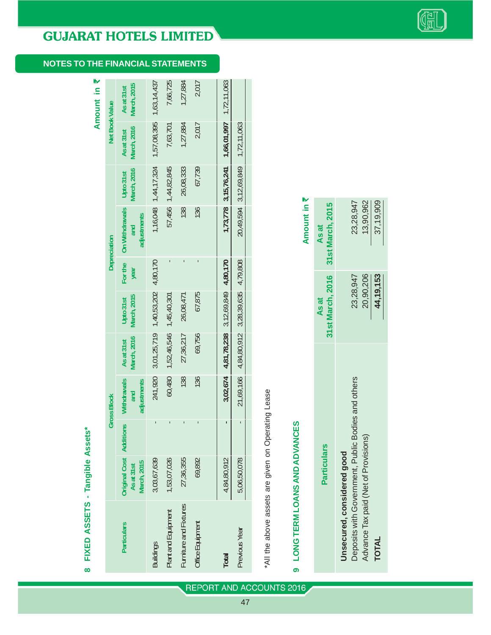## **NOTES TO THE FINANCIAL STATEMENTS**

Amount in  $\bar{z}$ **Amount in** `

**8 FIXED ASSETS - Tangible Assets\***

 $\infty$ 

FIXED ASSETS - Tangible Assets\*

|                       |                                                  |       | <b>Gross Block</b>                       |                                  |                                            |                 | <b>Depreciation</b>                         |                                 | Net Book Value                    |                           |
|-----------------------|--------------------------------------------------|-------|------------------------------------------|----------------------------------|--------------------------------------------|-----------------|---------------------------------------------|---------------------------------|-----------------------------------|---------------------------|
| Particulars           | Driginal Cost Addit<br>March, 2015<br>As at 31st | lions | <b>Withdrawals</b><br>adjustments<br>and | <b>March, 2016</b><br>As at 31st | <b>March, 2015</b><br>Upto 31st            | For the<br>year | <b>On Withdrawals</b><br>adjustments<br>and | <b>March, 2016</b><br>Upto 31st | <b>March, 2016</b><br>As at 31st  | March, 2015<br>As at 31st |
| suildings             | 3,03,67,639                                      |       | 241,920                                  |                                  | 3,01,25,719 1,40,53,202                    | 4,80,170        |                                             | 1,16,048 1,44,17,324            |                                   | 1,57,08,395 1,63,14,437   |
| Mant and Equipment    | 1,53,07,026                                      |       | 60,480                                   | 1,52,46,546 1,45,40,301          |                                            |                 |                                             | 57,456 1,44,82,845              | 7,63,701                          | 7,66,725                  |
| urniture and Fixtures | 27,36,355                                        |       | 138                                      | 27,36,217                        | 26,08,471                                  |                 | 138                                         | 26,08,333                       | 1,27,884                          | 1,27,884                  |
| Office Equipment      | 69,892                                           |       | 136                                      | 69,756                           | 67,875                                     |                 | 136                                         | 67,739                          | 2,017                             | 2,017                     |
|                       |                                                  |       |                                          |                                  |                                            |                 |                                             |                                 |                                   |                           |
| <b>Total</b>          | 4,84,80,912                                      |       |                                          |                                  | 3,02,674 4,81,78,238 3,12,69,849 4,80,170  |                 |                                             | 1,73,778 3,15,76,241            | 1,66,01,997 1,72,11,063           |                           |
| <b>Previous Year</b>  | 5,06,50,078                                      |       |                                          |                                  | 21,69,166 4,84,80,912 3,28,39,635 4,79,808 |                 |                                             |                                 | 20,49,594 3,12,69,849 1,72,11,063 |                           |
|                       |                                                  |       |                                          |                                  |                                            |                 |                                             |                                 |                                   |                           |

\*All the above assets are given on Operating Lease \*All the above assets are given on Operating Lease

# 9 LONG TERM LOANS AND ADVANCES **9 LONG TERM LOANS AND ADVANCES**

|                                                                                  |             | Amount in ₹                                |
|----------------------------------------------------------------------------------|-------------|--------------------------------------------|
| <b>Particulars</b>                                                               | As at       | 31st March, 2016 31st March, 2015<br>As at |
| Deposits with Government, Public Bodies and others<br>Unsecured, considered good | 23,28,947   | 23,28,947                                  |
| Advance Tax paid (Net of Provisions)                                             | 20,90,206   | 13,90,962                                  |
| <b>TOTAL</b>                                                                     | 44, 19, 153 | 37,19,909                                  |
|                                                                                  |             |                                            |

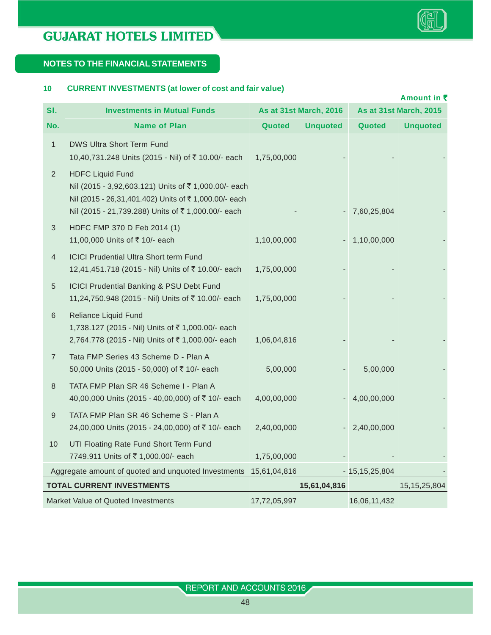

#### **NOTES TO THE FINANCIAL STATEMENTS**

#### **10 CURRENT INVESTMENTS (at lower of cost and fair value)**

|                |                                                                                                                                                                                             |              |                               |                    | Amount in ₹                   |
|----------------|---------------------------------------------------------------------------------------------------------------------------------------------------------------------------------------------|--------------|-------------------------------|--------------------|-------------------------------|
| SI.            | <b>Investments in Mutual Funds</b>                                                                                                                                                          |              | <b>As at 31st March, 2016</b> |                    | <b>As at 31st March, 2015</b> |
| No.            | <b>Name of Plan</b>                                                                                                                                                                         | Quoted       | <b>Unquoted</b>               | Quoted             | <b>Unquoted</b>               |
| $\mathbf{1}$   | DWS Ultra Short Term Fund<br>10,40,731.248 Units (2015 - Nil) of ₹ 10.00/- each                                                                                                             | 1,75,00,000  |                               |                    |                               |
| $\overline{2}$ | <b>HDFC Liquid Fund</b><br>Nil (2015 - 3,92,603.121) Units of ₹1,000.00/- each<br>Nil (2015 - 26,31,401.402) Units of ₹1,000.00/- each<br>Nil (2015 - 21,739.288) Units of ₹1,000.00/- each |              |                               | 7,60,25,804        |                               |
| 3              | HDFC FMP 370 D Feb 2014 (1)<br>11,00,000 Units of ₹ 10/- each                                                                                                                               | 1,10,00,000  |                               | 1,10,00,000        |                               |
| $\overline{4}$ | <b>ICICI Prudential Ultra Short term Fund</b><br>12,41,451.718 (2015 - Nil) Units of ₹10.00/- each                                                                                          | 1,75,00,000  |                               |                    |                               |
| 5              | <b>ICICI Prudential Banking &amp; PSU Debt Fund</b><br>11,24,750.948 (2015 - Nil) Units of ₹10.00/- each                                                                                    | 1,75,00,000  |                               |                    |                               |
| 6              | Reliance Liquid Fund<br>1,738.127 (2015 - Nil) Units of ₹1,000.00/- each<br>2,764.778 (2015 - Nil) Units of ₹1,000.00/- each                                                                | 1,06,04,816  |                               |                    |                               |
| $\overline{7}$ | Tata FMP Series 43 Scheme D - Plan A<br>50,000 Units (2015 - 50,000) of ₹10/- each                                                                                                          | 5,00,000     |                               | 5,00,000           |                               |
| 8              | TATA FMP Plan SR 46 Scheme I - Plan A<br>40,00,000 Units (2015 - 40,00,000) of ₹ 10/- each                                                                                                  | 4,00,00,000  |                               | 4,00,00,000        |                               |
| $\mathsf 9$    | TATA FMP Plan SR 46 Scheme S - Plan A<br>24,00,000 Units (2015 - 24,00,000) of ₹10/- each                                                                                                   | 2,40,00,000  |                               | 2,40,00,000        |                               |
| 10             | UTI Floating Rate Fund Short Term Fund<br>7749.911 Units of ₹1,000.00/- each                                                                                                                | 1,75,00,000  |                               |                    |                               |
|                | Aggregate amount of quoted and unquoted Investments                                                                                                                                         | 15,61,04,816 |                               | $-15, 15, 25, 804$ |                               |
|                | <b>TOTAL CURRENT INVESTMENTS</b>                                                                                                                                                            |              | 15,61,04,816                  |                    | 15, 15, 25, 804               |
|                | Market Value of Quoted Investments                                                                                                                                                          | 17,72,05,997 |                               | 16,06,11,432       |                               |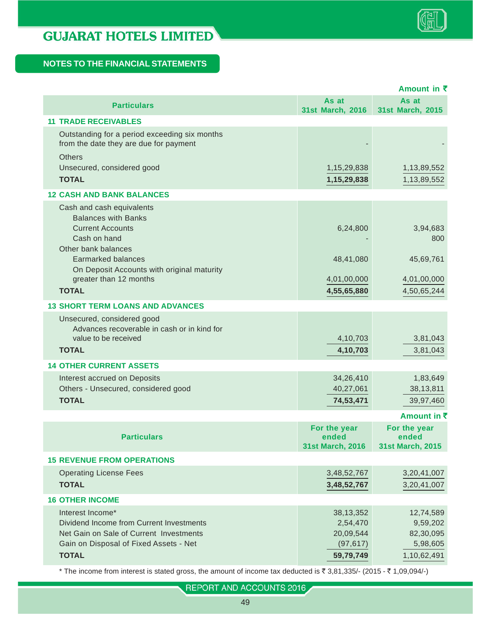|                                                                                         |                         | Amount in ₹      |
|-----------------------------------------------------------------------------------------|-------------------------|------------------|
| <b>Particulars</b>                                                                      | As at                   | As at            |
|                                                                                         | 31st March, 2016        | 31st March, 2015 |
| <b>11 TRADE RECEIVABLES</b>                                                             |                         |                  |
| Outstanding for a period exceeding six months<br>from the date they are due for payment |                         |                  |
| <b>Others</b>                                                                           |                         |                  |
| Unsecured, considered good                                                              | 1, 15, 29, 838          | 1,13,89,552      |
| <b>TOTAL</b>                                                                            | 1, 15, 29, 838          | 1,13,89,552      |
| <b>12 CASH AND BANK BALANCES</b>                                                        |                         |                  |
| Cash and cash equivalents                                                               |                         |                  |
| <b>Balances with Banks</b>                                                              |                         |                  |
| <b>Current Accounts</b>                                                                 | 6,24,800                | 3,94,683         |
| Cash on hand                                                                            |                         | 800              |
| Other bank balances<br><b>Earmarked balances</b>                                        | 48,41,080               | 45,69,761        |
| On Deposit Accounts with original maturity                                              |                         |                  |
| greater than 12 months                                                                  | 4,01,00,000             | 4,01,00,000      |
| <b>TOTAL</b>                                                                            | 4,55,65,880             | 4,50,65,244      |
| <b>13 SHORT TERM LOANS AND ADVANCES</b>                                                 |                         |                  |
| Unsecured, considered good                                                              |                         |                  |
| Advances recoverable in cash or in kind for                                             |                         |                  |
| value to be received                                                                    | 4,10,703                | 3,81,043         |
| <b>TOTAL</b>                                                                            | 4,10,703                | 3,81,043         |
| <b>14 OTHER CURRENT ASSETS</b>                                                          |                         |                  |
| Interest accrued on Deposits                                                            | 34,26,410               | 1,83,649         |
| Others - Unsecured, considered good                                                     | 40,27,061               | 38, 13, 811      |
| <b>TOTAL</b>                                                                            | 74,53,471               | 39,97,460        |
|                                                                                         |                         | Amount in ₹      |
|                                                                                         | For the year            | For the year     |
| <b>Particulars</b>                                                                      | ended                   | ended            |
|                                                                                         | <b>31st March, 2016</b> | 31st March, 2015 |
| <b>15 REVENUE FROM OPERATIONS</b>                                                       |                         |                  |
| <b>Operating License Fees</b>                                                           | 3,48,52,767             | 3,20,41,007      |
| <b>TOTAL</b>                                                                            | 3,48,52,767             | 3,20,41,007      |
| <b>16 OTHER INCOME</b>                                                                  |                         |                  |
| Interest Income*                                                                        | 38, 13, 352             | 12,74,589        |
| Dividend Income from Current Investments                                                | 2,54,470                | 9,59,202         |
| Net Gain on Sale of Current Investments                                                 | 20,09,544               | 82,30,095        |
| Gain on Disposal of Fixed Assets - Net                                                  | (97, 617)               | 5,98,605         |
| <b>TOTAL</b>                                                                            | 59,79,749               | 1,10,62,491      |
|                                                                                         |                         |                  |

\* The income from interest is stated gross, the amount of income tax deducted is  $\bar{z}$  3,81,335/- (2015 -  $\bar{z}$  1,09,094/-)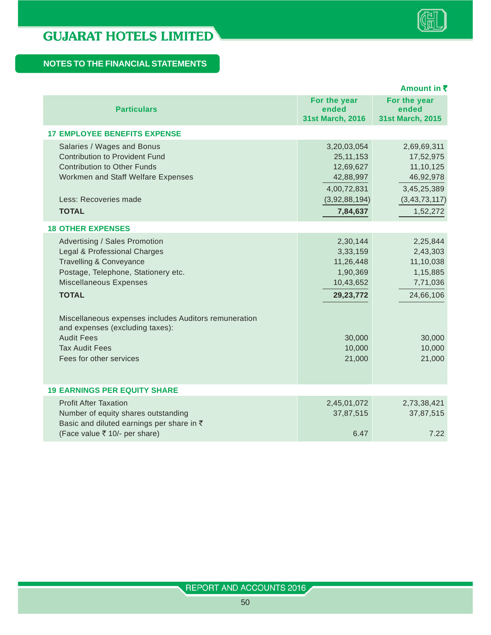|                                                                                                                                                                                                                                                                                                                                                                                       |                                                                                                         | Amount in ₹                                                                                          |
|---------------------------------------------------------------------------------------------------------------------------------------------------------------------------------------------------------------------------------------------------------------------------------------------------------------------------------------------------------------------------------------|---------------------------------------------------------------------------------------------------------|------------------------------------------------------------------------------------------------------|
| <b>Particulars</b>                                                                                                                                                                                                                                                                                                                                                                    | For the year<br>ended<br>31st March, 2016                                                               | For the year<br>ended<br><b>31st March, 2015</b>                                                     |
| <b>17 EMPLOYEE BENEFITS EXPENSE</b>                                                                                                                                                                                                                                                                                                                                                   |                                                                                                         |                                                                                                      |
| Salaries / Wages and Bonus<br><b>Contribution to Provident Fund</b><br><b>Contribution to Other Funds</b><br>Workmen and Staff Welfare Expenses<br>Less: Recoveries made<br><b>TOTAL</b>                                                                                                                                                                                              | 3,20,03,054<br>25, 11, 153<br>12,69,627<br>42,88,997<br>4,00,72,831<br>(3,92,88,194)<br>7,84,637        | 2,69,69,311<br>17,52,975<br>11, 10, 125<br>46,92,978<br>3,45,25,389<br>(3, 43, 73, 117)<br>1,52,272  |
|                                                                                                                                                                                                                                                                                                                                                                                       |                                                                                                         |                                                                                                      |
| <b>18 OTHER EXPENSES</b><br>Advertising / Sales Promotion<br>Legal & Professional Charges<br><b>Travelling &amp; Conveyance</b><br>Postage, Telephone, Stationery etc.<br>Miscellaneous Expenses<br><b>TOTAL</b><br>Miscellaneous expenses includes Auditors remuneration<br>and expenses (excluding taxes):<br><b>Audit Fees</b><br><b>Tax Audit Fees</b><br>Fees for other services | 2,30,144<br>3,33,159<br>11,26,448<br>1,90,369<br>10,43,652<br>29, 23, 772<br>30,000<br>10,000<br>21,000 | 2,25,844<br>2,43,303<br>11,10,038<br>1,15,885<br>7,71,036<br>24,66,106<br>30,000<br>10,000<br>21,000 |
| <b>19 EARNINGS PER EQUITY SHARE</b>                                                                                                                                                                                                                                                                                                                                                   |                                                                                                         |                                                                                                      |
| <b>Profit After Taxation</b><br>Number of equity shares outstanding<br>Basic and diluted earnings per share in ₹<br>(Face value ₹ 10/- per share)                                                                                                                                                                                                                                     | 2,45,01,072<br>37,87,515<br>6.47                                                                        | 2,73,38,421<br>37,87,515<br>7.22                                                                     |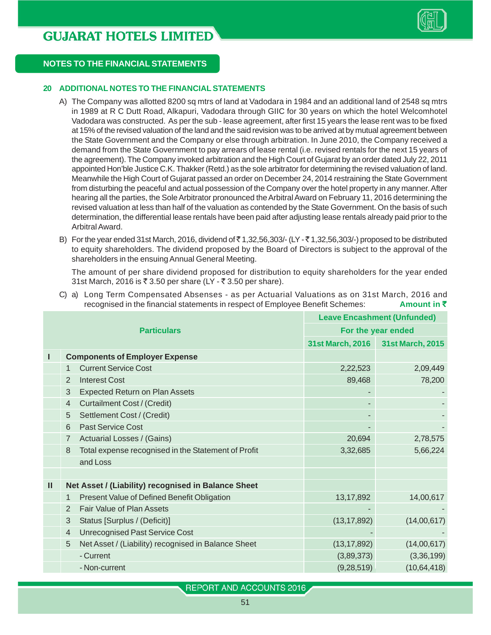

#### **20 ADDITIONAL NOTES TO THE FINANCIAL STATEMENTS**

- A) The Company was allotted 8200 sq mtrs of land at Vadodara in 1984 and an additional land of 2548 sq mtrs in 1989 at R C Dutt Road, Alkapuri, Vadodara through GIIC for 30 years on which the hotel Welcomhotel Vadodara was constructed. As per the sub - lease agreement, after first 15 years the lease rent was to be fixed at 15% of the revised valuation of the land and the said revision was to be arrived at by mutual agreement between the State Government and the Company or else through arbitration. In June 2010, the Company received a demand from the State Government to pay arrears of lease rental (i.e. revised rentals for the next 15 years of the agreement). The Company invoked arbitration and the High Court of Gujarat by an order dated July 22, 2011 appointed Hon'ble Justice C.K. Thakker (Retd.) as the sole arbitrator for determining the revised valuation of land. Meanwhile the High Court of Gujarat passed an order on December 24, 2014 restraining the State Government from disturbing the peaceful and actual possession of the Company over the hotel property in any manner. After hearing all the parties, the Sole Arbitrator pronounced the Arbitral Award on February 11, 2016 determining the revised valuation at less than half of the valuation as contended by the State Government. On the basis of such determination, the differential lease rentals have been paid after adjusting lease rentals already paid prior to the Arbitral Award.
- B) For the year ended 31st March, 2016, dividend of  $\bar{\tau}$  1,32,56,303/- (LY - $\bar{\tau}$  1,32,56,303/-) proposed to be distributed to equity shareholders. The dividend proposed by the Board of Directors is subject to the approval of the shareholders in the ensuing Annual General Meeting.

The amount of per share dividend proposed for distribution to equity shareholders for the year ended 31st March, 2016 is ₹ 3.50 per share (LY - ₹ 3.50 per share).

C) a) Long Term Compensated Absenses - as per Actuarial Valuations as on 31st March, 2016 and fecognised in the financial statements in respect of Employee Benefit Schemes: **Amount in ₹** 

|   |                |                                                     | <b>Leave Encashment (Unfunded)</b> |                         |  |
|---|----------------|-----------------------------------------------------|------------------------------------|-------------------------|--|
|   |                | <b>Particulars</b>                                  |                                    | For the year ended      |  |
|   |                |                                                     | <b>31st March, 2016</b>            | <b>31st March, 2015</b> |  |
| Ш |                | <b>Components of Employer Expense</b>               |                                    |                         |  |
|   | 1              | <b>Current Service Cost</b>                         | 2,22,523                           | 2,09,449                |  |
|   | 2              | <b>Interest Cost</b>                                | 89,468                             | 78,200                  |  |
|   | 3              | <b>Expected Return on Plan Assets</b>               |                                    |                         |  |
|   | $\overline{4}$ | Curtailment Cost / (Credit)                         |                                    |                         |  |
|   | 5              | Settlement Cost / (Credit)                          |                                    |                         |  |
|   | 6              | <b>Past Service Cost</b>                            |                                    |                         |  |
|   | $\overline{7}$ | Actuarial Losses / (Gains)                          | 20,694                             | 2,78,575                |  |
|   | 8              | Total expense recognised in the Statement of Profit | 3,32,685                           | 5,66,224                |  |
|   |                | and Loss                                            |                                    |                         |  |
|   |                |                                                     |                                    |                         |  |
| Ш |                | Net Asset / (Liability) recognised in Balance Sheet |                                    |                         |  |
|   | $\mathbf 1$    | Present Value of Defined Benefit Obligation         | 13, 17, 892                        | 14,00,617               |  |
|   | 2              | <b>Fair Value of Plan Assets</b>                    |                                    |                         |  |
|   | 3              | Status [Surplus / (Deficit)]                        | (13, 17, 892)                      | (14,00,617)             |  |
|   | $\overline{4}$ | <b>Unrecognised Past Service Cost</b>               |                                    |                         |  |
|   | 5              | Net Asset / (Liability) recognised in Balance Sheet | (13, 17, 892)                      | (14,00,617)             |  |
|   |                | - Current                                           | (3,89,373)                         | (3,36,199)              |  |
|   |                | - Non-current                                       | (9, 28, 519)                       | (10, 64, 418)           |  |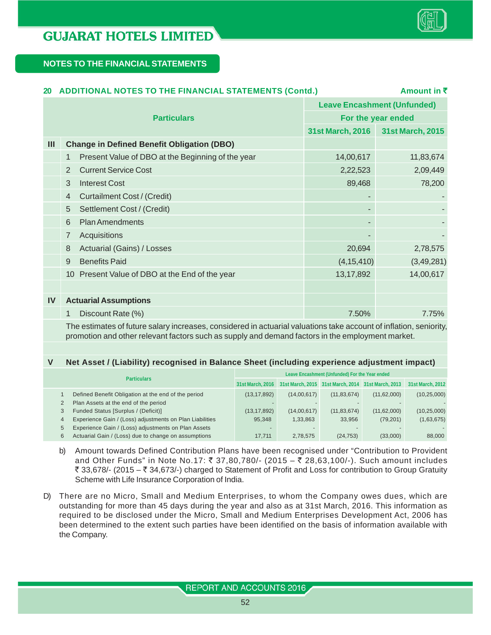

## **20 ADDITIONAL NOTES TO THE FINANCIAL STATEMENTS (Contd.) Amount in ₹ Leave Encashment (Unfunded) Particulars For the year ended 31st March, 2016 31st March, 2015 III Change in Defined Benefit Obligation (DBO)** 1 Present Value of DBO at the Beginning of the year 14,00,617 11,83,674 2 Current Service Cost 2,22,523 2,09,449 3 Interest Cost 89,468 78,200 4 Curtailment Cost / (Credit) 5 Settlement Cost / (Credit) 6 Plan Amendments 7 Acquisitions 8 Actuarial (Gains) / Losses 20,694 2,78,575 9 Benefits Paid (4,15,410) (3,49,281) 10 Present Value of DBO at the End of the year 13,17,892 14,00,617 **IV Actuarial Assumptions** 1 Discount Rate (%) 7.50% 7.75%

The estimates of future salary increases, considered in actuarial valuations take account of inflation, seniority, promotion and other relevant factors such as supply and demand factors in the employment market.

#### **V Net Asset / (Liability) recognised in Balance Sheet (including experience adjustment impact)**

| <b>Particulars</b> |                                                          | Leave Encashment (Unfunded) For the Year ended |             |               |                                                                     |                  |
|--------------------|----------------------------------------------------------|------------------------------------------------|-------------|---------------|---------------------------------------------------------------------|------------------|
|                    |                                                          |                                                |             |               | 31st March, 2016 31st March, 2015 31st March, 2014 31st March, 2013 | 31st March, 2012 |
|                    | Defined Benefit Obligation at the end of the period      | (13, 17, 892)                                  | (14,00,617) | (11, 83, 674) | (11,62,000)                                                         | (10, 25, 000)    |
|                    | Plan Assets at the end of the period                     |                                                |             |               |                                                                     |                  |
| 3                  | Funded Status [Surplus / (Deficit)]                      | (13, 17, 892)                                  | (14,00,617) | (11, 83, 674) | (11,62,000)                                                         | (10, 25, 000)    |
| 4                  | Experience Gain / (Loss) adjustments on Plan Liabilities | 95.348                                         | 1.33.863    | 33.956        | (79, 201)                                                           | (1,63,675)       |
| 5                  | Experience Gain / (Loss) adjustments on Plan Assets      |                                                |             |               |                                                                     |                  |
| 6                  | Actuarial Gain / (Loss) due to change on assumptions     | 17.711                                         | 2.78.575    | (24, 753)     | (33,000)                                                            | 88,000           |

b) Amount towards Defined Contribution Plans have been recognised under "Contribution to Provident and Other Funds" in Note No.17: ₹ 37,80,780/- (2015 – ₹ 28,63,100/-). Such amount includes ` 33,678/- (2015 – ` 34,673/-) charged to Statement of Profit and Loss for contribution to Group Gratuity Scheme with Life Insurance Corporation of India.

D) There are no Micro, Small and Medium Enterprises, to whom the Company owes dues, which are outstanding for more than 45 days during the year and also as at 31st March, 2016. This information as required to be disclosed under the Micro, Small and Medium Enterprises Development Act, 2006 has been determined to the extent such parties have been identified on the basis of information available with the Company.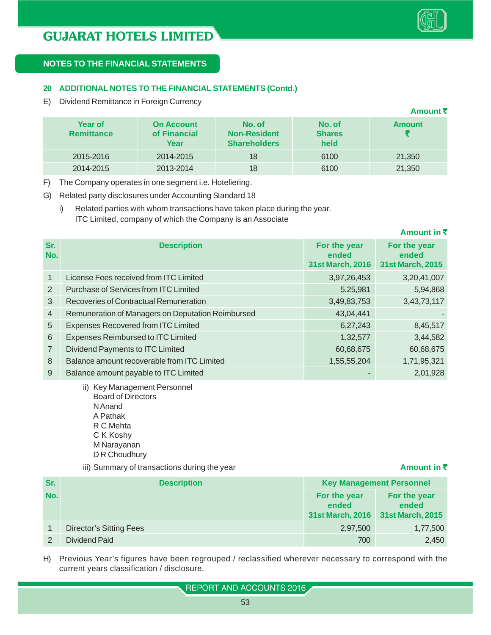

#### **20 ADDITIONAL NOTES TO THE FINANCIAL STATEMENTS (Contd.)**

E) Dividend Remittance in Foreign Currency

|                                     |                                           |                                                      |                                 | Amount₹       |
|-------------------------------------|-------------------------------------------|------------------------------------------------------|---------------------------------|---------------|
| <b>Year of</b><br><b>Remittance</b> | <b>On Account</b><br>of Financial<br>Year | No. of<br><b>Non-Resident</b><br><b>Shareholders</b> | No. of<br><b>Shares</b><br>held | <b>Amount</b> |
| 2015-2016                           | 2014-2015                                 | 18                                                   | 6100                            | 21,350        |
| 2014-2015                           | 2013-2014                                 | 18                                                   | 6100                            | 21,350        |

F) The Company operates in one segment i.e. Hoteliering.

G) Related party disclosures under Accounting Standard 18

i) Related parties with whom transactions have taken place during the year. ITC Limited, company of which the Company is an Associate

| Sr.<br>No.     | <b>Description</b>                                | For the year<br>ended<br><b>31st March, 2016</b> | For the year<br>ended<br><b>31st March, 2015</b> |
|----------------|---------------------------------------------------|--------------------------------------------------|--------------------------------------------------|
| $\mathbf{1}$   | License Fees received from ITC Limited            | 3,97,26,453                                      | 3,20,41,007                                      |
| 2              | <b>Purchase of Services from ITC Limited</b>      | 5,25,981                                         | 5,94,868                                         |
| 3              | Recoveries of Contractual Remuneration            | 3,49,83,753                                      | 3,43,73,117                                      |
| $\overline{4}$ | Remuneration of Managers on Deputation Reimbursed | 43,04,441                                        |                                                  |
| 5              | <b>Expenses Recovered from ITC Limited</b>        | 6,27,243                                         | 8,45,517                                         |
| 6              | Expenses Reimbursed to ITC Limited                | 1,32,577                                         | 3,44,582                                         |
| $\overline{7}$ | Dividend Payments to ITC Limited                  | 60,68,675                                        | 60,68,675                                        |
| 8              | Balance amount recoverable from ITC Limited       | 1,55,55,204                                      | 1,71,95,321                                      |
| 9              | Balance amount payable to ITC Limited             |                                                  | 2,01,928                                         |

ii) Key Management Personnel Board of Directors N Anand A Pathak R C Mehta C K Koshy M Narayanan D R Choudhury

iii) Summary of transactions during the year **Amount in ₹** Amount in ₹

**Amount in** `

| Sr. | <b>Description</b>             |                                                  | <b>Key Management Personnel</b>           |
|-----|--------------------------------|--------------------------------------------------|-------------------------------------------|
| No. |                                | For the year<br>ended<br><b>31st March, 2016</b> | For the year<br>ended<br>31st March, 2015 |
|     | <b>Director's Sitting Fees</b> | 2,97,500                                         | 1,77,500                                  |
|     | Dividend Paid                  | 700                                              | 2,450                                     |

H) Previous Year's figures have been regrouped / reclassified wherever necessary to correspond with the current years classification / disclosure.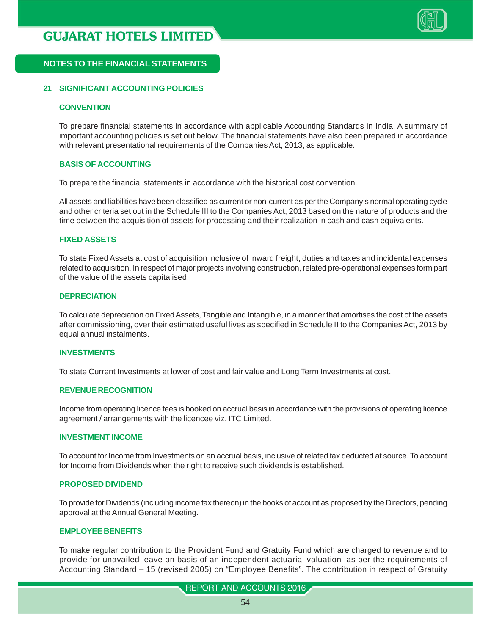

#### **21 SIGNIFICANT ACCOUNTING POLICIES**

#### **CONVENTION**

To prepare financial statements in accordance with applicable Accounting Standards in India. A summary of important accounting policies is set out below. The financial statements have also been prepared in accordance with relevant presentational requirements of the Companies Act, 2013, as applicable.

#### **BASIS OF ACCOUNTING**

To prepare the financial statements in accordance with the historical cost convention.

All assets and liabilities have been classified as current or non-current as per the Company's normal operating cycle and other criteria set out in the Schedule III to the Companies Act, 2013 based on the nature of products and the time between the acquisition of assets for processing and their realization in cash and cash equivalents.

#### **FIXED ASSETS**

To state Fixed Assets at cost of acquisition inclusive of inward freight, duties and taxes and incidental expenses related to acquisition. In respect of major projects involving construction, related pre-operational expenses form part of the value of the assets capitalised.

#### **DEPRECIATION**

To calculate depreciation on Fixed Assets, Tangible and Intangible, in a manner that amortises the cost of the assets after commissioning, over their estimated useful lives as specified in Schedule II to the Companies Act, 2013 by equal annual instalments.

#### **INVESTMENTS**

To state Current Investments at lower of cost and fair value and Long Term Investments at cost.

#### **REVENUE RECOGNITION**

Income from operating licence fees is booked on accrual basis in accordance with the provisions of operating licence agreement / arrangements with the licencee viz, ITC Limited.

#### **INVESTMENT INCOME**

To account for Income from Investments on an accrual basis, inclusive of related tax deducted at source. To account for Income from Dividends when the right to receive such dividends is established.

#### **PROPOSED DIVIDEND**

To provide for Dividends (including income tax thereon) in the books of account as proposed by the Directors, pending approval at the Annual General Meeting.

#### **EMPLOYEE BENEFITS**

To make regular contribution to the Provident Fund and Gratuity Fund which are charged to revenue and to provide for unavailed leave on basis of an independent actuarial valuation as per the requirements of Accounting Standard – 15 (revised 2005) on "Employee Benefits". The contribution in respect of Gratuity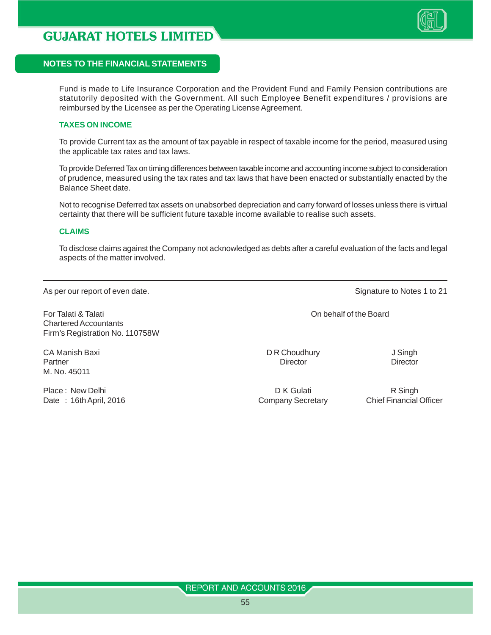

#### **NOTES TO THE FINANCIAL STATEMENTS**

Fund is made to Life Insurance Corporation and the Provident Fund and Family Pension contributions are statutorily deposited with the Government. All such Employee Benefit expenditures / provisions are reimbursed by the Licensee as per the Operating License Agreement.

#### **TAXES ON INCOME**

To provide Current tax as the amount of tax payable in respect of taxable income for the period, measured using the applicable tax rates and tax laws.

To provide Deferred Tax on timing differences between taxable income and accounting income subject to consideration of prudence, measured using the tax rates and tax laws that have been enacted or substantially enacted by the Balance Sheet date.

Not to recognise Deferred tax assets on unabsorbed depreciation and carry forward of losses unless there is virtual certainty that there will be sufficient future taxable income available to realise such assets.

#### **CLAIMS**

To disclose claims against the Company not acknowledged as debts after a careful evaluation of the facts and legal aspects of the matter involved.

As per our report of even date. As per our report of even date. Signature to Notes 1 to 21

For Talati & Talati On behalf of the Board Chartered Accountants Firm's Registration No. 110758W

CA Manish Baxi DR Choudhury DR Choudhury J Singh Partner Director Director Director Director Director Director Director Director M. No. 45011

Place : New Delhi **D K Gulati** D K Gulati R Singh Date : 16th April, 2016 **Company Secretary** Chief Financial Officer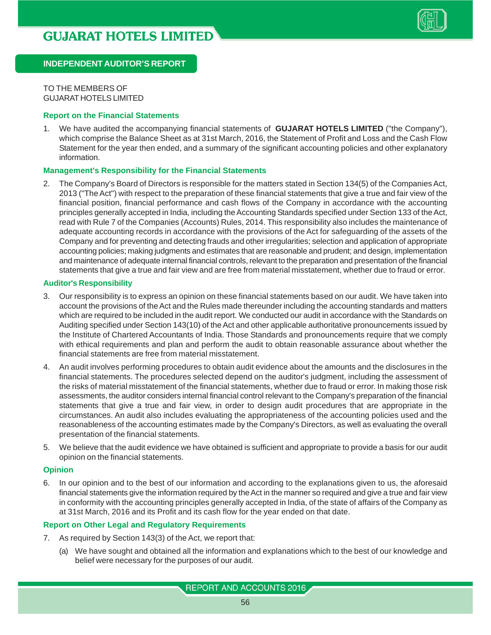

TO THE MEMBERS OF GUJARAT HOTELS LIMITED

#### **Report on the Financial Statements**

1. We have audited the accompanying financial statements of **GUJARAT HOTELS LIMITED** ("the Company"), which comprise the Balance Sheet as at 31st March, 2016, the Statement of Profit and Loss and the Cash Flow Statement for the year then ended, and a summary of the significant accounting policies and other explanatory information.

#### **Management's Responsibility for the Financial Statements**

2. The Company's Board of Directors is responsible for the matters stated in Section 134(5) of the Companies Act, 2013 ("The Act") with respect to the preparation of these financial statements that give a true and fair view of the financial position, financial performance and cash flows of the Company in accordance with the accounting principles generally accepted in India, including the Accounting Standards specified under Section 133 of the Act, read with Rule 7 of the Companies (Accounts) Rules, 2014. This responsibility also includes the maintenance of adequate accounting records in accordance with the provisions of the Act for safeguarding of the assets of the Company and for preventing and detecting frauds and other irregularities; selection and application of appropriate accounting policies; making judgments and estimates that are reasonable and prudent; and design, implementation and maintenance of adequate internal financial controls, relevant to the preparation and presentation of the financial statements that give a true and fair view and are free from material misstatement, whether due to fraud or error.

#### **Auditor's Responsibility**

- 3. Our responsibility is to express an opinion on these financial statements based on our audit. We have taken into account the provisions of the Act and the Rules made thereunder including the accounting standards and matters which are required to be included in the audit report. We conducted our audit in accordance with the Standards on Auditing specified under Section 143(10) of the Act and other applicable authoritative pronouncements issued by the Institute of Chartered Accountants of India. Those Standards and pronouncements require that we comply with ethical requirements and plan and perform the audit to obtain reasonable assurance about whether the financial statements are free from material misstatement.
- 4. An audit involves performing procedures to obtain audit evidence about the amounts and the disclosures in the financial statements. The procedures selected depend on the auditor's judgment, including the assessment of the risks of material misstatement of the financial statements, whether due to fraud or error. In making those risk assessments, the auditor considers internal financial control relevant to the Company's preparation of the financial statements that give a true and fair view, in order to design audit procedures that are appropriate in the circumstances. An audit also includes evaluating the appropriateness of the accounting policies used and the reasonableness of the accounting estimates made by the Company's Directors, as well as evaluating the overall presentation of the financial statements.
- 5. We believe that the audit evidence we have obtained is sufficient and appropriate to provide a basis for our audit opinion on the financial statements.

#### **Opinion**

6. In our opinion and to the best of our information and according to the explanations given to us, the aforesaid financial statements give the information required by the Act in the manner so required and give a true and fair view in conformity with the accounting principles generally accepted in India, of the state of affairs of the Company as at 31st March, 2016 and its Profit and its cash flow for the year ended on that date.

#### **Report on Other Legal and Regulatory Requirements**

- 7. As required by Section 143(3) of the Act, we report that:
	- (a) We have sought and obtained all the information and explanations which to the best of our knowledge and belief were necessary for the purposes of our audit.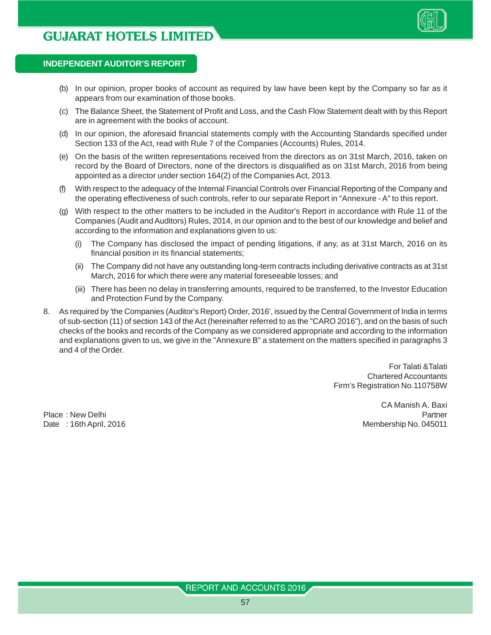

- (b) In our opinion, proper books of account as required by law have been kept by the Company so far as it appears from our examination of those books.
- (c) The Balance Sheet, the Statement of Profit and Loss, and the Cash Flow Statement dealt with by this Report are in agreement with the books of account.
- (d) In our opinion, the aforesaid financial statements comply with the Accounting Standards specified under Section 133 of the Act, read with Rule 7 of the Companies (Accounts) Rules, 2014.
- (e) On the basis of the written representations received from the directors as on 31st March, 2016, taken on record by the Board of Directors, none of the directors is disqualified as on 31st March, 2016 from being appointed as a director under section 164(2) of the Companies Act, 2013.
- (f) With respect to the adequacy of the Internal Financial Controls over Financial Reporting of the Company and the operating effectiveness of such controls, refer to our separate Report in "Annexure - A" to this report.
- (g) With respect to the other matters to be included in the Auditor's Report in accordance with Rule 11 of the Companies (Audit and Auditors) Rules, 2014, in our opinion and to the best of our knowledge and belief and according to the information and explanations given to us:
	- (i) The Company has disclosed the impact of pending litigations, if any, as at 31st March, 2016 on its financial position in its financial statements;
	- (ii) The Company did not have any outstanding long-term contracts including derivative contracts as at 31st March, 2016 for which there were any material foreseeable losses; and
	- (iii) There has been no delay in transferring amounts, required to be transferred, to the Investor Education and Protection Fund by the Company.
- 8. As required by 'the Companies (Auditor's Report) Order, 2016', issued by the Central Government of India in terms of sub-section (11) of section 143 of the Act (hereinafter referred to as the "CARO 2016"), and on the basis of such checks of the books and records of the Company as we considered appropriate and according to the information and explanations given to us, we give in the "Annexure B" a statement on the matters specified in paragraphs 3 and 4 of the Order.

For Talati &Talati Chartered Accountants Firm's Registration No.110758W

CA Manish A. Baxi Place : New Delhi Partner New York 1999 and the Contract of the Partner New York 1999 and the Partner New York 1999 and the Partner New York 1999 and the Partner New York 1999 and the Partner New York 1999 and the Partner Date : 16th April, 2016 Membership No. 045011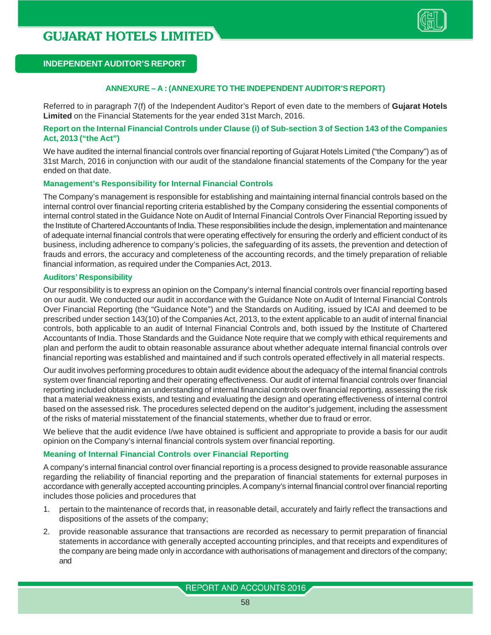

#### **ANNEXURE – A : (ANNEXURE TO THE INDEPENDENT AUDITOR'S REPORT)**

Referred to in paragraph 7(f) of the Independent Auditor's Report of even date to the members of **Gujarat Hotels Limited** on the Financial Statements for the year ended 31st March, 2016.

#### **Report on the Internal Financial Controls under Clause (i) of Sub-section 3 of Section 143 of the Companies Act, 2013 ("the Act")**

We have audited the internal financial controls over financial reporting of Gujarat Hotels Limited ("the Company") as of 31st March, 2016 in conjunction with our audit of the standalone financial statements of the Company for the year ended on that date.

#### **Management's Responsibility for Internal Financial Controls**

The Company's management is responsible for establishing and maintaining internal financial controls based on the internal control over financial reporting criteria established by the Company considering the essential components of internal control stated in the Guidance Note on Audit of Internal Financial Controls Over Financial Reporting issued by the Institute of Chartered Accountants of India. These responsibilities include the design, implementation and maintenance of adequate internal financial controls that were operating effectively for ensuring the orderly and efficient conduct of its business, including adherence to company's policies, the safeguarding of its assets, the prevention and detection of frauds and errors, the accuracy and completeness of the accounting records, and the timely preparation of reliable financial information, as required under the Companies Act, 2013.

#### **Auditors' Responsibility**

Our responsibility is to express an opinion on the Company's internal financial controls over financial reporting based on our audit. We conducted our audit in accordance with the Guidance Note on Audit of Internal Financial Controls Over Financial Reporting (the "Guidance Note") and the Standards on Auditing, issued by ICAI and deemed to be prescribed under section 143(10) of the Companies Act, 2013, to the extent applicable to an audit of internal financial controls, both applicable to an audit of Internal Financial Controls and, both issued by the Institute of Chartered Accountants of India. Those Standards and the Guidance Note require that we comply with ethical requirements and plan and perform the audit to obtain reasonable assurance about whether adequate internal financial controls over financial reporting was established and maintained and if such controls operated effectively in all material respects.

Our audit involves performing procedures to obtain audit evidence about the adequacy of the internal financial controls system over financial reporting and their operating effectiveness. Our audit of internal financial controls over financial reporting included obtaining an understanding of internal financial controls over financial reporting, assessing the risk that a material weakness exists, and testing and evaluating the design and operating effectiveness of internal control based on the assessed risk. The procedures selected depend on the auditor's judgement, including the assessment of the risks of material misstatement of the financial statements, whether due to fraud or error.

We believe that the audit evidence I/we have obtained is sufficient and appropriate to provide a basis for our audit opinion on the Company's internal financial controls system over financial reporting.

#### **Meaning of Internal Financial Controls over Financial Reporting**

A company's internal financial control over financial reporting is a process designed to provide reasonable assurance regarding the reliability of financial reporting and the preparation of financial statements for external purposes in accordance with generally accepted accounting principles. A company's internal financial control over financial reporting includes those policies and procedures that

- 1. pertain to the maintenance of records that, in reasonable detail, accurately and fairly reflect the transactions and dispositions of the assets of the company;
- 2. provide reasonable assurance that transactions are recorded as necessary to permit preparation of financial statements in accordance with generally accepted accounting principles, and that receipts and expenditures of the company are being made only in accordance with authorisations of management and directors of the company; and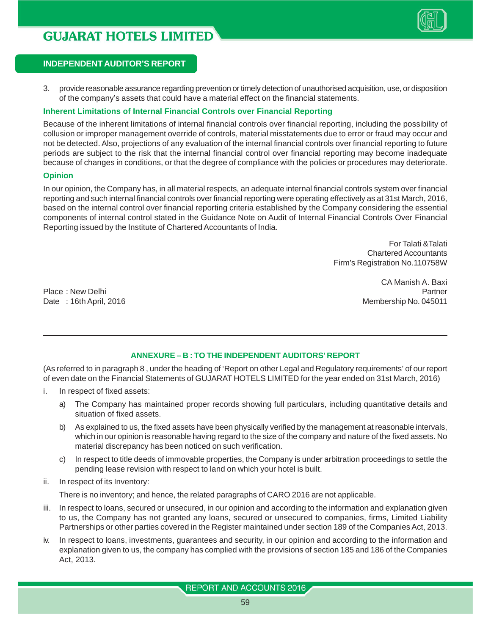

3. provide reasonable assurance regarding prevention or timely detection of unauthorised acquisition, use, or disposition of the company's assets that could have a material effect on the financial statements.

#### **Inherent Limitations of Internal Financial Controls over Financial Reporting**

Because of the inherent limitations of internal financial controls over financial reporting, including the possibility of collusion or improper management override of controls, material misstatements due to error or fraud may occur and not be detected. Also, projections of any evaluation of the internal financial controls over financial reporting to future periods are subject to the risk that the internal financial control over financial reporting may become inadequate because of changes in conditions, or that the degree of compliance with the policies or procedures may deteriorate.

#### **Opinion**

In our opinion, the Company has, in all material respects, an adequate internal financial controls system over financial reporting and such internal financial controls over financial reporting were operating effectively as at 31st March, 2016, based on the internal control over financial reporting criteria established by the Company considering the essential components of internal control stated in the Guidance Note on Audit of Internal Financial Controls Over Financial Reporting issued by the Institute of Chartered Accountants of India.

> For Talati &Talati Chartered Accountants Firm's Registration No.110758W

Place : New Delhi Partner New York 1999 and the Contract of the Partner New York 1999 and the Partner New York 1999 and the Partner New York 1999 and the Partner New York 1999 and the Partner New York 1999 and the Partner Date : 16th April, 2016 Membership No. 045011

CA Manish A. Baxi

#### **ANNEXURE – B : TO THE INDEPENDENT AUDITORS' REPORT**

(As referred to in paragraph 8 , under the heading of 'Report on other Legal and Regulatory requirements' of our report of even date on the Financial Statements of GUJARAT HOTELS LIMITED for the year ended on 31st March, 2016)

- i. In respect of fixed assets:
	- a) The Company has maintained proper records showing full particulars, including quantitative details and situation of fixed assets.
	- b) As explained to us, the fixed assets have been physically verified by the management at reasonable intervals, which in our opinion is reasonable having regard to the size of the company and nature of the fixed assets. No material discrepancy has been noticed on such verification.
	- c) In respect to title deeds of immovable properties, the Company is under arbitration proceedings to settle the pending lease revision with respect to land on which your hotel is built.
- ii. In respect of its Inventory:

There is no inventory; and hence, the related paragraphs of CARO 2016 are not applicable.

- iii. In respect to loans, secured or unsecured, in our opinion and according to the information and explanation given to us, the Company has not granted any loans, secured or unsecured to companies, firms, Limited Liability Partnerships or other parties covered in the Register maintained under section 189 of the Companies Act, 2013.
- iv. In respect to loans, investments, guarantees and security, in our opinion and according to the information and explanation given to us, the company has complied with the provisions of section 185 and 186 of the Companies Act, 2013.